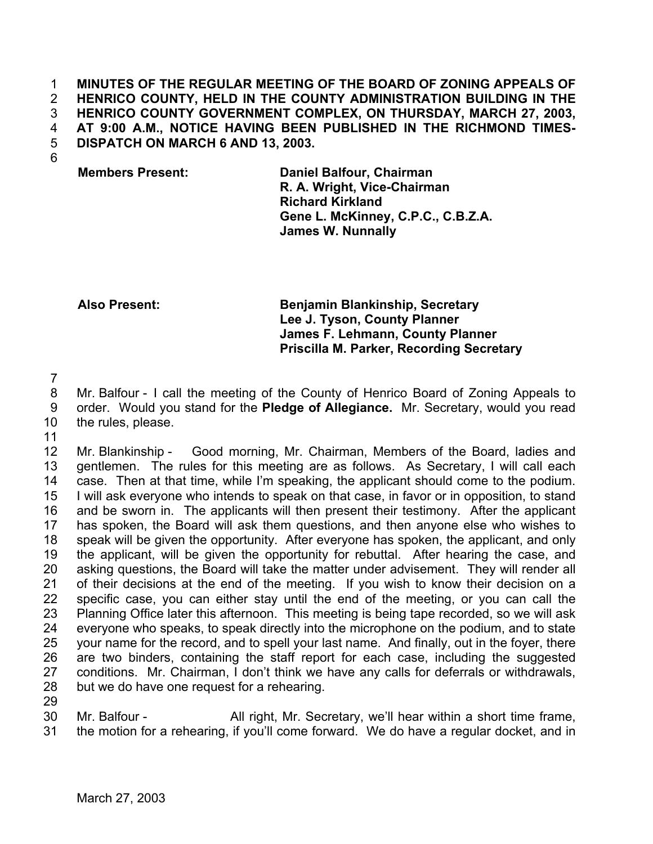## **MINUTES OF THE REGULAR MEETING OF THE BOARD OF ZONING APPEALS OF HENRICO COUNTY, HELD IN THE COUNTY ADMINISTRATION BUILDING IN THE HENRICO COUNTY GOVERNMENT COMPLEX, ON THURSDAY, MARCH 27, 2003, AT 9:00 A.M., NOTICE HAVING BEEN PUBLISHED IN THE RICHMOND TIMES-DISPATCH ON MARCH 6 AND 13, 2003.**  1 2 3 4 5

6

**Members Present: Daniel Balfour, Chairman R. A. Wright, Vice-Chairman Richard Kirkland Gene L. McKinney, C.P.C., C.B.Z.A. James W. Nunnally**

**Also Present: Benjamin Blankinship, Secretary Lee J. Tyson, County Planner James F. Lehmann, County Planner Priscilla M. Parker, Recording Secretary**

7

8 9 Mr. Balfour - I call the meeting of the County of Henrico Board of Zoning Appeals to order. Would you stand for the **Pledge of Allegiance.** Mr. Secretary, would you read the rules, please.

10 11

12 13 14 15 16 17 18 19 20 21 22 23 24 25 26 27 28 Mr. Blankinship - Good morning, Mr. Chairman, Members of the Board, ladies and gentlemen. The rules for this meeting are as follows. As Secretary, I will call each case. Then at that time, while I'm speaking, the applicant should come to the podium. I will ask everyone who intends to speak on that case, in favor or in opposition, to stand and be sworn in. The applicants will then present their testimony. After the applicant has spoken, the Board will ask them questions, and then anyone else who wishes to speak will be given the opportunity. After everyone has spoken, the applicant, and only the applicant, will be given the opportunity for rebuttal. After hearing the case, and asking questions, the Board will take the matter under advisement. They will render all of their decisions at the end of the meeting. If you wish to know their decision on a specific case, you can either stay until the end of the meeting, or you can call the Planning Office later this afternoon. This meeting is being tape recorded, so we will ask everyone who speaks, to speak directly into the microphone on the podium, and to state your name for the record, and to spell your last name. And finally, out in the foyer, there are two binders, containing the staff report for each case, including the suggested conditions. Mr. Chairman, I don't think we have any calls for deferrals or withdrawals, but we do have one request for a rehearing.

29

30 31 Mr. Balfour - All right, Mr. Secretary, we'll hear within a short time frame, the motion for a rehearing, if you'll come forward. We do have a regular docket, and in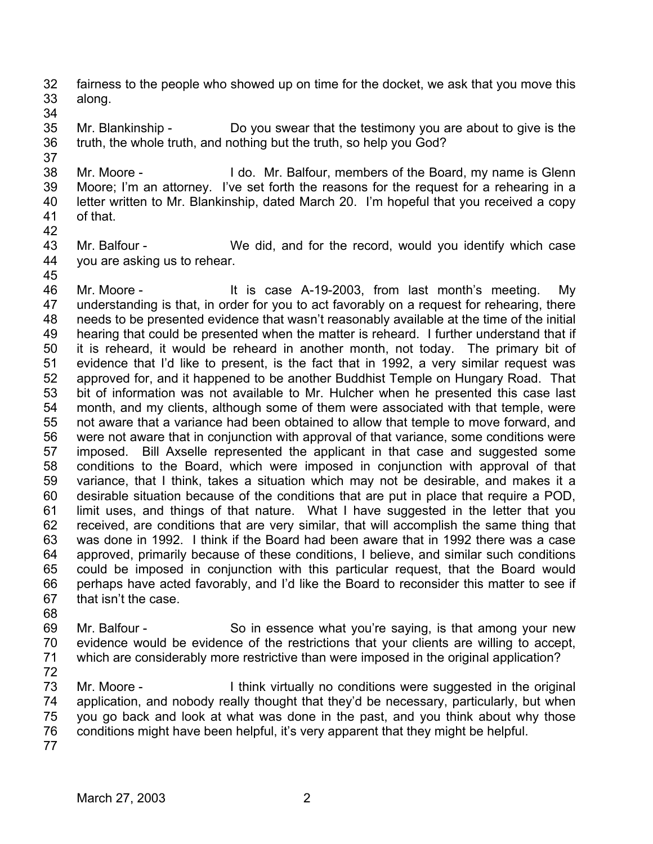32 33 fairness to the people who showed up on time for the docket, we ask that you move this along.

34

37

35 36 Mr. Blankinship - Do you swear that the testimony you are about to give is the truth, the whole truth, and nothing but the truth, so help you God?

38 39 40 41 Mr. Moore - I do. Mr. Balfour, members of the Board, my name is Glenn Moore; I'm an attorney. I've set forth the reasons for the request for a rehearing in a letter written to Mr. Blankinship, dated March 20. I'm hopeful that you received a copy of that.

42

43 44 Mr. Balfour - We did, and for the record, would you identify which case you are asking us to rehear.

45

46 47 48 49 50 51 52 53 54 55 56 57 58 59 60 61 62 63 64 65 66 67 68 Mr. Moore - The Music of the Case A-19-2003, from last month's meeting. My understanding is that, in order for you to act favorably on a request for rehearing, there needs to be presented evidence that wasn't reasonably available at the time of the initial hearing that could be presented when the matter is reheard. I further understand that if it is reheard, it would be reheard in another month, not today. The primary bit of evidence that I'd like to present, is the fact that in 1992, a very similar request was approved for, and it happened to be another Buddhist Temple on Hungary Road. That bit of information was not available to Mr. Hulcher when he presented this case last month, and my clients, although some of them were associated with that temple, were not aware that a variance had been obtained to allow that temple to move forward, and were not aware that in conjunction with approval of that variance, some conditions were imposed. Bill Axselle represented the applicant in that case and suggested some conditions to the Board, which were imposed in conjunction with approval of that variance, that I think, takes a situation which may not be desirable, and makes it a desirable situation because of the conditions that are put in place that require a POD, limit uses, and things of that nature. What I have suggested in the letter that you received, are conditions that are very similar, that will accomplish the same thing that was done in 1992. I think if the Board had been aware that in 1992 there was a case approved, primarily because of these conditions, I believe, and similar such conditions could be imposed in conjunction with this particular request, that the Board would perhaps have acted favorably, and I'd like the Board to reconsider this matter to see if that isn't the case.

69 70 71 Mr. Balfour - So in essence what you're saying, is that among your new evidence would be evidence of the restrictions that your clients are willing to accept, which are considerably more restrictive than were imposed in the original application?

72

73 74 75 76 Mr. Moore - Think virtually no conditions were suggested in the original application, and nobody really thought that they'd be necessary, particularly, but when you go back and look at what was done in the past, and you think about why those conditions might have been helpful, it's very apparent that they might be helpful.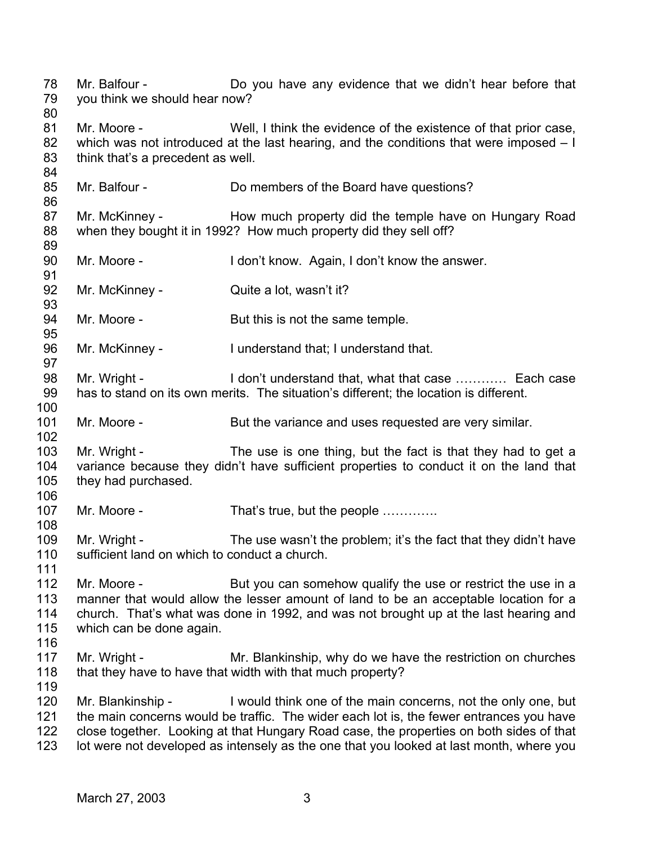78 79 80 81 82 83 84 85 86 87 88 89 90 91 92 93 94 95 96 97 98 99 100 101 102 103 104 105 106 107 108 109 110 111 112 113 114 115 116 117 118 119 120 121 122 123 Mr. Balfour - Do you have any evidence that we didn't hear before that you think we should hear now? Mr. Moore - Well, I think the evidence of the existence of that prior case, which was not introduced at the last hearing, and the conditions that were imposed – I think that's a precedent as well. Mr. Balfour - Do members of the Board have questions? Mr. McKinney - The How much property did the temple have on Hungary Road when they bought it in 1992? How much property did they sell off? Mr. Moore - I don't know. Again, I don't know the answer. Mr. McKinney - Quite a lot, wasn't it? Mr. Moore - But this is not the same temple. Mr. McKinney - I understand that; I understand that. Mr. Wright - The I don't understand that, what that case ………… Each case has to stand on its own merits. The situation's different; the location is different. Mr. Moore - But the variance and uses requested are very similar. Mr. Wright - The use is one thing, but the fact is that they had to get a variance because they didn't have sufficient properties to conduct it on the land that they had purchased. Mr. Moore - That's true, but the people ............. Mr. Wright - The use wasn't the problem; it's the fact that they didn't have sufficient land on which to conduct a church. Mr. Moore - But you can somehow qualify the use or restrict the use in a manner that would allow the lesser amount of land to be an acceptable location for a church. That's what was done in 1992, and was not brought up at the last hearing and which can be done again. Mr. Wright - Mr. Blankinship, why do we have the restriction on churches that they have to have that width with that much property? Mr. Blankinship - I would think one of the main concerns, not the only one, but the main concerns would be traffic. The wider each lot is, the fewer entrances you have close together. Looking at that Hungary Road case, the properties on both sides of that lot were not developed as intensely as the one that you looked at last month, where you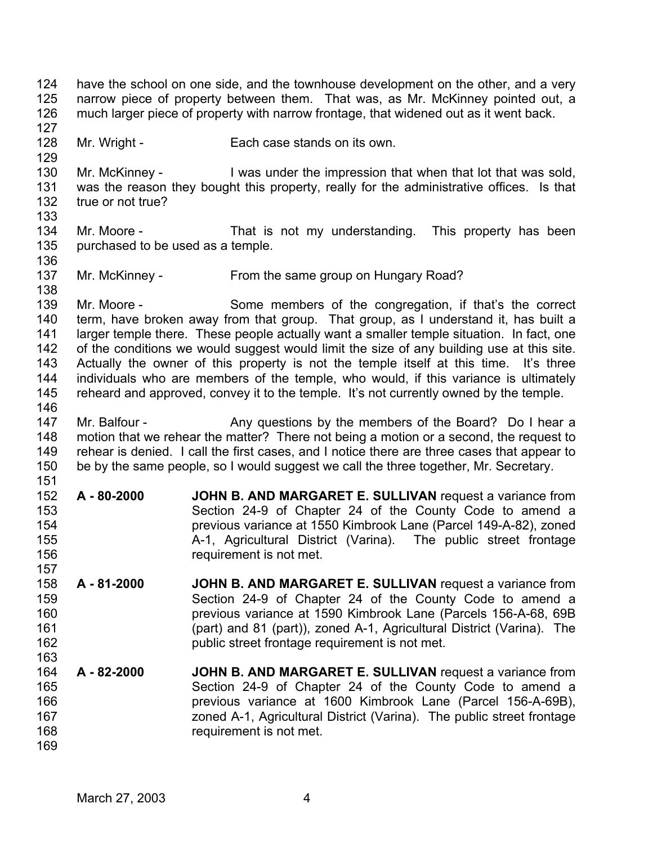124 125 126 127 128 129 130 131 132 133 134 135 136 137 138 139 140 141 142 143 144 145 146 147 148 149 150 151 152 153 154 155 156 157 158 159 160 161 162 163 164 165 166 167 168 169 have the school on one side, and the townhouse development on the other, and a very narrow piece of property between them. That was, as Mr. McKinney pointed out, a much larger piece of property with narrow frontage, that widened out as it went back. Mr. Wright - Each case stands on its own. Mr. McKinney - The U was under the impression that when that lot that was sold, was the reason they bought this property, really for the administrative offices. Is that true or not true? Mr. Moore - That is not my understanding. This property has been purchased to be used as a temple. Mr. McKinney - From the same group on Hungary Road? Mr. Moore - Some members of the congregation, if that's the correct term, have broken away from that group. That group, as I understand it, has built a larger temple there. These people actually want a smaller temple situation. In fact, one of the conditions we would suggest would limit the size of any building use at this site. Actually the owner of this property is not the temple itself at this time. It's three individuals who are members of the temple, who would, if this variance is ultimately reheard and approved, convey it to the temple. It's not currently owned by the temple. Mr. Balfour - Any questions by the members of the Board? Do I hear a motion that we rehear the matter? There not being a motion or a second, the request to rehear is denied. I call the first cases, and I notice there are three cases that appear to be by the same people, so I would suggest we call the three together, Mr. Secretary. **A - 80-2000 JOHN B. AND MARGARET E. SULLIVAN** request a variance from Section 24-9 of Chapter 24 of the County Code to amend a previous variance at 1550 Kimbrook Lane (Parcel 149-A-82), zoned A-1, Agricultural District (Varina). The public street frontage requirement is not met. **A - 81-2000 JOHN B. AND MARGARET E. SULLIVAN** request a variance from Section 24-9 of Chapter 24 of the County Code to amend a previous variance at 1590 Kimbrook Lane (Parcels 156-A-68, 69B (part) and 81 (part)), zoned A-1, Agricultural District (Varina). The public street frontage requirement is not met. **A - 82-2000 JOHN B. AND MARGARET E. SULLIVAN** request a variance from Section 24-9 of Chapter 24 of the County Code to amend a previous variance at 1600 Kimbrook Lane (Parcel 156-A-69B), zoned A-1, Agricultural District (Varina). The public street frontage requirement is not met.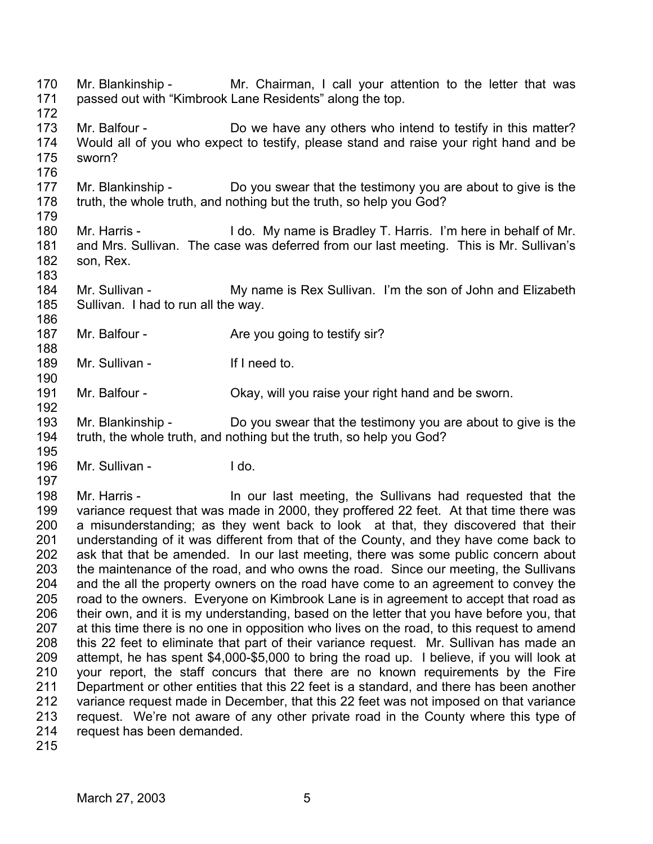170 171 172 173 174 175 176 177 178 179 180 181 182 183 184 185 186 187 188 189 190 191 192 193 194 195 196 197 198 199 200 201 202 203 204 205 206 207 208 209 210 211 212 213 214 215 Mr. Blankinship - Mr. Chairman, I call your attention to the letter that was passed out with "Kimbrook Lane Residents" along the top. Mr. Balfour - Do we have any others who intend to testify in this matter? Would all of you who expect to testify, please stand and raise your right hand and be sworn? Mr. Blankinship - Do you swear that the testimony you are about to give is the truth, the whole truth, and nothing but the truth, so help you God? Mr. Harris - I do. My name is Bradley T. Harris. I'm here in behalf of Mr. and Mrs. Sullivan. The case was deferred from our last meeting. This is Mr. Sullivan's son, Rex. Mr. Sullivan - My name is Rex Sullivan. I'm the son of John and Elizabeth Sullivan. I had to run all the way. Mr. Balfour - Are you going to testify sir? Mr. Sullivan - If I need to. Mr. Balfour - Chay, will you raise your right hand and be sworn. Mr. Blankinship - Do you swear that the testimony you are about to give is the truth, the whole truth, and nothing but the truth, so help you God? Mr. Sullivan - I do. Mr. Harris - The Sullivans had requested that the Sullivans had requested that the variance request that was made in 2000, they proffered 22 feet. At that time there was a misunderstanding; as they went back to look at that, they discovered that their understanding of it was different from that of the County, and they have come back to ask that that be amended. In our last meeting, there was some public concern about the maintenance of the road, and who owns the road. Since our meeting, the Sullivans and the all the property owners on the road have come to an agreement to convey the road to the owners. Everyone on Kimbrook Lane is in agreement to accept that road as their own, and it is my understanding, based on the letter that you have before you, that at this time there is no one in opposition who lives on the road, to this request to amend this 22 feet to eliminate that part of their variance request. Mr. Sullivan has made an attempt, he has spent \$4,000-\$5,000 to bring the road up. I believe, if you will look at your report, the staff concurs that there are no known requirements by the Fire Department or other entities that this 22 feet is a standard, and there has been another variance request made in December, that this 22 feet was not imposed on that variance request. We're not aware of any other private road in the County where this type of request has been demanded.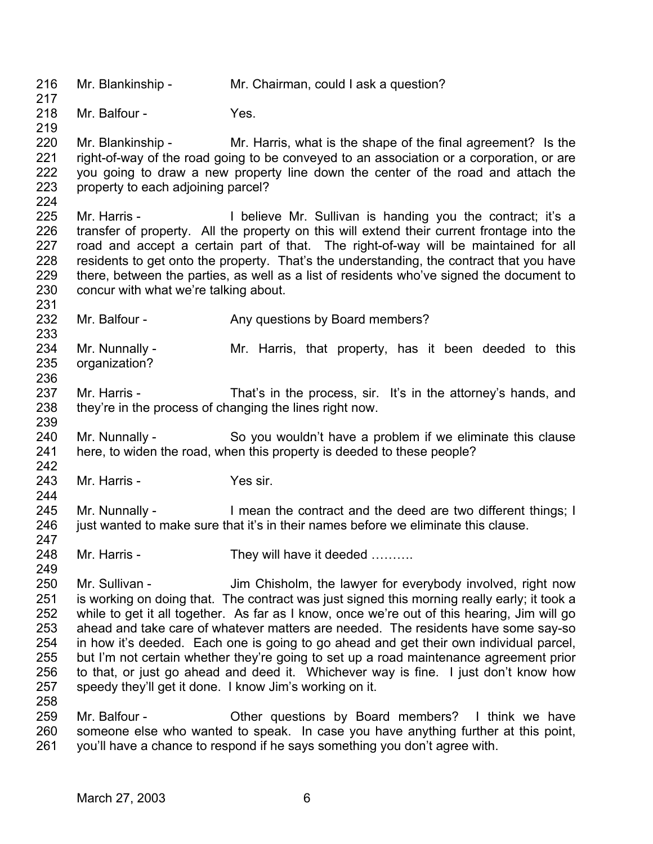216 217 218 219 220 221 222 223 224 225 226 227 228 229 230 231 232 233 234 235 236 237 238 239 240 241 242 243 244 245 246 247 248 249 250 251 252 253 254 255 256 257 258 259 260 261 Mr. Blankinship - Mr. Chairman, could I ask a question? Mr. Balfour - The Yes. Mr. Blankinship - Mr. Harris, what is the shape of the final agreement? Is the right-of-way of the road going to be conveyed to an association or a corporation, or are you going to draw a new property line down the center of the road and attach the property to each adjoining parcel? Mr. Harris - I believe Mr. Sullivan is handing you the contract; it's a transfer of property. All the property on this will extend their current frontage into the road and accept a certain part of that. The right-of-way will be maintained for all residents to get onto the property. That's the understanding, the contract that you have there, between the parties, as well as a list of residents who've signed the document to concur with what we're talking about. Mr. Balfour - Any questions by Board members? Mr. Nunnally - The Mr. Harris, that property, has it been deeded to this organization? Mr. Harris - That's in the process, sir. It's in the attorney's hands, and they're in the process of changing the lines right now. Mr. Nunnally - So you wouldn't have a problem if we eliminate this clause here, to widen the road, when this property is deeded to these people? Mr. Harris - Yes sir. Mr. Nunnally - I mean the contract and the deed are two different things; I just wanted to make sure that it's in their names before we eliminate this clause. Mr. Harris - They will have it deeded .......... Mr. Sullivan - The Sullim Chisholm, the lawyer for everybody involved, right now is working on doing that. The contract was just signed this morning really early; it took a while to get it all together. As far as I know, once we're out of this hearing, Jim will go ahead and take care of whatever matters are needed. The residents have some say-so in how it's deeded. Each one is going to go ahead and get their own individual parcel, but I'm not certain whether they're going to set up a road maintenance agreement prior to that, or just go ahead and deed it. Whichever way is fine. I just don't know how speedy they'll get it done. I know Jim's working on it. Mr. Balfour - Cher questions by Board members? I think we have someone else who wanted to speak. In case you have anything further at this point, you'll have a chance to respond if he says something you don't agree with.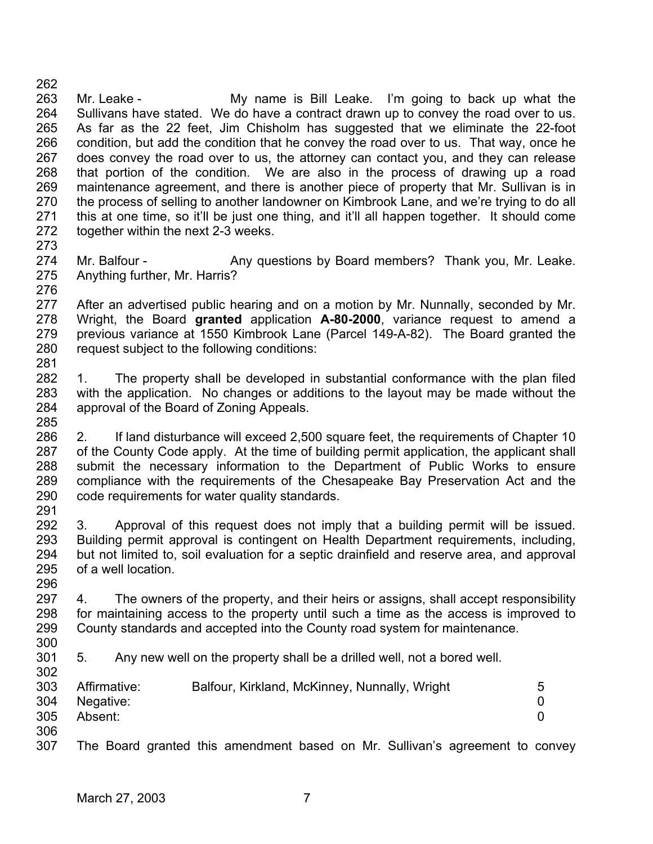262 263 264 265 266 267 268 269 270 271 272 273 Mr. Leake - The My name is Bill Leake. I'm going to back up what the Sullivans have stated. We do have a contract drawn up to convey the road over to us. As far as the 22 feet, Jim Chisholm has suggested that we eliminate the 22-foot condition, but add the condition that he convey the road over to us. That way, once he does convey the road over to us, the attorney can contact you, and they can release that portion of the condition. We are also in the process of drawing up a road maintenance agreement, and there is another piece of property that Mr. Sullivan is in the process of selling to another landowner on Kimbrook Lane, and we're trying to do all this at one time, so it'll be just one thing, and it'll all happen together. It should come together within the next 2-3 weeks.

274 275 276 Mr. Balfour - Any questions by Board members? Thank you, Mr. Leake. Anything further, Mr. Harris?

277 278 279 280 281 After an advertised public hearing and on a motion by Mr. Nunnally, seconded by Mr. Wright, the Board **granted** application **A-80-2000**, variance request to amend a previous variance at 1550 Kimbrook Lane (Parcel 149-A-82). The Board granted the request subject to the following conditions:

282 283 284 285 1. The property shall be developed in substantial conformance with the plan filed with the application. No changes or additions to the layout may be made without the approval of the Board of Zoning Appeals.

286 287 288 289 290 291 2. If land disturbance will exceed 2,500 square feet, the requirements of Chapter 10 of the County Code apply. At the time of building permit application, the applicant shall submit the necessary information to the Department of Public Works to ensure compliance with the requirements of the Chesapeake Bay Preservation Act and the code requirements for water quality standards.

292 293 294 295 296 3. Approval of this request does not imply that a building permit will be issued. Building permit approval is contingent on Health Department requirements, including, but not limited to, soil evaluation for a septic drainfield and reserve area, and approval of a well location.

297 298 299 4. The owners of the property, and their heirs or assigns, shall accept responsibility for maintaining access to the property until such a time as the access is improved to County standards and accepted into the County road system for maintenance.

- 300
- 301 302 5. Any new well on the property shall be a drilled well, not a bored well.

| 303 | Affirmative:  | Balfour, Kirkland, McKinney, Nunnally, Wright | 5 |
|-----|---------------|-----------------------------------------------|---|
|     | 304 Negative: |                                               |   |
| 305 | Absent:       |                                               |   |
| 306 |               |                                               |   |

307 The Board granted this amendment based on Mr. Sullivan's agreement to convey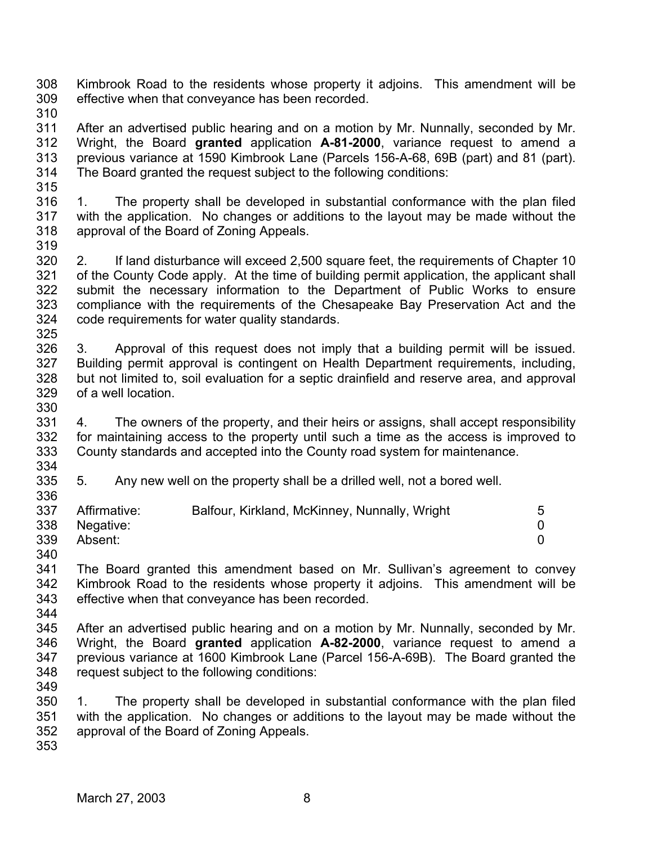308 309 Kimbrook Road to the residents whose property it adjoins. This amendment will be effective when that conveyance has been recorded.

310

311 312 313 314 After an advertised public hearing and on a motion by Mr. Nunnally, seconded by Mr. Wright, the Board **granted** application **A-81-2000**, variance request to amend a previous variance at 1590 Kimbrook Lane (Parcels 156-A-68, 69B (part) and 81 (part). The Board granted the request subject to the following conditions:

315 316 317 318 319 1. The property shall be developed in substantial conformance with the plan filed with the application. No changes or additions to the layout may be made without the approval of the Board of Zoning Appeals.

- 320 321 322 323 324 2. If land disturbance will exceed 2,500 square feet, the requirements of Chapter 10 of the County Code apply. At the time of building permit application, the applicant shall submit the necessary information to the Department of Public Works to ensure compliance with the requirements of the Chesapeake Bay Preservation Act and the code requirements for water quality standards.
- 325 326 327 328 329 330 3. Approval of this request does not imply that a building permit will be issued. Building permit approval is contingent on Health Department requirements, including, but not limited to, soil evaluation for a septic drainfield and reserve area, and approval of a well location.
- 331 332 333 4. The owners of the property, and their heirs or assigns, shall accept responsibility for maintaining access to the property until such a time as the access is improved to County standards and accepted into the County road system for maintenance.
- 334 335 5. Any new well on the property shall be a drilled well, not a bored well.

| 5 |
|---|
|   |
|   |
|   |

340

336

341 342 343 The Board granted this amendment based on Mr. Sullivan's agreement to convey Kimbrook Road to the residents whose property it adjoins. This amendment will be effective when that conveyance has been recorded.

344

345 346 347 348 After an advertised public hearing and on a motion by Mr. Nunnally, seconded by Mr. Wright, the Board **granted** application **A-82-2000**, variance request to amend a previous variance at 1600 Kimbrook Lane (Parcel 156-A-69B). The Board granted the request subject to the following conditions:

349

350 351 352 1. The property shall be developed in substantial conformance with the plan filed with the application. No changes or additions to the layout may be made without the approval of the Board of Zoning Appeals.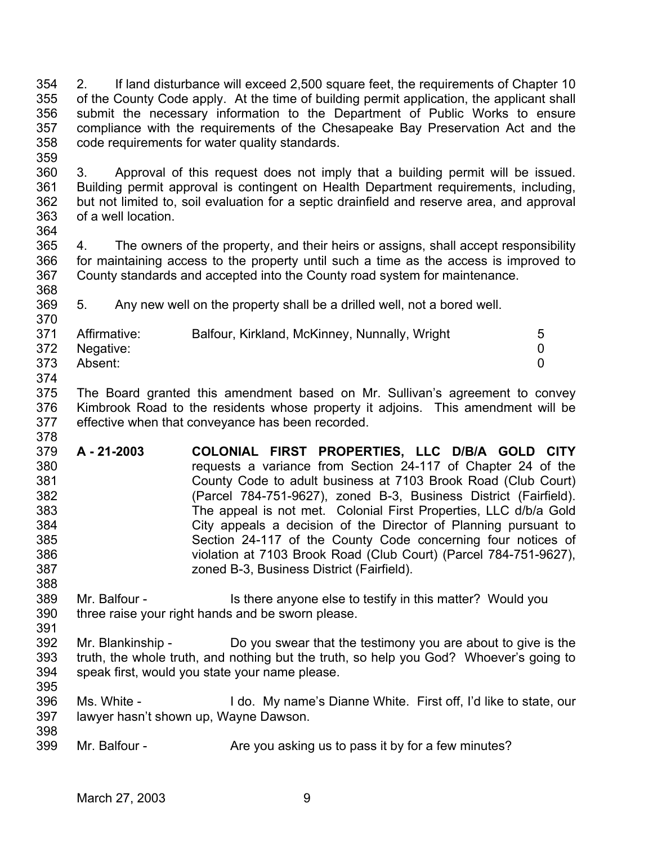354 355 356 357 358 2. If land disturbance will exceed 2,500 square feet, the requirements of Chapter 10 of the County Code apply. At the time of building permit application, the applicant shall submit the necessary information to the Department of Public Works to ensure compliance with the requirements of the Chesapeake Bay Preservation Act and the code requirements for water quality standards.

360 361 362 363 3. Approval of this request does not imply that a building permit will be issued. Building permit approval is contingent on Health Department requirements, including, but not limited to, soil evaluation for a septic drainfield and reserve area, and approval of a well location.

364

388

391

359

365 366 367 368 4. The owners of the property, and their heirs or assigns, shall accept responsibility for maintaining access to the property until such a time as the access is improved to County standards and accepted into the County road system for maintenance.

369 5. Any new well on the property shall be a drilled well, not a bored well.

| 370 |              |                                               |          |
|-----|--------------|-----------------------------------------------|----------|
| 371 | Affirmative: | Balfour, Kirkland, McKinney, Nunnally, Wright | 5        |
| 372 | Negative:    |                                               | $\Omega$ |
| 373 | Absent:      |                                               | 0        |
| 374 |              |                                               |          |

375 376 377 378 The Board granted this amendment based on Mr. Sullivan's agreement to convey Kimbrook Road to the residents whose property it adjoins. This amendment will be effective when that conveyance has been recorded.

- 379 380 381 382 383 384 385 386 387 **A - 21-2003 COLONIAL FIRST PROPERTIES, LLC D/B/A GOLD CITY** requests a variance from Section 24-117 of Chapter 24 of the County Code to adult business at 7103 Brook Road (Club Court) (Parcel 784-751-9627), zoned B-3, Business District (Fairfield). The appeal is not met. Colonial First Properties, LLC d/b/a Gold City appeals a decision of the Director of Planning pursuant to Section 24-117 of the County Code concerning four notices of violation at 7103 Brook Road (Club Court) (Parcel 784-751-9627), zoned B-3, Business District (Fairfield).
- 389 390 Mr. Balfour - Is there anyone else to testify in this matter? Would you three raise your right hands and be sworn please.
- 392 393 394 395 Mr. Blankinship - Do you swear that the testimony you are about to give is the truth, the whole truth, and nothing but the truth, so help you God? Whoever's going to speak first, would you state your name please.
- 396 397 398 Ms. White - I do. My name's Dianne White. First off, I'd like to state, our lawyer hasn't shown up, Wayne Dawson.
- 399 Mr. Balfour - Are you asking us to pass it by for a few minutes?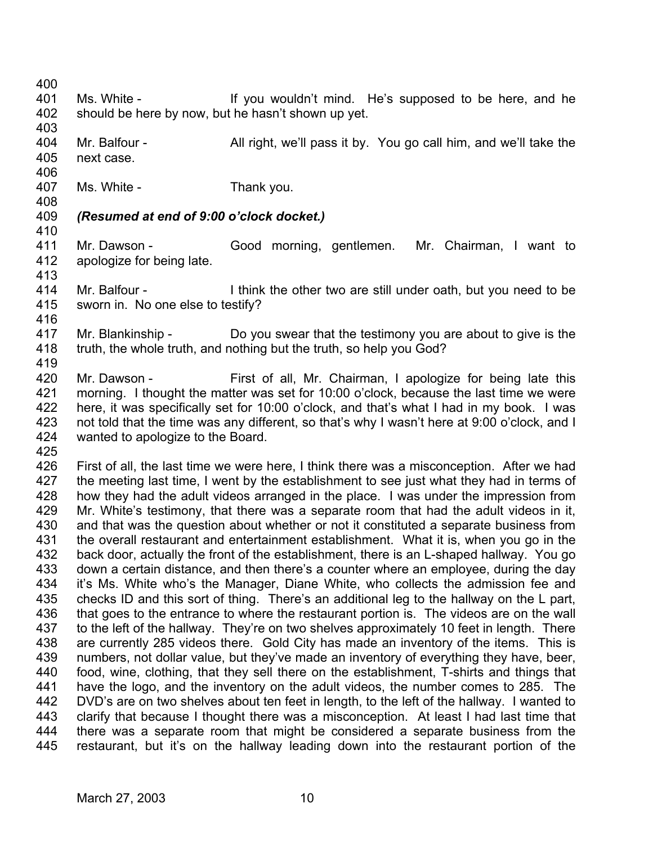400

- 401 402 Ms. White - The Manus of the Vou wouldn't mind. He's supposed to be here, and he should be here by now, but he hasn't shown up yet.
- 403 404 405 Mr. Balfour - All right, we'll pass it by. You go call him, and we'll take the next case.
- 407 Ms. White - Thank you.
- 408

406

- 409 *(Resumed at end of 9:00 o'clock docket.)*
- 410
- 411 412 413 Mr. Dawson - Good morning, gentlemen. Mr. Chairman, I want to apologize for being late.
- 414 415 416 Mr. Balfour - Think the other two are still under oath, but you need to be sworn in. No one else to testify?
- 417 418 419 Mr. Blankinship - Do you swear that the testimony you are about to give is the truth, the whole truth, and nothing but the truth, so help you God?
- 420 421 422 423 424 Mr. Dawson - First of all, Mr. Chairman, I apologize for being late this morning. I thought the matter was set for 10:00 o'clock, because the last time we were here, it was specifically set for 10:00 o'clock, and that's what I had in my book. I was not told that the time was any different, so that's why I wasn't here at 9:00 o'clock, and I wanted to apologize to the Board.
- 425

426 427 428 429 430 431 432 433 434 435 436 437 438 439 440 441 442 443 444 445 First of all, the last time we were here, I think there was a misconception. After we had the meeting last time, I went by the establishment to see just what they had in terms of how they had the adult videos arranged in the place. I was under the impression from Mr. White's testimony, that there was a separate room that had the adult videos in it, and that was the question about whether or not it constituted a separate business from the overall restaurant and entertainment establishment. What it is, when you go in the back door, actually the front of the establishment, there is an L-shaped hallway. You go down a certain distance, and then there's a counter where an employee, during the day it's Ms. White who's the Manager, Diane White, who collects the admission fee and checks ID and this sort of thing. There's an additional leg to the hallway on the L part, that goes to the entrance to where the restaurant portion is. The videos are on the wall to the left of the hallway. They're on two shelves approximately 10 feet in length. There are currently 285 videos there. Gold City has made an inventory of the items. This is numbers, not dollar value, but they've made an inventory of everything they have, beer, food, wine, clothing, that they sell there on the establishment, T-shirts and things that have the logo, and the inventory on the adult videos, the number comes to 285. The DVD's are on two shelves about ten feet in length, to the left of the hallway. I wanted to clarify that because I thought there was a misconception. At least I had last time that there was a separate room that might be considered a separate business from the restaurant, but it's on the hallway leading down into the restaurant portion of the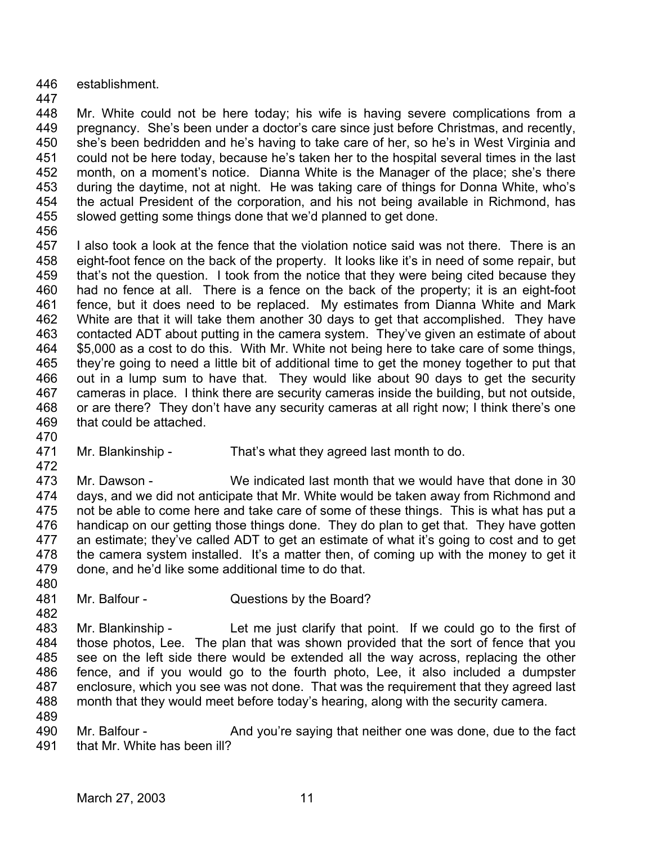- 446 establishment.
- 447

448 449 450 451 452 453 454 455 Mr. White could not be here today; his wife is having severe complications from a pregnancy. She's been under a doctor's care since just before Christmas, and recently, she's been bedridden and he's having to take care of her, so he's in West Virginia and could not be here today, because he's taken her to the hospital several times in the last month, on a moment's notice. Dianna White is the Manager of the place; she's there during the daytime, not at night. He was taking care of things for Donna White, who's the actual President of the corporation, and his not being available in Richmond, has slowed getting some things done that we'd planned to get done.

456

457 458 459 460 461 462 463 464 465 466 467 468 469 I also took a look at the fence that the violation notice said was not there. There is an eight-foot fence on the back of the property. It looks like it's in need of some repair, but that's not the question. I took from the notice that they were being cited because they had no fence at all. There is a fence on the back of the property; it is an eight-foot fence, but it does need to be replaced. My estimates from Dianna White and Mark White are that it will take them another 30 days to get that accomplished. They have contacted ADT about putting in the camera system. They've given an estimate of about \$5,000 as a cost to do this. With Mr. White not being here to take care of some things, they're going to need a little bit of additional time to get the money together to put that out in a lump sum to have that. They would like about 90 days to get the security cameras in place. I think there are security cameras inside the building, but not outside, or are there? They don't have any security cameras at all right now; I think there's one that could be attached.

- 470
- 471 472
- Mr. Blankinship That's what they agreed last month to do.

473 474 475 476 477 478 479 Mr. Dawson - We indicated last month that we would have that done in 30 days, and we did not anticipate that Mr. White would be taken away from Richmond and not be able to come here and take care of some of these things. This is what has put a handicap on our getting those things done. They do plan to get that. They have gotten an estimate; they've called ADT to get an estimate of what it's going to cost and to get the camera system installed. It's a matter then, of coming up with the money to get it done, and he'd like some additional time to do that.

480 481

482

Mr. Balfour - Questions by the Board?

483 484 485 486 487 488 Mr. Blankinship - Let me just clarify that point. If we could go to the first of those photos, Lee. The plan that was shown provided that the sort of fence that you see on the left side there would be extended all the way across, replacing the other fence, and if you would go to the fourth photo, Lee, it also included a dumpster enclosure, which you see was not done. That was the requirement that they agreed last month that they would meet before today's hearing, along with the security camera.

489

490 491 Mr. Balfour - The And you're saying that neither one was done, due to the fact that Mr. White has been ill?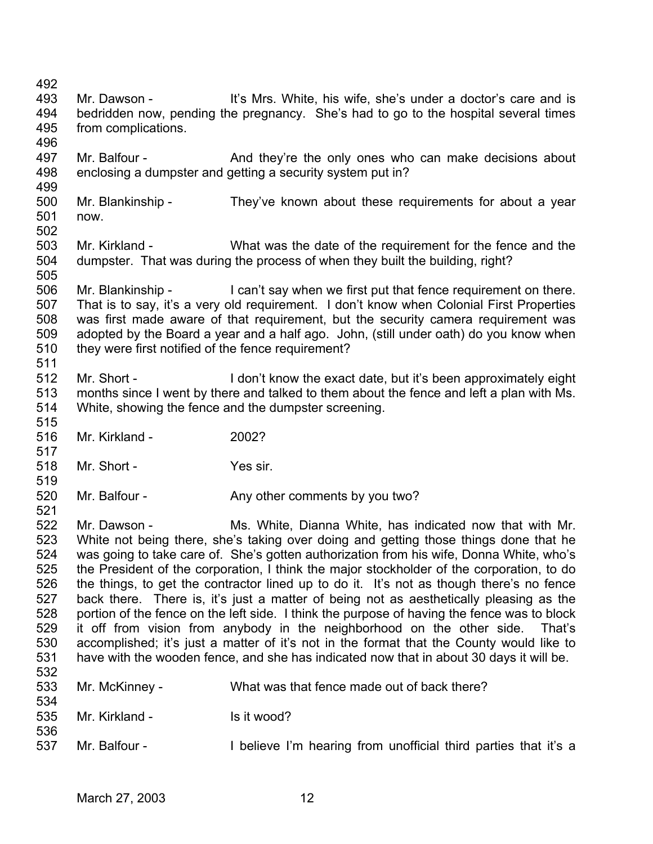- 492
- 493 494 495 Mr. Dawson - It's Mrs. White, his wife, she's under a doctor's care and is bedridden now, pending the pregnancy. She's had to go to the hospital several times from complications.
- 496

519

- 497 498 Mr. Balfour - And they're the only ones who can make decisions about enclosing a dumpster and getting a security system put in?
- 499 500 501 502 Mr. Blankinship - They've known about these requirements for about a year now.
- 503 504 505 Mr. Kirkland - What was the date of the requirement for the fence and the dumpster. That was during the process of when they built the building, right?
- 506 507 508 509 510 511 Mr. Blankinship - I can't say when we first put that fence requirement on there. That is to say, it's a very old requirement. I don't know when Colonial First Properties was first made aware of that requirement, but the security camera requirement was adopted by the Board a year and a half ago. John, (still under oath) do you know when they were first notified of the fence requirement?
- 512 513 514 515 Mr. Short - **I** don't know the exact date, but it's been approximately eight months since I went by there and talked to them about the fence and left a plan with Ms. White, showing the fence and the dumpster screening.
- 516 Mr. Kirkland - 2002?
- 517 518 Mr. Short - Yes sir.
- 520 Mr. Balfour - Any other comments by you two?
- 522 523 524 525 526 527 528 529 530 531 532 Mr. Dawson - Ms. White, Dianna White, has indicated now that with Mr. White not being there, she's taking over doing and getting those things done that he was going to take care of. She's gotten authorization from his wife, Donna White, who's the President of the corporation, I think the major stockholder of the corporation, to do the things, to get the contractor lined up to do it. It's not as though there's no fence back there. There is, it's just a matter of being not as aesthetically pleasing as the portion of the fence on the left side. I think the purpose of having the fence was to block it off from vision from anybody in the neighborhood on the other side. That's accomplished; it's just a matter of it's not in the format that the County would like to have with the wooden fence, and she has indicated now that in about 30 days it will be.

| 533<br>534 | Mr. McKinney - | What was that fence made out of back there?                     |
|------------|----------------|-----------------------------------------------------------------|
| 535        | Mr. Kirkland - | Is it wood?                                                     |
| 536<br>537 | Mr. Balfour -  | I believe I'm hearing from unofficial third parties that it's a |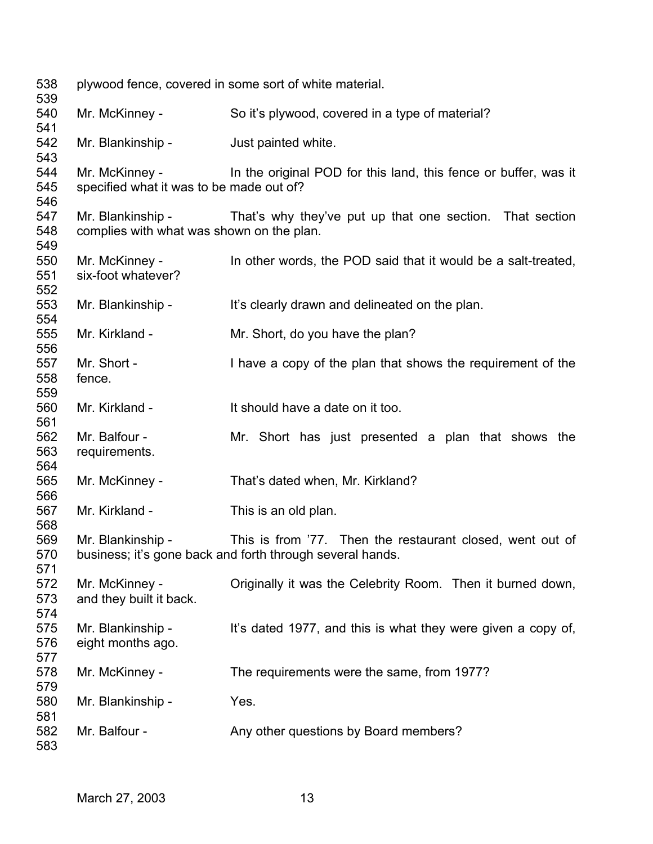| 538<br>539        | plywood fence, covered in some sort of white material.         |                                                                                                                        |  |
|-------------------|----------------------------------------------------------------|------------------------------------------------------------------------------------------------------------------------|--|
| 540<br>541        | Mr. McKinney -                                                 | So it's plywood, covered in a type of material?                                                                        |  |
| 542<br>543        | Mr. Blankinship -                                              | Just painted white.                                                                                                    |  |
| 544<br>545<br>546 | Mr. McKinney -<br>specified what it was to be made out of?     | In the original POD for this land, this fence or buffer, was it                                                        |  |
| 547<br>548<br>549 | Mr. Blankinship -<br>complies with what was shown on the plan. | That's why they've put up that one section. That section                                                               |  |
| 550<br>551<br>552 | Mr. McKinney -<br>six-foot whatever?                           | In other words, the POD said that it would be a salt-treated,                                                          |  |
| 553<br>554        | Mr. Blankinship -                                              | It's clearly drawn and delineated on the plan.                                                                         |  |
| 555<br>556        | Mr. Kirkland -                                                 | Mr. Short, do you have the plan?                                                                                       |  |
| 557<br>558<br>559 | Mr. Short -<br>fence.                                          | I have a copy of the plan that shows the requirement of the                                                            |  |
| 560<br>561        | Mr. Kirkland -                                                 | It should have a date on it too.                                                                                       |  |
| 562<br>563<br>564 | Mr. Balfour -<br>requirements.                                 | Mr. Short has just presented a plan that shows the                                                                     |  |
| 565<br>566        | Mr. McKinney -                                                 | That's dated when, Mr. Kirkland?                                                                                       |  |
| 567<br>568        | Mr. Kirkland -                                                 | This is an old plan.                                                                                                   |  |
| 569<br>570<br>571 | Mr. Blankinship -                                              | This is from '77. Then the restaurant closed, went out of<br>business; it's gone back and forth through several hands. |  |
| 572<br>573<br>574 | Mr. McKinney -<br>and they built it back.                      | Originally it was the Celebrity Room. Then it burned down,                                                             |  |
| 575<br>576        | Mr. Blankinship -<br>eight months ago.                         | It's dated 1977, and this is what they were given a copy of,                                                           |  |
| 577<br>578<br>579 | Mr. McKinney -                                                 | The requirements were the same, from 1977?                                                                             |  |
| 580<br>581        | Mr. Blankinship -                                              | Yes.                                                                                                                   |  |
| 582<br>583        | Mr. Balfour -                                                  | Any other questions by Board members?                                                                                  |  |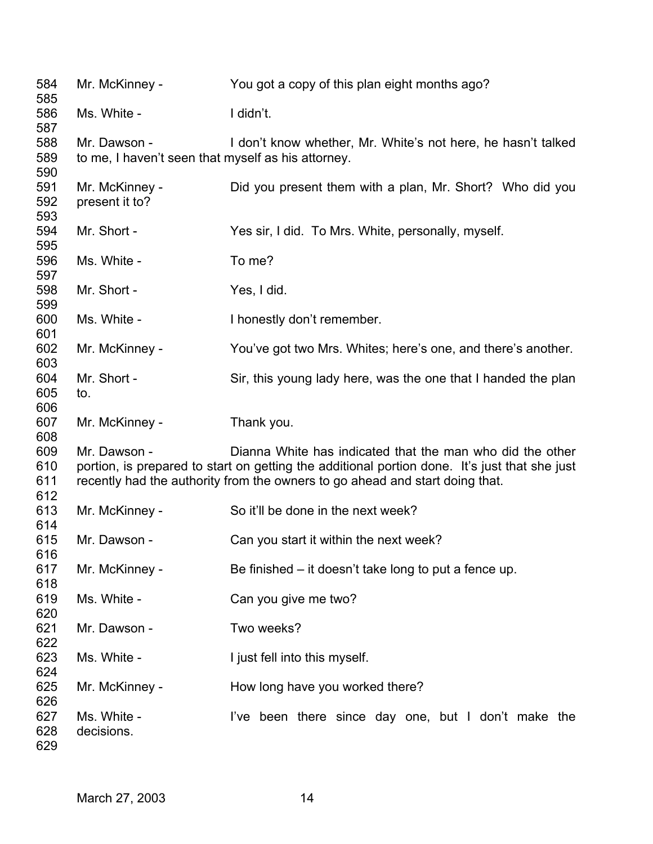| 584<br>585               | Mr. McKinney -                                                     | You got a copy of this plan eight months ago?                                                                                                                                                                                              |
|--------------------------|--------------------------------------------------------------------|--------------------------------------------------------------------------------------------------------------------------------------------------------------------------------------------------------------------------------------------|
| 586<br>587               | Ms. White -                                                        | I didn't.                                                                                                                                                                                                                                  |
| 588<br>589<br>590        | Mr. Dawson -<br>to me, I haven't seen that myself as his attorney. | I don't know whether, Mr. White's not here, he hasn't talked                                                                                                                                                                               |
| 591<br>592<br>593        | Mr. McKinney -<br>present it to?                                   | Did you present them with a plan, Mr. Short? Who did you                                                                                                                                                                                   |
| 594<br>595               | Mr. Short -                                                        | Yes sir, I did. To Mrs. White, personally, myself.                                                                                                                                                                                         |
| 596<br>597               | Ms. White -                                                        | To me?                                                                                                                                                                                                                                     |
| 598<br>599               | Mr. Short -                                                        | Yes, I did.                                                                                                                                                                                                                                |
| 600<br>601               | Ms. White -                                                        | I honestly don't remember.                                                                                                                                                                                                                 |
| 602<br>603               | Mr. McKinney -                                                     | You've got two Mrs. Whites; here's one, and there's another.                                                                                                                                                                               |
| 604<br>605<br>606        | Mr. Short -<br>to.                                                 | Sir, this young lady here, was the one that I handed the plan                                                                                                                                                                              |
| 607<br>608               | Mr. McKinney -                                                     | Thank you.                                                                                                                                                                                                                                 |
| 609<br>610<br>611<br>612 | Mr. Dawson -                                                       | Dianna White has indicated that the man who did the other<br>portion, is prepared to start on getting the additional portion done. It's just that she just<br>recently had the authority from the owners to go ahead and start doing that. |
| 613<br>614               | Mr. McKinney -                                                     | So it'll be done in the next week?                                                                                                                                                                                                         |
| 615<br>616               | Mr. Dawson -                                                       | Can you start it within the next week?                                                                                                                                                                                                     |
| 617<br>618               | Mr. McKinney -                                                     | Be finished – it doesn't take long to put a fence up.                                                                                                                                                                                      |
| 619<br>620               | Ms. White -                                                        | Can you give me two?                                                                                                                                                                                                                       |
| 621<br>622               | Mr. Dawson -                                                       | Two weeks?                                                                                                                                                                                                                                 |
| 623<br>624               | Ms. White -                                                        | I just fell into this myself.                                                                                                                                                                                                              |
| 625<br>626               | Mr. McKinney -                                                     | How long have you worked there?                                                                                                                                                                                                            |
| 627<br>628<br>629        | Ms. White -<br>decisions.                                          | I've been there since day one, but I don't make the                                                                                                                                                                                        |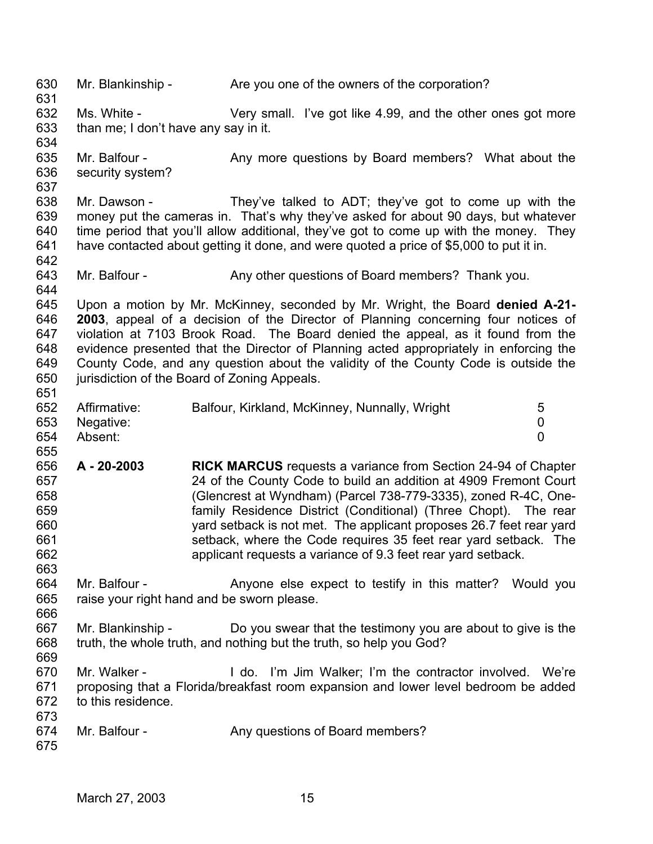630 631 632 633 634 635 636 637 638 639 640 641 642 643 644 645 646 647 648 649 650 651 652 653 654 655 656 657 658 659 660 661 662 663 664 665 666 667 668 669 670 671 672 673 674 675 Mr. Blankinship - Are you one of the owners of the corporation? Ms. White - Very small. I've got like 4.99, and the other ones got more than me; I don't have any say in it. Mr. Balfour - Any more questions by Board members? What about the security system? Mr. Dawson - They've talked to ADT; they've got to come up with the money put the cameras in. That's why they've asked for about 90 days, but whatever time period that you'll allow additional, they've got to come up with the money. They have contacted about getting it done, and were quoted a price of \$5,000 to put it in. Mr. Balfour - Any other questions of Board members? Thank you. Upon a motion by Mr. McKinney, seconded by Mr. Wright, the Board **denied A-21- 2003**, appeal of a decision of the Director of Planning concerning four notices of violation at 7103 Brook Road. The Board denied the appeal, as it found from the evidence presented that the Director of Planning acted appropriately in enforcing the County Code, and any question about the validity of the County Code is outside the jurisdiction of the Board of Zoning Appeals. Affirmative: Balfour, Kirkland, McKinney, Nunnally, Wright 5 Negative: 0 Absent: 0 **A - 20-2003 RICK MARCUS** requests a variance from Section 24-94 of Chapter 24 of the County Code to build an addition at 4909 Fremont Court (Glencrest at Wyndham) (Parcel 738-779-3335), zoned R-4C, Onefamily Residence District (Conditional) (Three Chopt). The rear yard setback is not met. The applicant proposes 26.7 feet rear yard setback, where the Code requires 35 feet rear yard setback. The applicant requests a variance of 9.3 feet rear yard setback. Mr. Balfour - Anyone else expect to testify in this matter? Would you raise your right hand and be sworn please. Mr. Blankinship - Do you swear that the testimony you are about to give is the truth, the whole truth, and nothing but the truth, so help you God? Mr. Walker - I do. I'm Jim Walker; I'm the contractor involved. We're proposing that a Florida/breakfast room expansion and lower level bedroom be added to this residence. Mr. Balfour - Any questions of Board members?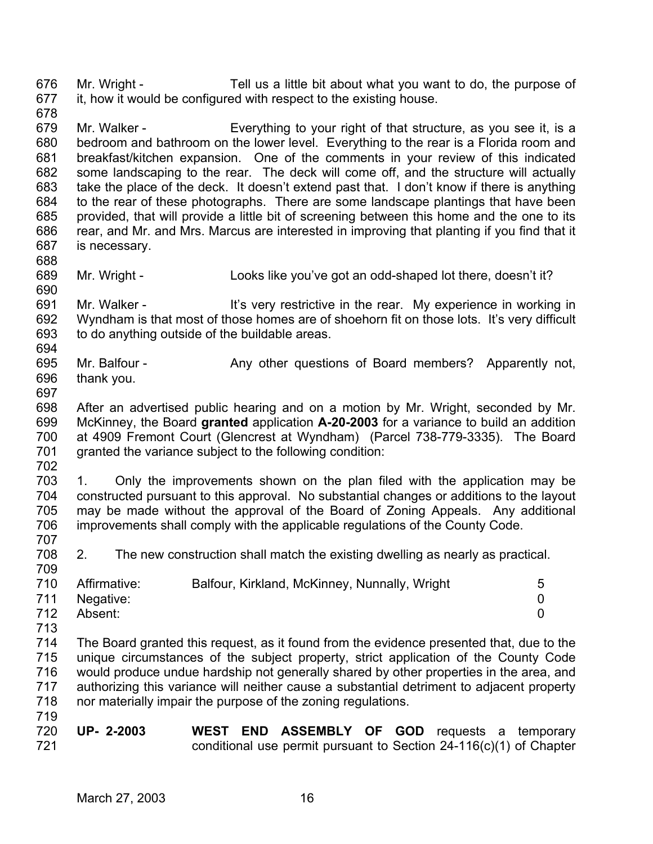676 677 Mr. Wright - Tell us a little bit about what you want to do, the purpose of it, how it would be configured with respect to the existing house.

- 678 679 680 681 682 683 684 685 686 687 Mr. Walker - Everything to your right of that structure, as you see it, is a bedroom and bathroom on the lower level. Everything to the rear is a Florida room and breakfast/kitchen expansion. One of the comments in your review of this indicated some landscaping to the rear. The deck will come off, and the structure will actually take the place of the deck. It doesn't extend past that. I don't know if there is anything to the rear of these photographs. There are some landscape plantings that have been provided, that will provide a little bit of screening between this home and the one to its rear, and Mr. and Mrs. Marcus are interested in improving that planting if you find that it is necessary.
- 689 690 Mr. Wright - Looks like you've got an odd-shaped lot there, doesn't it?
- 691 692 693 694 Mr. Walker - It's very restrictive in the rear. My experience in working in Wyndham is that most of those homes are of shoehorn fit on those lots. It's very difficult to do anything outside of the buildable areas.
- 695 696 Mr. Balfour - Any other questions of Board members? Apparently not, thank you.
- 697

688

- 698 699 700 701 After an advertised public hearing and on a motion by Mr. Wright, seconded by Mr. McKinney, the Board **granted** application **A-20-2003** for a variance to build an addition at 4909 Fremont Court (Glencrest at Wyndham) (Parcel 738-779-3335). The Board granted the variance subject to the following condition:
- 702

703 704 705 706 707 1. Only the improvements shown on the plan filed with the application may be constructed pursuant to this approval. No substantial changes or additions to the layout may be made without the approval of the Board of Zoning Appeals. Any additional improvements shall comply with the applicable regulations of the County Code.

708 709 2. The new construction shall match the existing dwelling as nearly as practical.

| 710 | Affirmative:  | Balfour, Kirkland, McKinney, Nunnally, Wright | 5 |
|-----|---------------|-----------------------------------------------|---|
|     | 711 Negative: |                                               |   |
| 712 | Absent:       |                                               |   |

713

714 715 716 717 718 719 The Board granted this request, as it found from the evidence presented that, due to the unique circumstances of the subject property, strict application of the County Code would produce undue hardship not generally shared by other properties in the area, and authorizing this variance will neither cause a substantial detriment to adjacent property nor materially impair the purpose of the zoning regulations.

720 721 **UP- 2-2003 WEST END ASSEMBLY OF GOD** requests a temporary conditional use permit pursuant to Section 24-116(c)(1) of Chapter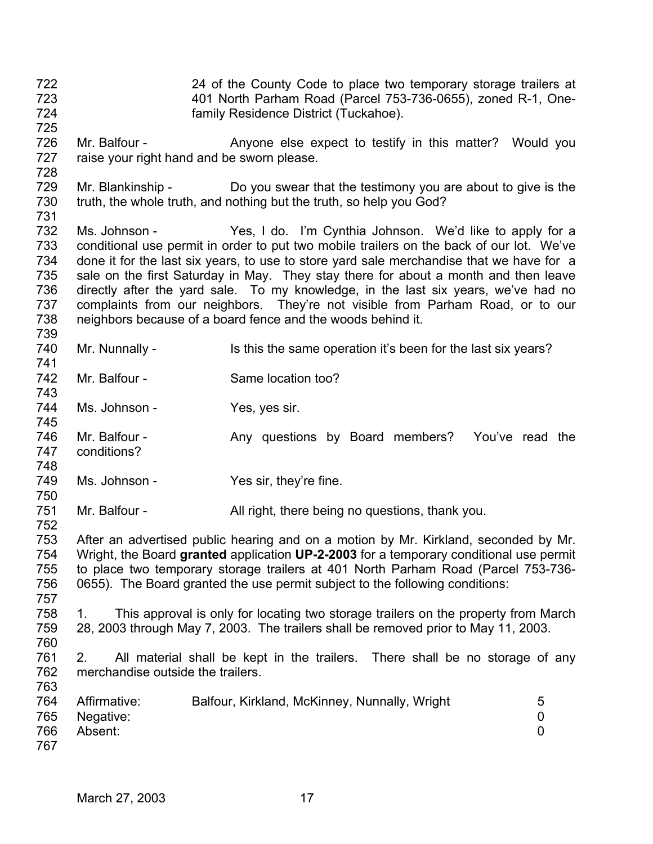723 724 725 726 727 728 729 730 731 732 733 734 735 736 737 738 739 740 741 742 743 744 745 746 747 748 749 750 751 752 753 754 755 756 757 758 759 760 761 762 763 764 765 766 767 401 North Parham Road (Parcel 753-736-0655), zoned R-1, Onefamily Residence District (Tuckahoe). Mr. Balfour - The Anyone else expect to testify in this matter? Would you raise your right hand and be sworn please. Mr. Blankinship - Do you swear that the testimony you are about to give is the truth, the whole truth, and nothing but the truth, so help you God? Ms. Johnson - Yes, I do. I'm Cynthia Johnson. We'd like to apply for a conditional use permit in order to put two mobile trailers on the back of our lot. We've done it for the last six years, to use to store yard sale merchandise that we have for a sale on the first Saturday in May. They stay there for about a month and then leave directly after the yard sale. To my knowledge, in the last six years, we've had no complaints from our neighbors. They're not visible from Parham Road, or to our neighbors because of a board fence and the woods behind it. Mr. Nunnally - Is this the same operation it's been for the last six years? Mr. Balfour - Same location too? Ms. Johnson - Yes, yes sir. Mr. Balfour - The Any questions by Board members? You've read the conditions? Ms. Johnson - Yes sir, they're fine. Mr. Balfour - All right, there being no questions, thank you. After an advertised public hearing and on a motion by Mr. Kirkland, seconded by Mr. Wright, the Board **granted** application **UP-2-2003** for a temporary conditional use permit to place two temporary storage trailers at 401 North Parham Road (Parcel 753-736- 0655). The Board granted the use permit subject to the following conditions: 1. This approval is only for locating two storage trailers on the property from March 28, 2003 through May 7, 2003. The trailers shall be removed prior to May 11, 2003. 2. All material shall be kept in the trailers. There shall be no storage of any merchandise outside the trailers. Affirmative: Balfour, Kirkland, McKinney, Nunnally, Wright 5 Negative: 0 Absent: 0

24 of the County Code to place two temporary storage trailers at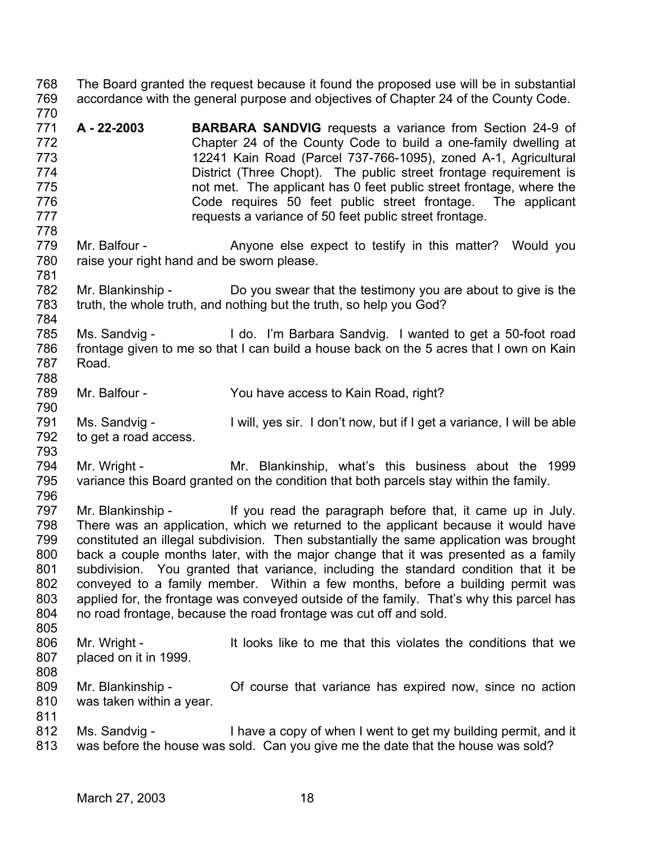768 769 770 771 772 773 774 775 776 777 778 779 780 781 782 783 784 785 786 787 788 789 790 791 792 793 794 795 796 797 798 799 800 801 802 803 804 805 806 807 808 809 810 811 812 813 The Board granted the request because it found the proposed use will be in substantial accordance with the general purpose and objectives of Chapter 24 of the County Code. **A - 22-2003 BARBARA SANDVIG** requests a variance from Section 24-9 of Chapter 24 of the County Code to build a one-family dwelling at 12241 Kain Road (Parcel 737-766-1095), zoned A-1, Agricultural District (Three Chopt). The public street frontage requirement is not met. The applicant has 0 feet public street frontage, where the Code requires 50 feet public street frontage. The applicant requests a variance of 50 feet public street frontage. Mr. Balfour - Anyone else expect to testify in this matter? Would you raise your right hand and be sworn please. Mr. Blankinship - Do you swear that the testimony you are about to give is the truth, the whole truth, and nothing but the truth, so help you God? Ms. Sandvig - I do. I'm Barbara Sandvig. I wanted to get a 50-foot road frontage given to me so that I can build a house back on the 5 acres that I own on Kain Road. Mr. Balfour - You have access to Kain Road, right? Ms. Sandvig - I will, yes sir. I don't now, but if I get a variance, I will be able to get a road access. Mr. Wright - The Mr. Blankinship, what's this business about the 1999 variance this Board granted on the condition that both parcels stay within the family. Mr. Blankinship - If you read the paragraph before that, it came up in July. There was an application, which we returned to the applicant because it would have constituted an illegal subdivision. Then substantially the same application was brought back a couple months later, with the major change that it was presented as a family subdivision. You granted that variance, including the standard condition that it be conveyed to a family member. Within a few months, before a building permit was applied for, the frontage was conveyed outside of the family. That's why this parcel has no road frontage, because the road frontage was cut off and sold. Mr. Wright - It looks like to me that this violates the conditions that we placed on it in 1999. Mr. Blankinship - Of course that variance has expired now, since no action was taken within a year. Ms. Sandvig - I have a copy of when I went to get my building permit, and it was before the house was sold. Can you give me the date that the house was sold?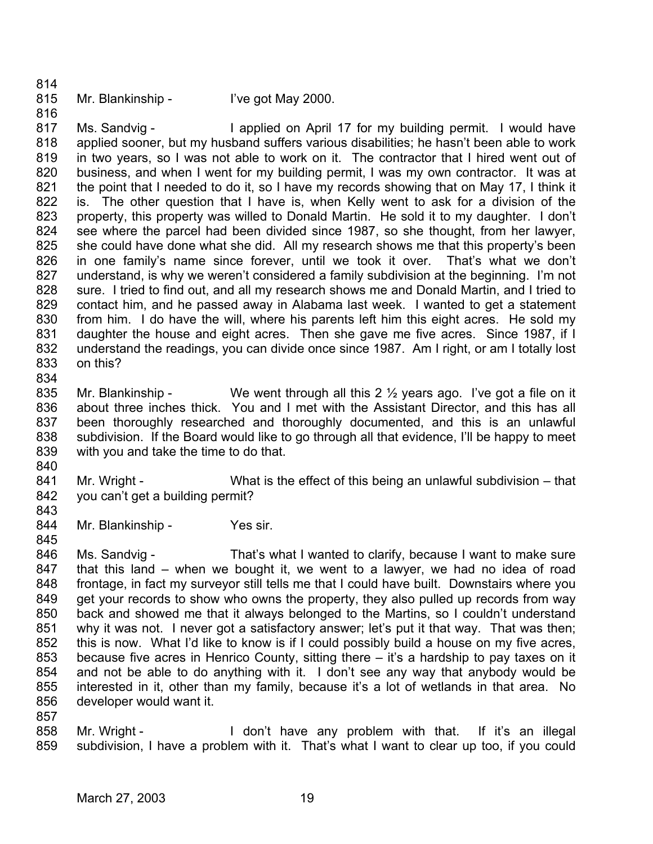- 814
- 815
- Mr. Blankinship I've got May 2000.

816 817 818 819 820 821 822 823 824 825 826 827 828 829 830 831 832 833 834 Ms. Sandvig - I applied on April 17 for my building permit. I would have applied sooner, but my husband suffers various disabilities; he hasn't been able to work in two years, so I was not able to work on it. The contractor that I hired went out of business, and when I went for my building permit, I was my own contractor. It was at the point that I needed to do it, so I have my records showing that on May 17, I think it is. The other question that I have is, when Kelly went to ask for a division of the property, this property was willed to Donald Martin. He sold it to my daughter. I don't see where the parcel had been divided since 1987, so she thought, from her lawyer, she could have done what she did. All my research shows me that this property's been in one family's name since forever, until we took it over. That's what we don't understand, is why we weren't considered a family subdivision at the beginning. I'm not sure. I tried to find out, and all my research shows me and Donald Martin, and I tried to contact him, and he passed away in Alabama last week. I wanted to get a statement from him. I do have the will, where his parents left him this eight acres. He sold my daughter the house and eight acres. Then she gave me five acres. Since 1987, if I understand the readings, you can divide once since 1987. Am I right, or am I totally lost on this?

- 835 836 837 838 839 Mr. Blankinship - We went through all this  $2\frac{1}{2}$  years ago. I've got a file on it about three inches thick. You and I met with the Assistant Director, and this has all been thoroughly researched and thoroughly documented, and this is an unlawful subdivision. If the Board would like to go through all that evidence, I'll be happy to meet with you and take the time to do that.
- 840
- 841 842 Mr. Wright - What is the effect of this being an unlawful subdivision – that you can't get a building permit?
- 843 844

- Mr. Blankinship Yes sir.
- 846 847 848 849 850 851 852 853 854 855 856 Ms. Sandvig - That's what I wanted to clarify, because I want to make sure that this land – when we bought it, we went to a lawyer, we had no idea of road frontage, in fact my surveyor still tells me that I could have built. Downstairs where you get your records to show who owns the property, they also pulled up records from way back and showed me that it always belonged to the Martins, so I couldn't understand why it was not. I never got a satisfactory answer; let's put it that way. That was then; this is now. What I'd like to know is if I could possibly build a house on my five acres, because five acres in Henrico County, sitting there – it's a hardship to pay taxes on it and not be able to do anything with it. I don't see any way that anybody would be interested in it, other than my family, because it's a lot of wetlands in that area. No developer would want it.
- 857
- 858 859 Mr. Wright - The Mon't have any problem with that. If it's an illegal subdivision, I have a problem with it. That's what I want to clear up too, if you could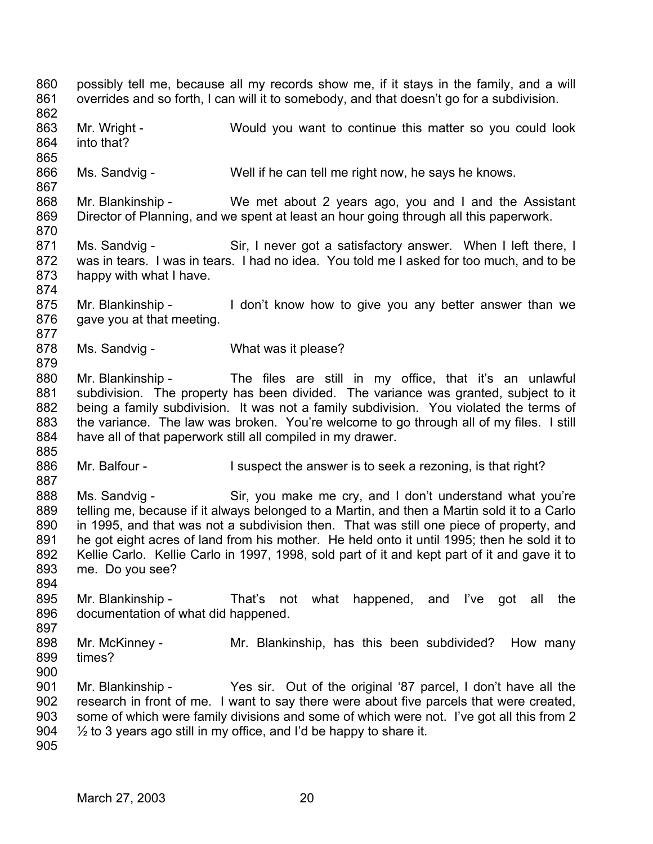860 861 862 863 864 865 866 867 868 869 870 871 872 873 874 875 876 877 878 879 880 881 882 883 884 885 886 887 888 889 890 891 892 893 894 895 896 897 898 899 900 901 902 903 904 905 possibly tell me, because all my records show me, if it stays in the family, and a will overrides and so forth, I can will it to somebody, and that doesn't go for a subdivision. Mr. Wright - Would you want to continue this matter so you could look into that? Ms. Sandvig - Well if he can tell me right now, he says he knows. Mr. Blankinship - We met about 2 years ago, you and I and the Assistant Director of Planning, and we spent at least an hour going through all this paperwork. Ms. Sandvig - Sir, I never got a satisfactory answer. When I left there, I was in tears. I was in tears. I had no idea. You told me I asked for too much, and to be happy with what I have. Mr. Blankinship - I don't know how to give you any better answer than we gave you at that meeting. Ms. Sandvig - What was it please? Mr. Blankinship - The files are still in my office, that it's an unlawful subdivision. The property has been divided. The variance was granted, subject to it being a family subdivision. It was not a family subdivision. You violated the terms of the variance. The law was broken. You're welcome to go through all of my files. I still have all of that paperwork still all compiled in my drawer. Mr. Balfour - I suspect the answer is to seek a rezoning, is that right? Ms. Sandvig - Sir, you make me cry, and I don't understand what you're telling me, because if it always belonged to a Martin, and then a Martin sold it to a Carlo in 1995, and that was not a subdivision then. That was still one piece of property, and he got eight acres of land from his mother. He held onto it until 1995; then he sold it to Kellie Carlo. Kellie Carlo in 1997, 1998, sold part of it and kept part of it and gave it to me. Do you see? Mr. Blankinship - That's not what happened, and I've got all the documentation of what did happened. Mr. McKinney - The Mr. Blankinship, has this been subdivided? How many times? Mr. Blankinship - Yes sir. Out of the original '87 parcel, I don't have all the research in front of me. I want to say there were about five parcels that were created, some of which were family divisions and some of which were not. I've got all this from 2  $\frac{1}{2}$  to 3 years ago still in my office, and I'd be happy to share it.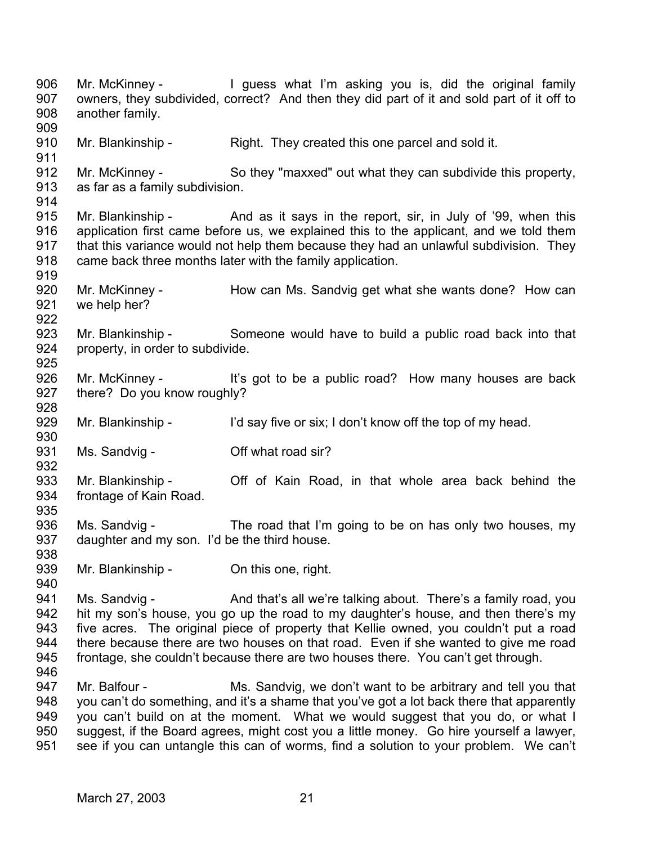906 907 908 909 910 911 912 913 914 915 916 917 918 919 920 921 922 923 924 925 926 927 928 929 930 931 932 933 934 935 936 937 938 939 940 941 942 943 944 945 946 947 948 949 950 951 Mr. McKinney - I guess what I'm asking you is, did the original family owners, they subdivided, correct? And then they did part of it and sold part of it off to another family. Mr. Blankinship - Right. They created this one parcel and sold it. Mr. McKinney - So they "maxxed" out what they can subdivide this property, as far as a family subdivision. Mr. Blankinship - And as it says in the report, sir, in July of '99, when this application first came before us, we explained this to the applicant, and we told them that this variance would not help them because they had an unlawful subdivision. They came back three months later with the family application. Mr. McKinney - How can Ms. Sandvig get what she wants done? How can we help her? Mr. Blankinship - Someone would have to build a public road back into that property, in order to subdivide. Mr. McKinney - It's got to be a public road? How many houses are back there? Do you know roughly? Mr. Blankinship - I'd say five or six; I don't know off the top of my head. Ms. Sandvig - Coff what road sir? Mr. Blankinship - The Off of Kain Road, in that whole area back behind the frontage of Kain Road. Ms. Sandvig - The road that I'm going to be on has only two houses, my daughter and my son. I'd be the third house. Mr. Blankinship - On this one, right. Ms. Sandvig - And that's all we're talking about. There's a family road, you hit my son's house, you go up the road to my daughter's house, and then there's my five acres. The original piece of property that Kellie owned, you couldn't put a road there because there are two houses on that road. Even if she wanted to give me road frontage, she couldn't because there are two houses there. You can't get through. Mr. Balfour - Ms. Sandvig, we don't want to be arbitrary and tell you that you can't do something, and it's a shame that you've got a lot back there that apparently you can't build on at the moment. What we would suggest that you do, or what I suggest, if the Board agrees, might cost you a little money. Go hire yourself a lawyer, see if you can untangle this can of worms, find a solution to your problem. We can't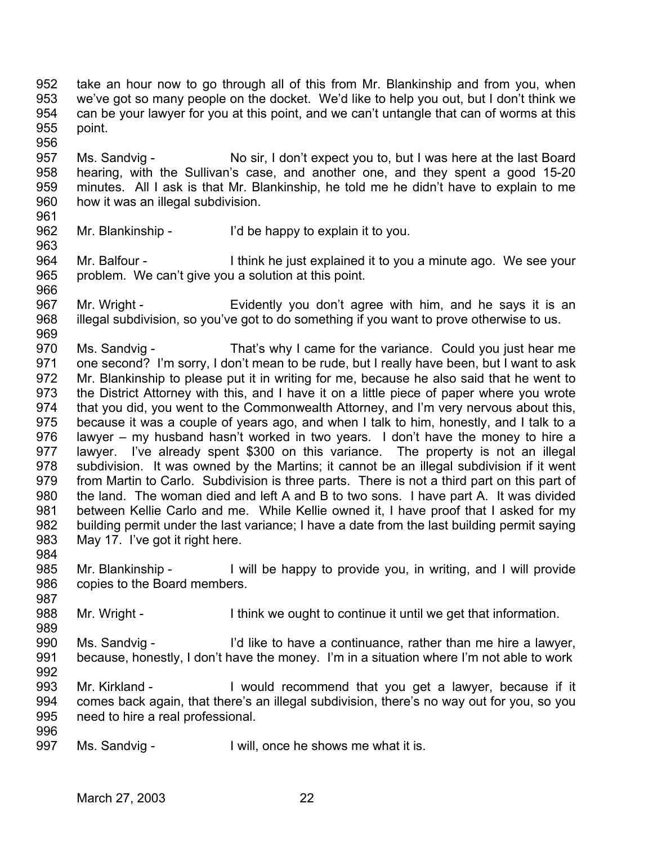952 953 954 955 956 take an hour now to go through all of this from Mr. Blankinship and from you, when we've got so many people on the docket. We'd like to help you out, but I don't think we can be your lawyer for you at this point, and we can't untangle that can of worms at this point.

957 958 959 960 Ms. Sandvig - No sir, I don't expect you to, but I was here at the last Board hearing, with the Sullivan's case, and another one, and they spent a good 15-20 minutes. All I ask is that Mr. Blankinship, he told me he didn't have to explain to me how it was an illegal subdivision.

961 962

963

Mr. Blankinship - I'd be happy to explain it to you.

964 965 966 Mr. Balfour - I think he just explained it to you a minute ago. We see your problem. We can't give you a solution at this point.

967 968 969 Mr. Wright - Evidently you don't agree with him, and he says it is an illegal subdivision, so you've got to do something if you want to prove otherwise to us.

970 971 972 973 974 975 976 977 978 979 980 981 982 983 Ms. Sandvig - That's why I came for the variance. Could you just hear me one second? I'm sorry, I don't mean to be rude, but I really have been, but I want to ask Mr. Blankinship to please put it in writing for me, because he also said that he went to the District Attorney with this, and I have it on a little piece of paper where you wrote that you did, you went to the Commonwealth Attorney, and I'm very nervous about this, because it was a couple of years ago, and when I talk to him, honestly, and I talk to a lawyer – my husband hasn't worked in two years. I don't have the money to hire a lawyer. I've already spent \$300 on this variance. The property is not an illegal subdivision. It was owned by the Martins; it cannot be an illegal subdivision if it went from Martin to Carlo. Subdivision is three parts. There is not a third part on this part of the land. The woman died and left A and B to two sons. I have part A. It was divided between Kellie Carlo and me. While Kellie owned it, I have proof that I asked for my building permit under the last variance; I have a date from the last building permit saying May 17. I've got it right here.

984

989

985 986 987 Mr. Blankinship - I will be happy to provide you, in writing, and I will provide copies to the Board members.

988 Mr. Wright - I think we ought to continue it until we get that information.

990 991 992 Ms. Sandvig - I'd like to have a continuance, rather than me hire a lawyer, because, honestly, I don't have the money. I'm in a situation where I'm not able to work

993 994 995 Mr. Kirkland - I would recommend that you get a lawyer, because if it comes back again, that there's an illegal subdivision, there's no way out for you, so you need to hire a real professional.

996

997 Ms. Sandvig - I will, once he shows me what it is.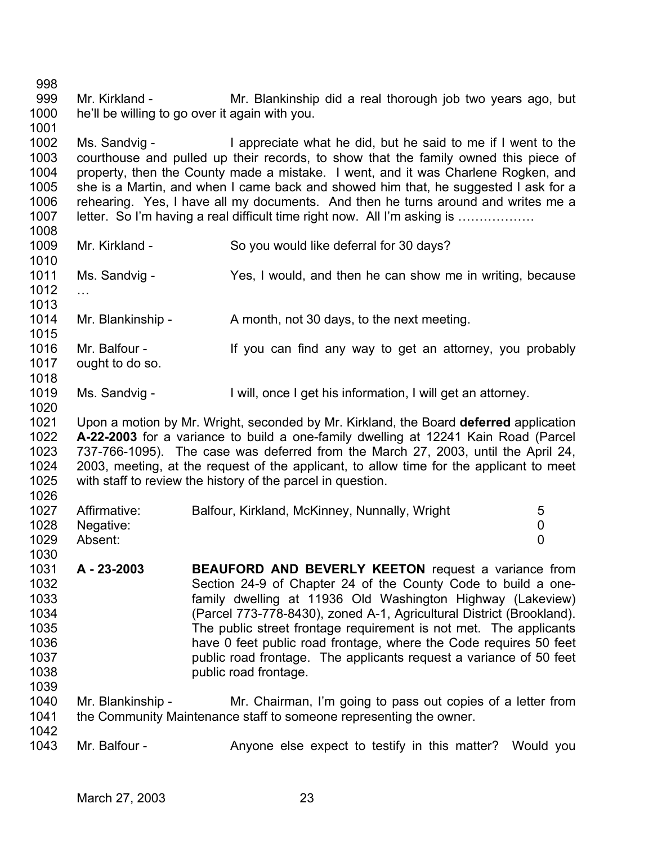998 999 1000 1001 Mr. Kirkland - Mr. Blankinship did a real thorough job two years ago, but he'll be willing to go over it again with you.

1002 1003 1004 1005 1006 1007 Ms. Sandvig - I appreciate what he did, but he said to me if I went to the courthouse and pulled up their records, to show that the family owned this piece of property, then the County made a mistake. I went, and it was Charlene Rogken, and she is a Martin, and when I came back and showed him that, he suggested I ask for a rehearing. Yes, I have all my documents. And then he turns around and writes me a letter. So I'm having a real difficult time right now. All I'm asking is ………………

1008 1009

Mr. Kirkland - So you would like deferral for 30 days?

1010 1011 1012 1013 Ms. Sandvig - Yes, I would, and then he can show me in writing, because …

1014 Mr. Blankinship - A month, not 30 days, to the next meeting.

- 1015 1016 1017 1018 Mr. Balfour - If you can find any way to get an attorney, you probably ought to do so.
- 1019 1020 Ms. Sandvig - I will, once I get his information, I will get an attorney.
- 1021 1022 1023 1024 1025 1026 Upon a motion by Mr. Wright, seconded by Mr. Kirkland, the Board **deferred** application **A-22-2003** for a variance to build a one-family dwelling at 12241 Kain Road (Parcel 737-766-1095). The case was deferred from the March 27, 2003, until the April 24, 2003, meeting, at the request of the applicant, to allow time for the applicant to meet with staff to review the history of the parcel in question.

| 1027 | Affirmative: | Balfour, Kirkland, McKinney, Nunnally, Wright | 5 |
|------|--------------|-----------------------------------------------|---|
| 1028 | Negative:    |                                               |   |
| 1029 | Absent:      |                                               |   |
| 1030 |              |                                               |   |

- 1031 1032 1033 1034 1035 1036 1037 1038 1039 **A - 23-2003 BEAUFORD AND BEVERLY KEETON** request a variance from Section 24-9 of Chapter 24 of the County Code to build a onefamily dwelling at 11936 Old Washington Highway (Lakeview) (Parcel 773-778-8430), zoned A-1, Agricultural District (Brookland). The public street frontage requirement is not met. The applicants have 0 feet public road frontage, where the Code requires 50 feet public road frontage. The applicants request a variance of 50 feet public road frontage.
- 1040 1041 1042 Mr. Blankinship - Mr. Chairman, I'm going to pass out copies of a letter from the Community Maintenance staff to someone representing the owner.
- 1043 Mr. Balfour - The Anyone else expect to testify in this matter? Would you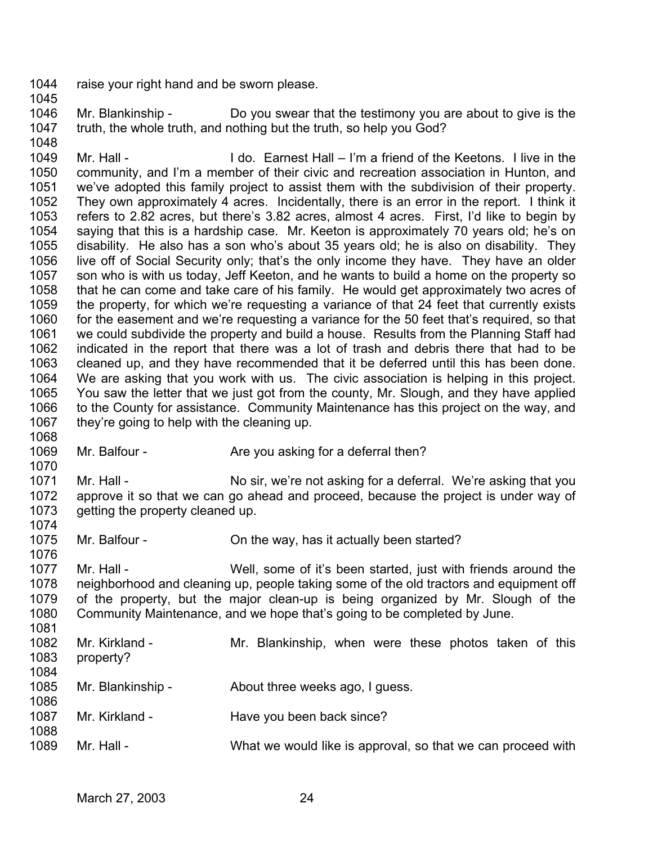- 1044 raise your right hand and be sworn please.
- 1045

1048

1068

1070

1074

- 1046 1047 Mr. Blankinship - Do you swear that the testimony you are about to give is the truth, the whole truth, and nothing but the truth, so help you God?
- 1049 1050 1051 1052 1053 1054 1055 1056 1057 1058 1059 1060 1061 1062 1063 1064 1065 1066 1067 Mr. Hall - **I do. Earnest Hall – I'm a friend of the Keetons.** I live in the community, and I'm a member of their civic and recreation association in Hunton, and we've adopted this family project to assist them with the subdivision of their property. They own approximately 4 acres. Incidentally, there is an error in the report. I think it refers to 2.82 acres, but there's 3.82 acres, almost 4 acres. First, I'd like to begin by saying that this is a hardship case. Mr. Keeton is approximately 70 years old; he's on disability. He also has a son who's about 35 years old; he is also on disability. They live off of Social Security only; that's the only income they have. They have an older son who is with us today, Jeff Keeton, and he wants to build a home on the property so that he can come and take care of his family. He would get approximately two acres of the property, for which we're requesting a variance of that 24 feet that currently exists for the easement and we're requesting a variance for the 50 feet that's required, so that we could subdivide the property and build a house. Results from the Planning Staff had indicated in the report that there was a lot of trash and debris there that had to be cleaned up, and they have recommended that it be deferred until this has been done. We are asking that you work with us. The civic association is helping in this project. You saw the letter that we just got from the county, Mr. Slough, and they have applied to the County for assistance. Community Maintenance has this project on the way, and they're going to help with the cleaning up.
- 1069 Mr. Balfour - Are you asking for a deferral then?
- 1071 1072 1073 Mr. Hall - No sir, we're not asking for a deferral. We're asking that you approve it so that we can go ahead and proceed, because the project is under way of getting the property cleaned up.
- 1075 Mr. Balfour - Con the way, has it actually been started?
- 1077 1078 1079 1080 1081 Mr. Hall - Well, some of it's been started, just with friends around the neighborhood and cleaning up, people taking some of the old tractors and equipment off of the property, but the major clean-up is being organized by Mr. Slough of the Community Maintenance, and we hope that's going to be completed by June.
- 1082 1083 1084 1085 1086 1087 1088 1089 Mr. Kirkland - The Mr. Blankinship, when were these photos taken of this property? Mr. Blankinship - About three weeks ago, I guess. Mr. Kirkland - Have you been back since? Mr. Hall - What we would like is approval, so that we can proceed with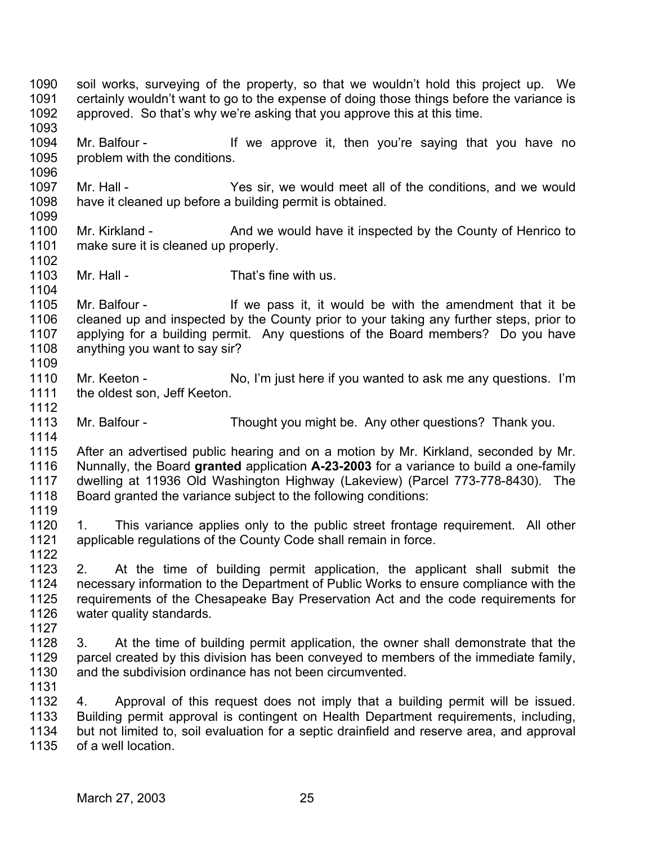1090 1091 1092 1093 1094 1095 1096 1097 1098 1099 1100 1101 1102 1103 1104 1105 1106 1107 1108 1109 1110 1111 1112 1113 1114 1115 1116 1117 1118 1119 1120 1121 1122 1123 1124 1125 1126 1127 1128 1129 1130 1131 1132 1133 1134 1135 soil works, surveying of the property, so that we wouldn't hold this project up. We certainly wouldn't want to go to the expense of doing those things before the variance is approved. So that's why we're asking that you approve this at this time. Mr. Balfour - The Mr approve it, then you're saying that you have no problem with the conditions. Mr. Hall - The Yes sir, we would meet all of the conditions, and we would have it cleaned up before a building permit is obtained. Mr. Kirkland - And we would have it inspected by the County of Henrico to make sure it is cleaned up properly. Mr. Hall - That's fine with us. Mr. Balfour - The Mr is also it, it would be with the amendment that it be cleaned up and inspected by the County prior to your taking any further steps, prior to applying for a building permit. Any questions of the Board members? Do you have anything you want to say sir? Mr. Keeton - No, I'm just here if you wanted to ask me any questions. I'm the oldest son, Jeff Keeton. Mr. Balfour - Thought you might be. Any other questions? Thank you. After an advertised public hearing and on a motion by Mr. Kirkland, seconded by Mr. Nunnally, the Board **granted** application **A-23-2003** for a variance to build a one-family dwelling at 11936 Old Washington Highway (Lakeview) (Parcel 773-778-8430). The Board granted the variance subject to the following conditions: 1. This variance applies only to the public street frontage requirement. All other applicable regulations of the County Code shall remain in force. 2. At the time of building permit application, the applicant shall submit the necessary information to the Department of Public Works to ensure compliance with the requirements of the Chesapeake Bay Preservation Act and the code requirements for water quality standards. 3. At the time of building permit application, the owner shall demonstrate that the parcel created by this division has been conveyed to members of the immediate family, and the subdivision ordinance has not been circumvented. 4. Approval of this request does not imply that a building permit will be issued. Building permit approval is contingent on Health Department requirements, including, but not limited to, soil evaluation for a septic drainfield and reserve area, and approval of a well location.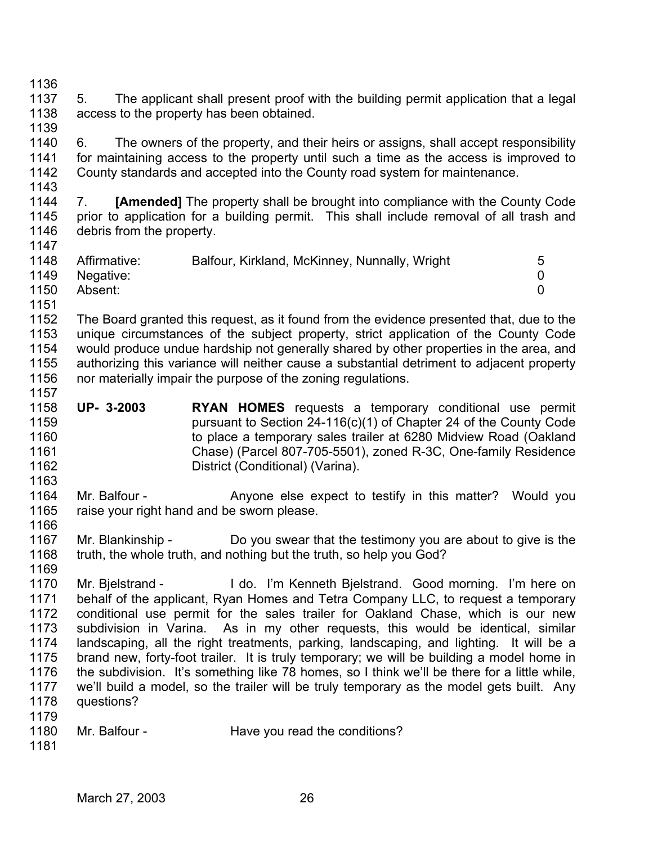1136

1147

1163

1169

1137 1138 1139 5. The applicant shall present proof with the building permit application that a legal access to the property has been obtained.

1140 1141 1142 1143 6. The owners of the property, and their heirs or assigns, shall accept responsibility for maintaining access to the property until such a time as the access is improved to County standards and accepted into the County road system for maintenance.

1144 1145 1146 7. **[Amended]** The property shall be brought into compliance with the County Code prior to application for a building permit. This shall include removal of all trash and debris from the property.

| 1148 | Affirmative:   | Balfour, Kirkland, McKinney, Nunnally, Wright | 5 |
|------|----------------|-----------------------------------------------|---|
|      | 1149 Negative: |                                               |   |
| 1150 | Absent:        |                                               |   |
| 1151 |                |                                               |   |

1152 1153 1154 1155 1156 1157 The Board granted this request, as it found from the evidence presented that, due to the unique circumstances of the subject property, strict application of the County Code would produce undue hardship not generally shared by other properties in the area, and authorizing this variance will neither cause a substantial detriment to adjacent property nor materially impair the purpose of the zoning regulations.

- 1158 1159 1160 1161 1162 **UP- 3-2003 RYAN HOMES** requests a temporary conditional use permit pursuant to Section 24-116(c)(1) of Chapter 24 of the County Code to place a temporary sales trailer at 6280 Midview Road (Oakland Chase) (Parcel 807-705-5501), zoned R-3C, One-family Residence District (Conditional) (Varina).
- 1164 1165 1166 Mr. Balfour - The Anyone else expect to testify in this matter? Would you raise your right hand and be sworn please.
- 1167 1168 Mr. Blankinship - Do you swear that the testimony you are about to give is the truth, the whole truth, and nothing but the truth, so help you God?
- 1170 1171 1172 1173 1174 1175 1176 1177 1178 1179 Mr. Bjelstrand - I do. I'm Kenneth Bjelstrand. Good morning. I'm here on behalf of the applicant, Ryan Homes and Tetra Company LLC, to request a temporary conditional use permit for the sales trailer for Oakland Chase, which is our new subdivision in Varina. As in my other requests, this would be identical, similar landscaping, all the right treatments, parking, landscaping, and lighting. It will be a brand new, forty-foot trailer. It is truly temporary; we will be building a model home in the subdivision. It's something like 78 homes, so I think we'll be there for a little while, we'll build a model, so the trailer will be truly temporary as the model gets built. Any questions?
- 1180 Mr. Balfour - Have you read the conditions?
- 1181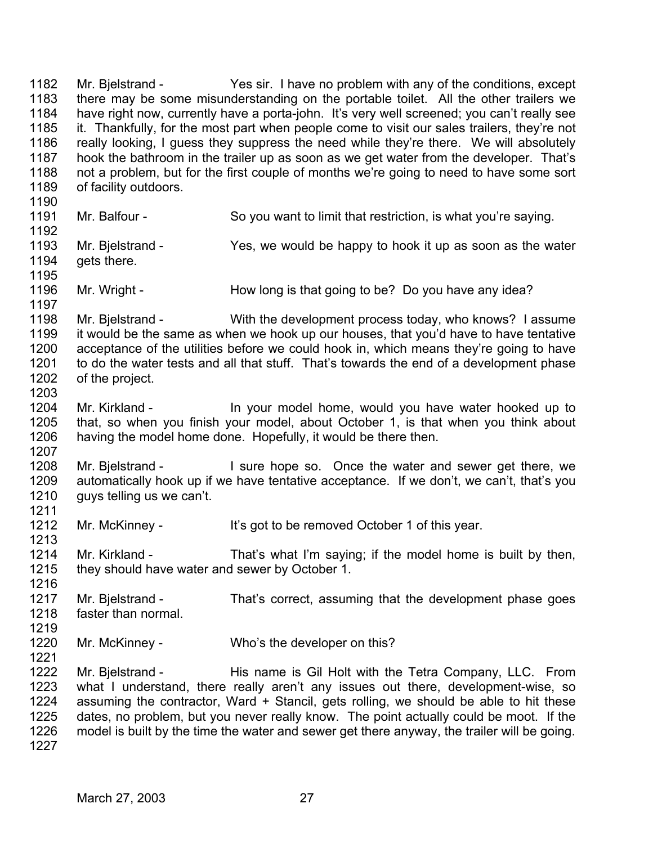1182 1183 1184 1185 1186 1187 1188 1189 1190 1191 1192 1193 1194 1195 1196 1197 1198 1199 1200 1201 1202 1203 1204 1205 1206 1207 1208 1209 1210 1211 1212 1213 1214 1215 1216 1217 1218 1219 1220 1221 1222 1223 1224 1225 1226 1227 Mr. Bjelstrand - Yes sir. I have no problem with any of the conditions, except there may be some misunderstanding on the portable toilet. All the other trailers we have right now, currently have a porta-john. It's very well screened; you can't really see it. Thankfully, for the most part when people come to visit our sales trailers, they're not really looking, I guess they suppress the need while they're there. We will absolutely hook the bathroom in the trailer up as soon as we get water from the developer. That's not a problem, but for the first couple of months we're going to need to have some sort of facility outdoors. Mr. Balfour - So you want to limit that restriction, is what you're saying. Mr. Bjelstrand - Yes, we would be happy to hook it up as soon as the water gets there. Mr. Wright - How long is that going to be? Do you have any idea? Mr. Bielstrand - With the development process today, who knows? I assume it would be the same as when we hook up our houses, that you'd have to have tentative acceptance of the utilities before we could hook in, which means they're going to have to do the water tests and all that stuff. That's towards the end of a development phase of the project. Mr. Kirkland - In your model home, would you have water hooked up to that, so when you finish your model, about October 1, is that when you think about having the model home done. Hopefully, it would be there then. Mr. Bielstrand - I sure hope so. Once the water and sewer get there, we automatically hook up if we have tentative acceptance. If we don't, we can't, that's you guys telling us we can't. Mr. McKinney - It's got to be removed October 1 of this year. Mr. Kirkland - That's what I'm saying; if the model home is built by then, they should have water and sewer by October 1. Mr. Bjelstrand - That's correct, assuming that the development phase goes faster than normal. Mr. McKinney - Who's the developer on this? Mr. Bjelstrand - This name is Gil Holt with the Tetra Company, LLC. From what I understand, there really aren't any issues out there, development-wise, so assuming the contractor, Ward + Stancil, gets rolling, we should be able to hit these dates, no problem, but you never really know. The point actually could be moot. If the model is built by the time the water and sewer get there anyway, the trailer will be going.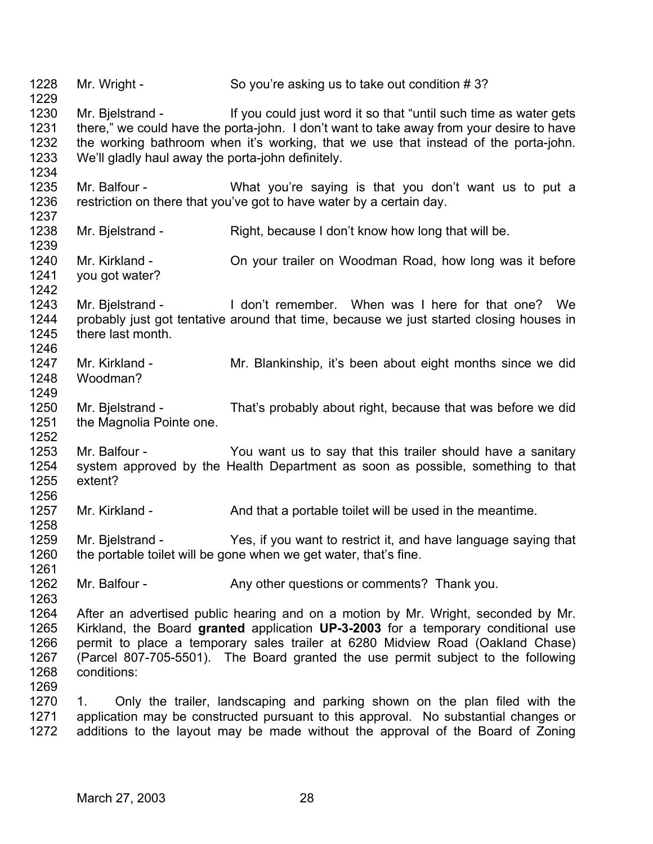1228 1229 1230 1231 1232 1233 1234 1235 1236 1237 1238 1239 1240 1241 1242 1243 1244 1245 1246 1247 1248 1249 1250 1251 1252 1253 1254 1255 1256 1257 1258 1259 1260 1261 1262 1263 1264 1265 1266 1267 1268 1269 1270 1271 1272 Mr. Wright - So you're asking us to take out condition # 3? Mr. Bielstrand - If you could just word it so that "until such time as water gets there," we could have the porta-john. I don't want to take away from your desire to have the working bathroom when it's working, that we use that instead of the porta-john. We'll gladly haul away the porta-john definitely. Mr. Balfour - What you're saying is that you don't want us to put a restriction on there that you've got to have water by a certain day. Mr. Bielstrand - Right, because I don't know how long that will be. Mr. Kirkland - On your trailer on Woodman Road, how long was it before you got water? Mr. Bielstrand - I don't remember. When was I here for that one? We probably just got tentative around that time, because we just started closing houses in there last month. Mr. Kirkland - Mr. Blankinship, it's been about eight months since we did Woodman? Mr. Bjelstrand - That's probably about right, because that was before we did the Magnolia Pointe one. Mr. Balfour - You want us to say that this trailer should have a sanitary system approved by the Health Department as soon as possible, something to that extent? Mr. Kirkland - And that a portable toilet will be used in the meantime. Mr. Bjelstrand - Yes, if you want to restrict it, and have language saying that the portable toilet will be gone when we get water, that's fine. Mr. Balfour - Any other questions or comments? Thank you. After an advertised public hearing and on a motion by Mr. Wright, seconded by Mr. Kirkland, the Board **granted** application **UP-3-2003** for a temporary conditional use permit to place a temporary sales trailer at 6280 Midview Road (Oakland Chase) (Parcel 807-705-5501). The Board granted the use permit subject to the following conditions: 1. Only the trailer, landscaping and parking shown on the plan filed with the application may be constructed pursuant to this approval. No substantial changes or additions to the layout may be made without the approval of the Board of Zoning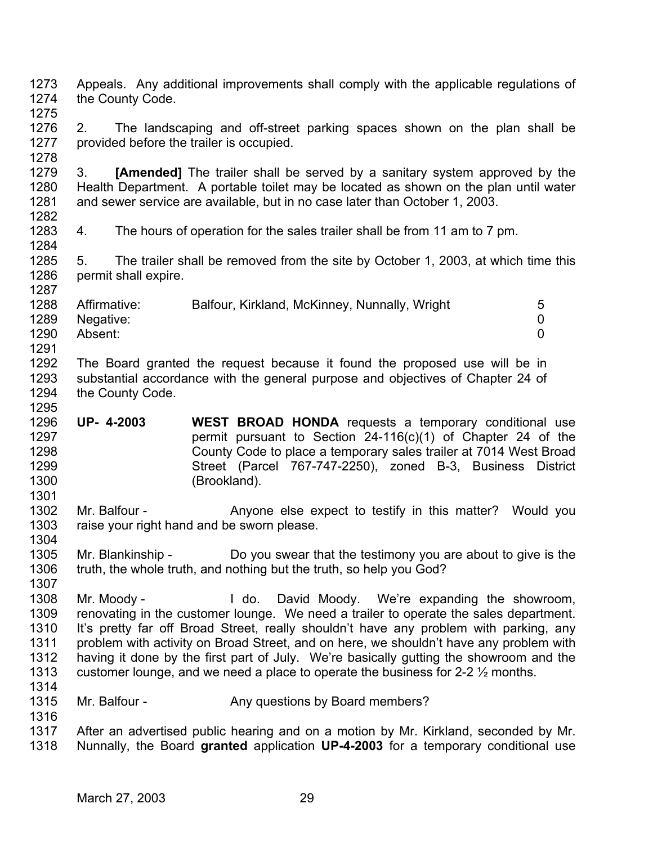1273 1274 1275 1276 1277 1278 1279 1280 1281 1282 1283 1284 1285 1286 1287 1288 1289 1290 1291 1292 1293 1294 1295 1296 1297 1298 1299 1300 1301 1302 1303 1304 1305 1306 1307 1308 1309 1310 1311 1312 1313 1314 1315 1316 1317 1318 Appeals. Any additional improvements shall comply with the applicable regulations of the County Code. 2. The landscaping and off-street parking spaces shown on the plan shall be provided before the trailer is occupied. 3. **[Amended]** The trailer shall be served by a sanitary system approved by the Health Department. A portable toilet may be located as shown on the plan until water and sewer service are available, but in no case later than October 1, 2003. 4. The hours of operation for the sales trailer shall be from 11 am to 7 pm. 5. The trailer shall be removed from the site by October 1, 2003, at which time this permit shall expire. Affirmative: Balfour, Kirkland, McKinney, Nunnally, Wright 5 Negative: 0 Absent: 0 The Board granted the request because it found the proposed use will be in substantial accordance with the general purpose and objectives of Chapter 24 of the County Code. **UP- 4-2003 WEST BROAD HONDA** requests a temporary conditional use permit pursuant to Section 24-116(c)(1) of Chapter 24 of the County Code to place a temporary sales trailer at 7014 West Broad Street (Parcel 767-747-2250), zoned B-3, Business District (Brookland). Mr. Balfour - The Anyone else expect to testify in this matter? Would you raise your right hand and be sworn please. Mr. Blankinship - Do you swear that the testimony you are about to give is the truth, the whole truth, and nothing but the truth, so help you God? Mr. Moody - The Moody Bavid Moody. We're expanding the showroom, renovating in the customer lounge. We need a trailer to operate the sales department. It's pretty far off Broad Street, really shouldn't have any problem with parking, any problem with activity on Broad Street, and on here, we shouldn't have any problem with having it done by the first part of July. We're basically gutting the showroom and the customer lounge, and we need a place to operate the business for 2-2 ½ months. Mr. Balfour - Any questions by Board members? After an advertised public hearing and on a motion by Mr. Kirkland, seconded by Mr. Nunnally, the Board **granted** application **UP-4-2003** for a temporary conditional use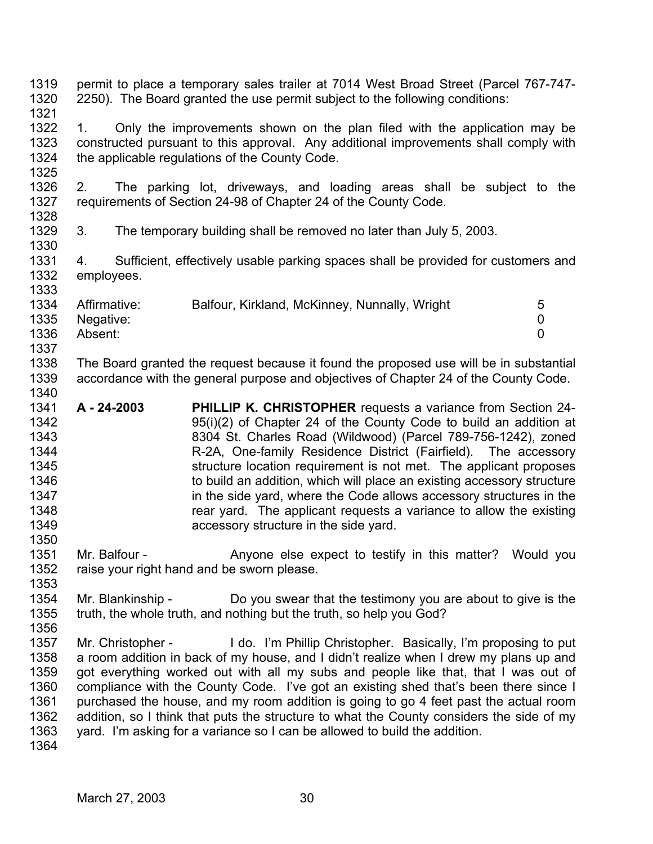- 1319 1320 1321 permit to place a temporary sales trailer at 7014 West Broad Street (Parcel 767-747- 2250). The Board granted the use permit subject to the following conditions:
- 1322 1323 1324 1325 1. Only the improvements shown on the plan filed with the application may be constructed pursuant to this approval. Any additional improvements shall comply with the applicable regulations of the County Code.
- 1326 1327 1328 2. The parking lot, driveways, and loading areas shall be subject to the requirements of Section 24-98 of Chapter 24 of the County Code.
- 1329 3. The temporary building shall be removed no later than July 5, 2003.
- 1331 1332 4. Sufficient, effectively usable parking spaces shall be provided for customers and employees.

| 1334 | Affirmative: | Balfour, Kirkland, McKinney, Nunnally, Wright | 5 |
|------|--------------|-----------------------------------------------|---|
| 1335 | Negative:    |                                               |   |
| 1336 | Absent:      |                                               |   |
| 1337 |              |                                               |   |

- 1338 1339 1340 The Board granted the request because it found the proposed use will be in substantial accordance with the general purpose and objectives of Chapter 24 of the County Code.
- 1341 1342 1343 1344 1345 1346 1347 1348 1349 1350 **A - 24-2003 PHILLIP K. CHRISTOPHER** requests a variance from Section 24- 95(i)(2) of Chapter 24 of the County Code to build an addition at 8304 St. Charles Road (Wildwood) (Parcel 789-756-1242), zoned R-2A, One-family Residence District (Fairfield). The accessory structure location requirement is not met. The applicant proposes to build an addition, which will place an existing accessory structure in the side yard, where the Code allows accessory structures in the rear yard. The applicant requests a variance to allow the existing accessory structure in the side yard.
- 1351 1352 Mr. Balfour - The Anyone else expect to testify in this matter? Would you raise your right hand and be sworn please.
- 1354 1355 Mr. Blankinship - Do you swear that the testimony you are about to give is the truth, the whole truth, and nothing but the truth, so help you God?
- 1356 1357 1358 1359 1360 1361 1362 1363 Mr. Christopher - I do. I'm Phillip Christopher. Basically, I'm proposing to put a room addition in back of my house, and I didn't realize when I drew my plans up and got everything worked out with all my subs and people like that, that I was out of compliance with the County Code. I've got an existing shed that's been there since I purchased the house, and my room addition is going to go 4 feet past the actual room addition, so I think that puts the structure to what the County considers the side of my yard. I'm asking for a variance so I can be allowed to build the addition.
- 1364

1353

1330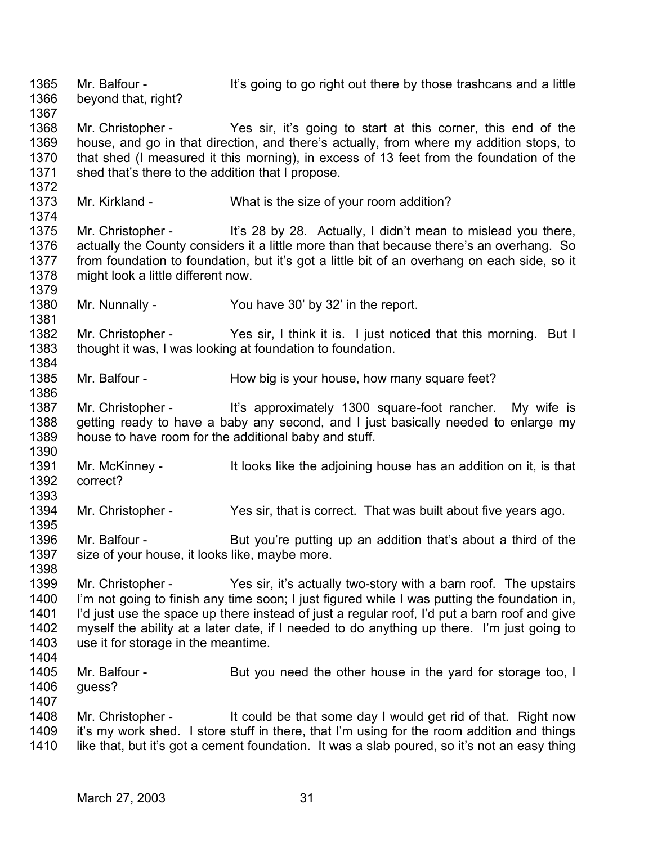1365 1366 1367 1368 1369 1370 1371 1372 1373 1374 1375 1376 1377 1378 1379 1380 1381 1382 1383 1384 1385 1386 1387 1388 1389 1390 1391 1392 1393 1394 1395 1396 1397 1398 1399 1400 1401 1402 1403 1404 1405 1406 1407 1408 1409 1410 Mr. Balfour - It's going to go right out there by those trashcans and a little beyond that, right? Mr. Christopher - Yes sir, it's going to start at this corner, this end of the house, and go in that direction, and there's actually, from where my addition stops, to that shed (I measured it this morning), in excess of 13 feet from the foundation of the shed that's there to the addition that I propose. Mr. Kirkland - What is the size of your room addition? Mr. Christopher - It's 28 by 28. Actually, I didn't mean to mislead you there, actually the County considers it a little more than that because there's an overhang. So from foundation to foundation, but it's got a little bit of an overhang on each side, so it might look a little different now. Mr. Nunnally - You have 30' by 32' in the report. Mr. Christopher - Yes sir, I think it is. I just noticed that this morning. But I thought it was, I was looking at foundation to foundation. Mr. Balfour - How big is your house, how many square feet? Mr. Christopher - It's approximately 1300 square-foot rancher. My wife is getting ready to have a baby any second, and I just basically needed to enlarge my house to have room for the additional baby and stuff. Mr. McKinney - It looks like the adjoining house has an addition on it, is that correct? Mr. Christopher - Yes sir, that is correct. That was built about five years ago. Mr. Balfour - But you're putting up an addition that's about a third of the size of your house, it looks like, maybe more. Mr. Christopher - Yes sir, it's actually two-story with a barn roof. The upstairs I'm not going to finish any time soon; I just figured while I was putting the foundation in, I'd just use the space up there instead of just a regular roof, I'd put a barn roof and give myself the ability at a later date, if I needed to do anything up there. I'm just going to use it for storage in the meantime. Mr. Balfour - But you need the other house in the yard for storage too, I quess? Mr. Christopher - It could be that some day I would get rid of that. Right now it's my work shed. I store stuff in there, that I'm using for the room addition and things like that, but it's got a cement foundation. It was a slab poured, so it's not an easy thing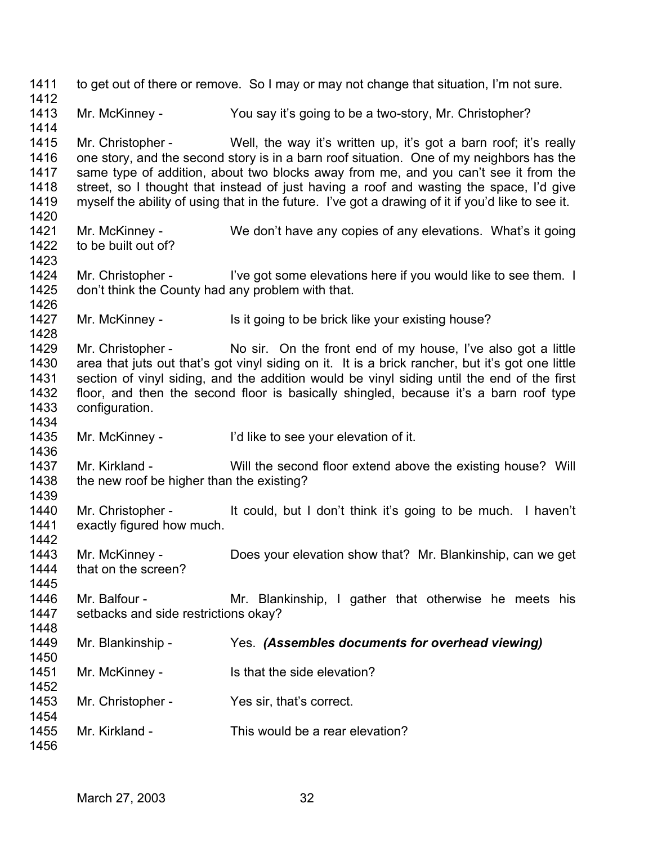1411 1412 1413 1414 1415 1416 1417 1418 1419 1420 1421 1422 1423 1424 1425 1426 1427 1428 1429 1430 1431 1432 1433 1434 1435 1436 1437 1438 1439 1440 1441 1442 1443 1444 1445 1446 1447 1448 1449 1450 1451 1452 1453 1454 1455 1456 to get out of there or remove. So I may or may not change that situation, I'm not sure. Mr. McKinney - You say it's going to be a two-story, Mr. Christopher? Mr. Christopher - Well, the way it's written up, it's got a barn roof; it's really one story, and the second story is in a barn roof situation. One of my neighbors has the same type of addition, about two blocks away from me, and you can't see it from the street, so I thought that instead of just having a roof and wasting the space, I'd give myself the ability of using that in the future. I've got a drawing of it if you'd like to see it. Mr. McKinney - We don't have any copies of any elevations. What's it going to be built out of? Mr. Christopher - I've got some elevations here if you would like to see them. I don't think the County had any problem with that. Mr. McKinney - Is it going to be brick like your existing house? Mr. Christopher - No sir. On the front end of my house, I've also got a little area that juts out that's got vinyl siding on it. It is a brick rancher, but it's got one little section of vinyl siding, and the addition would be vinyl siding until the end of the first floor, and then the second floor is basically shingled, because it's a barn roof type configuration. Mr. McKinney - I'd like to see your elevation of it. Mr. Kirkland - Will the second floor extend above the existing house? Will the new roof be higher than the existing? Mr. Christopher - It could, but I don't think it's going to be much. I haven't exactly figured how much. Mr. McKinney - Does your elevation show that? Mr. Blankinship, can we get that on the screen? Mr. Balfour - The Mr. Blankinship, I gather that otherwise he meets his setbacks and side restrictions okay? Mr. Blankinship - Yes. *(Assembles documents for overhead viewing)* Mr. McKinney - Is that the side elevation? Mr. Christopher - Yes sir, that's correct. Mr. Kirkland - This would be a rear elevation?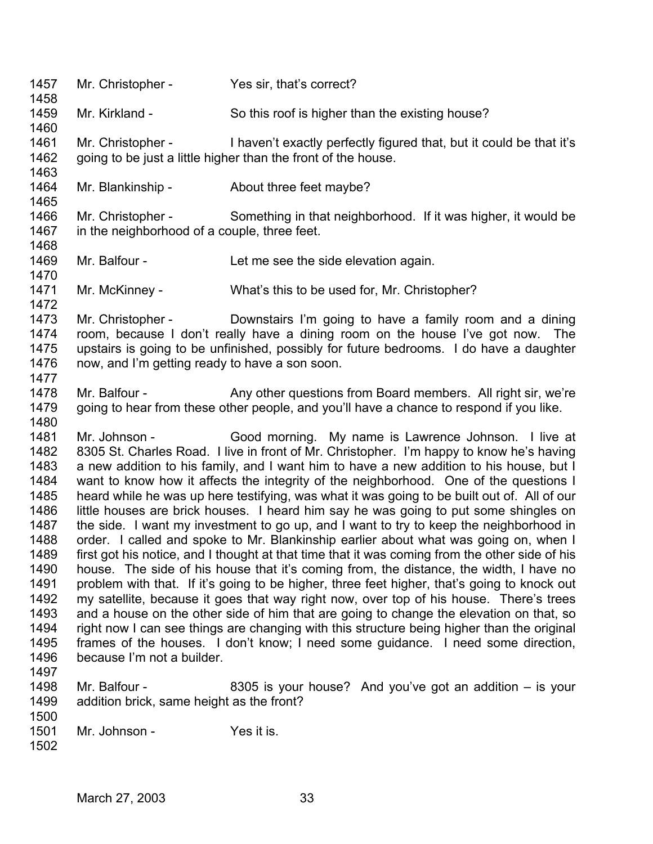1457 1458 1459 1460 1461 1462 1463 1464 1465 1466 1467 1468 1469 1470 1471 1472 1473 1474 1475 1476 1477 1478 1479 1480 1481 1482 1483 1484 1485 1486 1487 1488 1489 1490 1491 1492 1493 1494 1495 1496 1497 1498 1499 1500 1501 1502 Mr. Christopher - Yes sir, that's correct? Mr. Kirkland - So this roof is higher than the existing house? Mr. Christopher - I haven't exactly perfectly figured that, but it could be that it's going to be just a little higher than the front of the house. Mr. Blankinship - About three feet maybe? Mr. Christopher - Something in that neighborhood. If it was higher, it would be in the neighborhood of a couple, three feet. Mr. Balfour - Let me see the side elevation again. Mr. McKinney - What's this to be used for, Mr. Christopher? Mr. Christopher - Downstairs I'm going to have a family room and a dining room, because I don't really have a dining room on the house I've got now. The upstairs is going to be unfinished, possibly for future bedrooms. I do have a daughter now, and I'm getting ready to have a son soon. Mr. Balfour - Any other questions from Board members. All right sir, we're going to hear from these other people, and you'll have a chance to respond if you like. Mr. Johnson - Good morning. My name is Lawrence Johnson. I live at 8305 St. Charles Road. I live in front of Mr. Christopher. I'm happy to know he's having a new addition to his family, and I want him to have a new addition to his house, but I want to know how it affects the integrity of the neighborhood. One of the questions I heard while he was up here testifying, was what it was going to be built out of. All of our little houses are brick houses. I heard him say he was going to put some shingles on the side. I want my investment to go up, and I want to try to keep the neighborhood in order. I called and spoke to Mr. Blankinship earlier about what was going on, when I first got his notice, and I thought at that time that it was coming from the other side of his house. The side of his house that it's coming from, the distance, the width, I have no problem with that. If it's going to be higher, three feet higher, that's going to knock out my satellite, because it goes that way right now, over top of his house. There's trees and a house on the other side of him that are going to change the elevation on that, so right now I can see things are changing with this structure being higher than the original frames of the houses. I don't know; I need some guidance. I need some direction, because I'm not a builder. Mr. Balfour - 8305 is your house? And you've got an addition – is your addition brick, same height as the front? Mr. Johnson - Yes it is.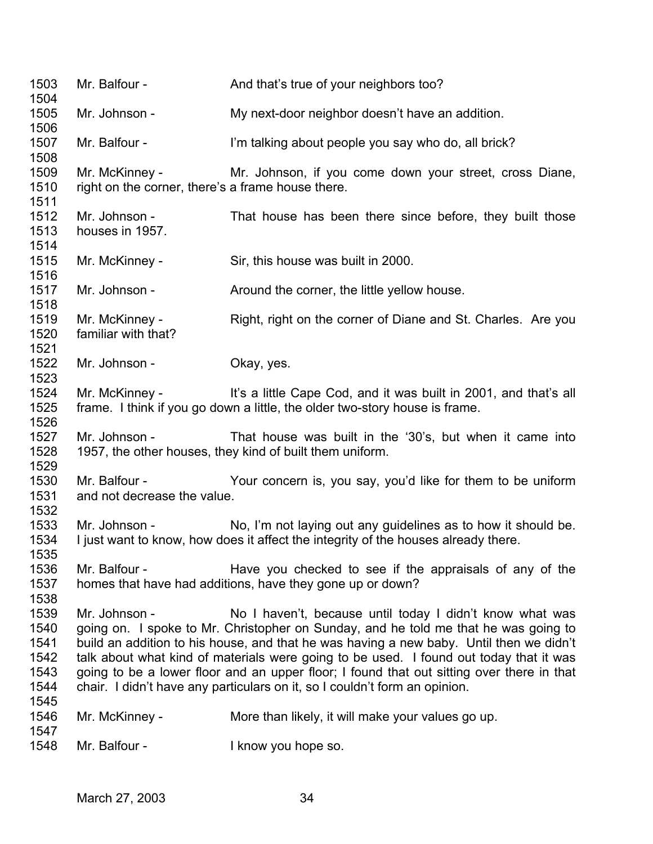1503 1504 1505 1506 1507 1508 1509 1510 1511 1512 1513 1514 1515 1516 1517 1518 1519 1520 1521 1522 1523 1524 1525 1526 1527 1528 1529 1530 1531 1532 1533 1534 1535 1536 1537 1538 1539 1540 1541 1542 1543 1544 1545 1546 1547 1548 Mr. Balfour - And that's true of your neighbors too? Mr. Johnson - My next-door neighbor doesn't have an addition. Mr. Balfour - I'm talking about people you say who do, all brick? Mr. McKinney - The Mr. Johnson, if you come down your street, cross Diane, right on the corner, there's a frame house there. Mr. Johnson - That house has been there since before, they built those houses in 1957. Mr. McKinney - Sir, this house was built in 2000. Mr. Johnson - The Around the corner, the little yellow house. Mr. McKinney - Right, right on the corner of Diane and St. Charles. Are you familiar with that? Mr. Johnson - Okay, yes. Mr. McKinney - It's a little Cape Cod, and it was built in 2001, and that's all frame. I think if you go down a little, the older two-story house is frame. Mr. Johnson - That house was built in the '30's, but when it came into 1957, the other houses, they kind of built them uniform. Mr. Balfour - Your concern is, you say, you'd like for them to be uniform and not decrease the value. Mr. Johnson - No, I'm not laying out any guidelines as to how it should be. I just want to know, how does it affect the integrity of the houses already there. Mr. Balfour - The Have you checked to see if the appraisals of any of the homes that have had additions, have they gone up or down? Mr. Johnson - No I haven't, because until today I didn't know what was going on. I spoke to Mr. Christopher on Sunday, and he told me that he was going to build an addition to his house, and that he was having a new baby. Until then we didn't talk about what kind of materials were going to be used. I found out today that it was going to be a lower floor and an upper floor; I found that out sitting over there in that chair. I didn't have any particulars on it, so I couldn't form an opinion. Mr. McKinney - More than likely, it will make your values go up. Mr. Balfour - The Report of the I know you hope so.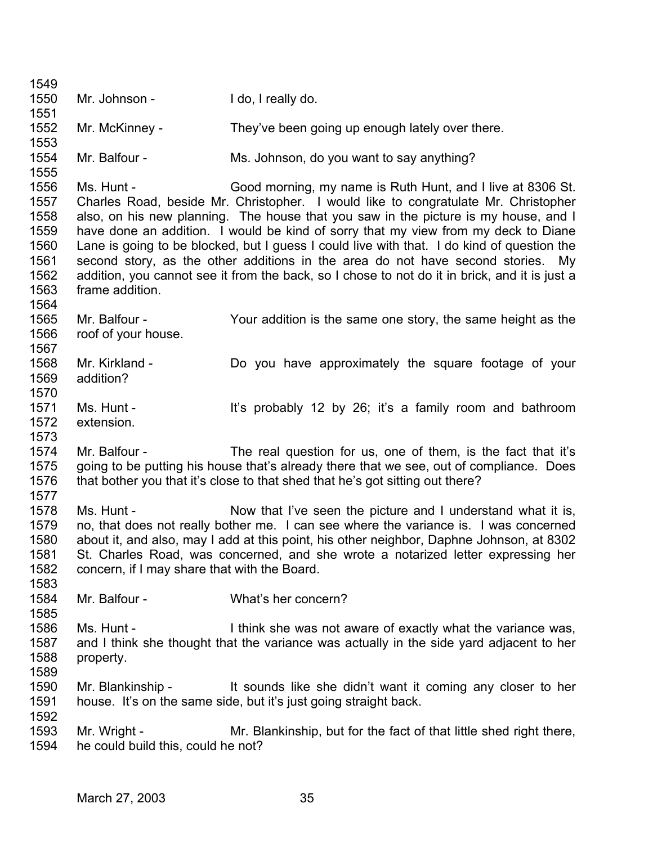1549 1550 1551 1552 1553 1554 1555 1556 1557 1558 1559 1560 1561 1562 1563 1564 1565 1566 1567 1568 1569 1570 1571 1572 1573 1574 1575 1576 1577 1578 1579 1580 1581 1582 1583 1584 1585 1586 1587 1588 1589 1590 1591 1592 1593 1594 Mr. Johnson - I do, I really do. Mr. McKinney - They've been going up enough lately over there. Mr. Balfour - Ms. Johnson, do you want to say anything? Ms. Hunt - Good morning, my name is Ruth Hunt, and I live at 8306 St. Charles Road, beside Mr. Christopher. I would like to congratulate Mr. Christopher also, on his new planning. The house that you saw in the picture is my house, and I have done an addition. I would be kind of sorry that my view from my deck to Diane Lane is going to be blocked, but I guess I could live with that. I do kind of question the second story, as the other additions in the area do not have second stories. My addition, you cannot see it from the back, so I chose to not do it in brick, and it is just a frame addition. Mr. Balfour - Your addition is the same one story, the same height as the roof of your house. Mr. Kirkland - Bo you have approximately the square footage of your addition? Ms. Hunt - It's probably 12 by 26; it's a family room and bathroom extension. Mr. Balfour - The real question for us, one of them, is the fact that it's going to be putting his house that's already there that we see, out of compliance. Does that bother you that it's close to that shed that he's got sitting out there? Ms. Hunt - Now that I've seen the picture and I understand what it is, no, that does not really bother me. I can see where the variance is. I was concerned about it, and also, may I add at this point, his other neighbor, Daphne Johnson, at 8302 St. Charles Road, was concerned, and she wrote a notarized letter expressing her concern, if I may share that with the Board. Mr. Balfour - What's her concern? Ms. Hunt - I think she was not aware of exactly what the variance was, and I think she thought that the variance was actually in the side yard adjacent to her property. Mr. Blankinship - It sounds like she didn't want it coming any closer to her house. It's on the same side, but it's just going straight back. Mr. Wright - Mr. Blankinship, but for the fact of that little shed right there, he could build this, could he not?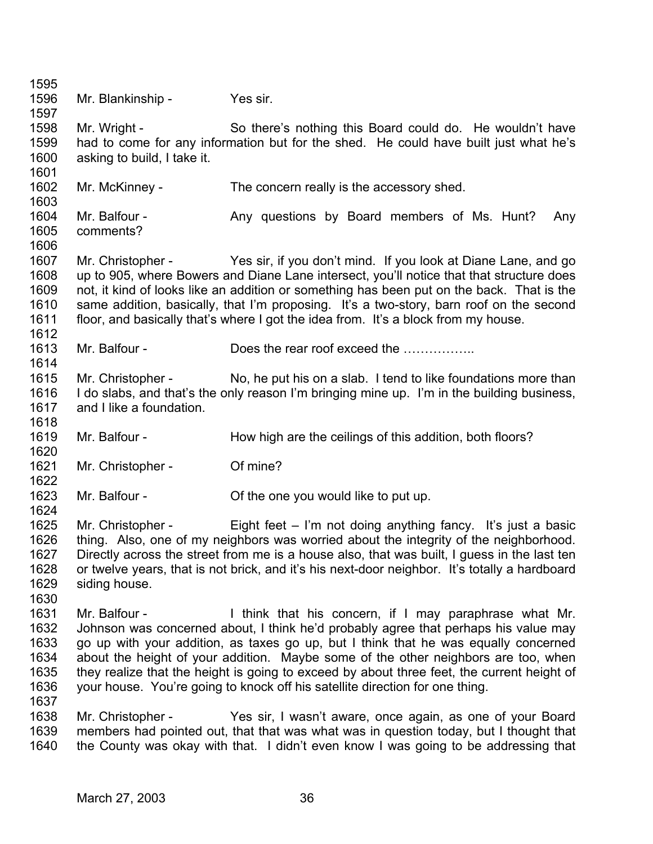1595 1596 1597 1598 1599 1600 1601 1602 1603 1604 1605 1606 1607 1608 1609 1610 1611 1612 1613 1614 1615 1616 1617 1618 1619 1620 1621 1622 1623 1624 1625 1626 1627 1628 1629 1630 1631 1632 1633 1634 1635 1636 1637 1638 1639 1640 Mr. Blankinship - Yes sir. Mr. Wright - So there's nothing this Board could do. He wouldn't have had to come for any information but for the shed. He could have built just what he's asking to build, I take it. Mr. McKinney - The concern really is the accessory shed. Mr. Balfour - The Any questions by Board members of Ms. Hunt? Any comments? Mr. Christopher - Yes sir, if you don't mind. If you look at Diane Lane, and go up to 905, where Bowers and Diane Lane intersect, you'll notice that that structure does not, it kind of looks like an addition or something has been put on the back. That is the same addition, basically, that I'm proposing. It's a two-story, barn roof on the second floor, and basically that's where I got the idea from. It's a block from my house. Mr. Balfour - Does the rear roof exceed the …………… Mr. Christopher - No, he put his on a slab. I tend to like foundations more than I do slabs, and that's the only reason I'm bringing mine up. I'm in the building business, and I like a foundation. Mr. Balfour - How high are the ceilings of this addition, both floors? Mr. Christopher - Of mine? Mr. Balfour - Coloration Contraction Contraction Contraction Contraction Contraction Contraction Contraction Contraction Contraction Contraction Contraction Contraction Contraction Contraction Contraction Contraction Contr Mr. Christopher - Eight feet – I'm not doing anything fancy. It's just a basic thing. Also, one of my neighbors was worried about the integrity of the neighborhood. Directly across the street from me is a house also, that was built, I guess in the last ten or twelve years, that is not brick, and it's his next-door neighbor. It's totally a hardboard siding house. Mr. Balfour - Think that his concern, if I may paraphrase what Mr. Johnson was concerned about, I think he'd probably agree that perhaps his value may go up with your addition, as taxes go up, but I think that he was equally concerned about the height of your addition. Maybe some of the other neighbors are too, when they realize that the height is going to exceed by about three feet, the current height of your house. You're going to knock off his satellite direction for one thing. Mr. Christopher - Yes sir, I wasn't aware, once again, as one of your Board members had pointed out, that that was what was in question today, but I thought that the County was okay with that. I didn't even know I was going to be addressing that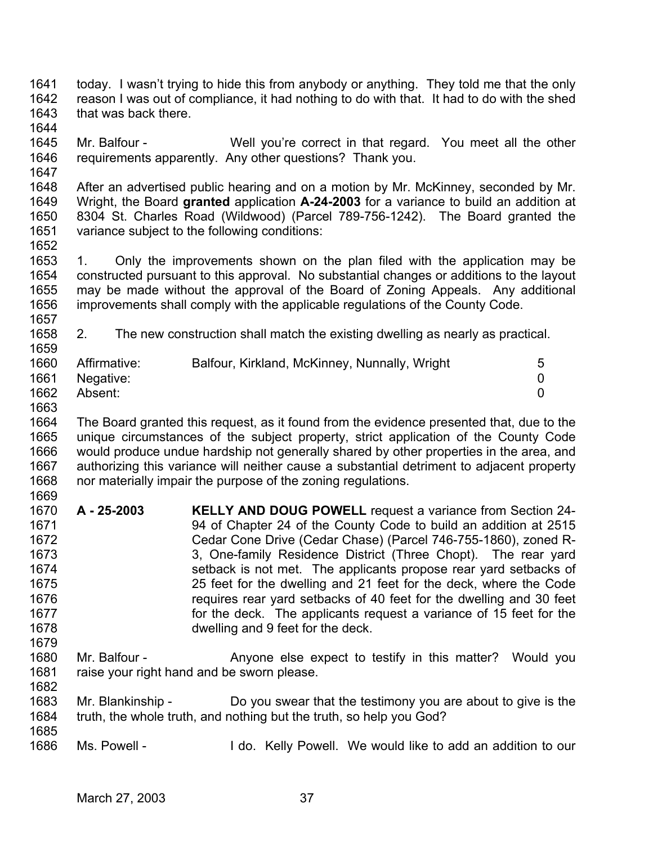- 1641 1642 1643 today. I wasn't trying to hide this from anybody or anything. They told me that the only reason I was out of compliance, it had nothing to do with that. It had to do with the shed that was back there.
- 1644 1645 1646 Mr. Balfour - Well you're correct in that regard. You meet all the other requirements apparently. Any other questions? Thank you.
- 1648 1649 1650 1651 After an advertised public hearing and on a motion by Mr. McKinney, seconded by Mr. Wright, the Board **granted** application **A-24-2003** for a variance to build an addition at 8304 St. Charles Road (Wildwood) (Parcel 789-756-1242). The Board granted the variance subject to the following conditions:
- 1653 1654 1655 1656 1657 1. Only the improvements shown on the plan filed with the application may be constructed pursuant to this approval. No substantial changes or additions to the layout may be made without the approval of the Board of Zoning Appeals. Any additional improvements shall comply with the applicable regulations of the County Code.
- 1658 1659 2. The new construction shall match the existing dwelling as nearly as practical.

| 1660 | Affirmative: | Balfour, Kirkland, McKinney, Nunnally, Wright | 5 |
|------|--------------|-----------------------------------------------|---|
| 1661 | Negative:    |                                               |   |
| 1662 | Absent:      |                                               |   |

1663

1647

1652

1664 1665 1666 1667 1668 1669 The Board granted this request, as it found from the evidence presented that, due to the unique circumstances of the subject property, strict application of the County Code would produce undue hardship not generally shared by other properties in the area, and authorizing this variance will neither cause a substantial detriment to adjacent property nor materially impair the purpose of the zoning regulations.

- 1670 1671 1672 1673 1674 1675 1676 1677 1678 1679 **A - 25-2003 KELLY AND DOUG POWELL** request a variance from Section 24- 94 of Chapter 24 of the County Code to build an addition at 2515 Cedar Cone Drive (Cedar Chase) (Parcel 746-755-1860), zoned R-3, One-family Residence District (Three Chopt). The rear yard setback is not met. The applicants propose rear yard setbacks of 25 feet for the dwelling and 21 feet for the deck, where the Code requires rear yard setbacks of 40 feet for the dwelling and 30 feet for the deck. The applicants request a variance of 15 feet for the dwelling and 9 feet for the deck.
- 1680 1681 1682 Mr. Balfour - The Anyone else expect to testify in this matter? Would you raise your right hand and be sworn please.
- 1683 1684 1685 Mr. Blankinship - Do you swear that the testimony you are about to give is the truth, the whole truth, and nothing but the truth, so help you God?
- 1686 Ms. Powell - The Molds of H do. Kelly Powell. We would like to add an addition to our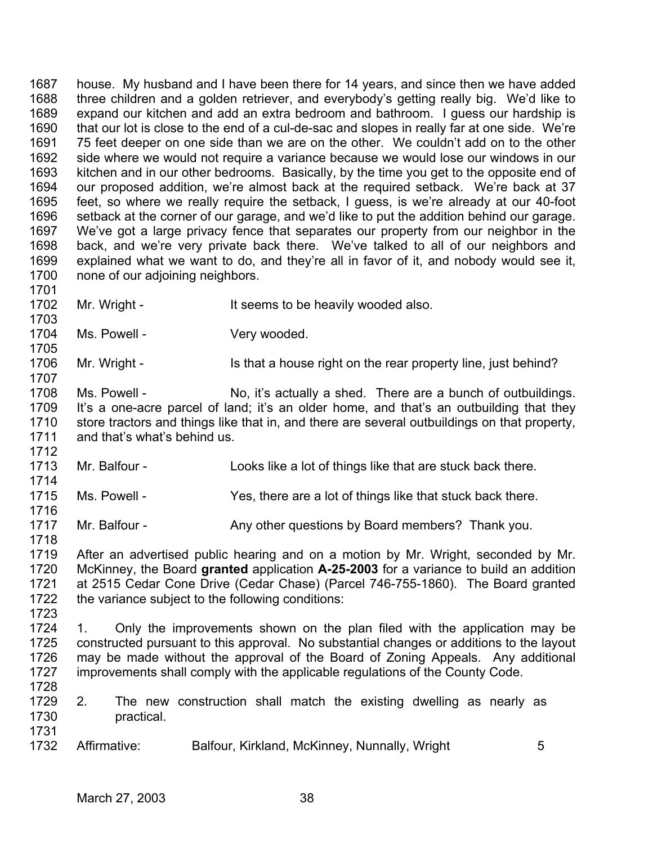1687 1688 1689 1690 1691 1692 1693 1694 1695 1696 1697 1698 1699 1700 1701 house. My husband and I have been there for 14 years, and since then we have added three children and a golden retriever, and everybody's getting really big. We'd like to expand our kitchen and add an extra bedroom and bathroom. I guess our hardship is that our lot is close to the end of a cul-de-sac and slopes in really far at one side. We're 75 feet deeper on one side than we are on the other. We couldn't add on to the other side where we would not require a variance because we would lose our windows in our kitchen and in our other bedrooms. Basically, by the time you get to the opposite end of our proposed addition, we're almost back at the required setback. We're back at 37 feet, so where we really require the setback, I guess, is we're already at our 40-foot setback at the corner of our garage, and we'd like to put the addition behind our garage. We've got a large privacy fence that separates our property from our neighbor in the back, and we're very private back there. We've talked to all of our neighbors and explained what we want to do, and they're all in favor of it, and nobody would see it, none of our adjoining neighbors.

1702

1703

1705

1707

1714

1716

Mr. Wright - It seems to be heavily wooded also.

1704 Ms. Powell - The Very wooded.

1706 Mr. Wright - Is that a house right on the rear property line, just behind?

1708 1709 1710 1711 1712 Ms. Powell - No, it's actually a shed. There are a bunch of outbuildings. It's a one-acre parcel of land; it's an older home, and that's an outbuilding that they store tractors and things like that in, and there are several outbuildings on that property, and that's what's behind us.

1713 Mr. Balfour - Looks like a lot of things like that are stuck back there.

1715 Ms. Powell - Yes, there are a lot of things like that stuck back there.

1717 1718 Mr. Balfour - **Any other questions by Board members?** Thank you.

1719 1720 1721 1722 1723 After an advertised public hearing and on a motion by Mr. Wright, seconded by Mr. McKinney, the Board **granted** application **A-25-2003** for a variance to build an addition at 2515 Cedar Cone Drive (Cedar Chase) (Parcel 746-755-1860). The Board granted the variance subject to the following conditions:

1724 1725 1726 1727 1728 1. Only the improvements shown on the plan filed with the application may be constructed pursuant to this approval. No substantial changes or additions to the layout may be made without the approval of the Board of Zoning Appeals. Any additional improvements shall comply with the applicable regulations of the County Code.

- 1729 1730 1731 2. The new construction shall match the existing dwelling as nearly as practical.
- 1732 Affirmative: Balfour, Kirkland, McKinney, Nunnally, Wright 5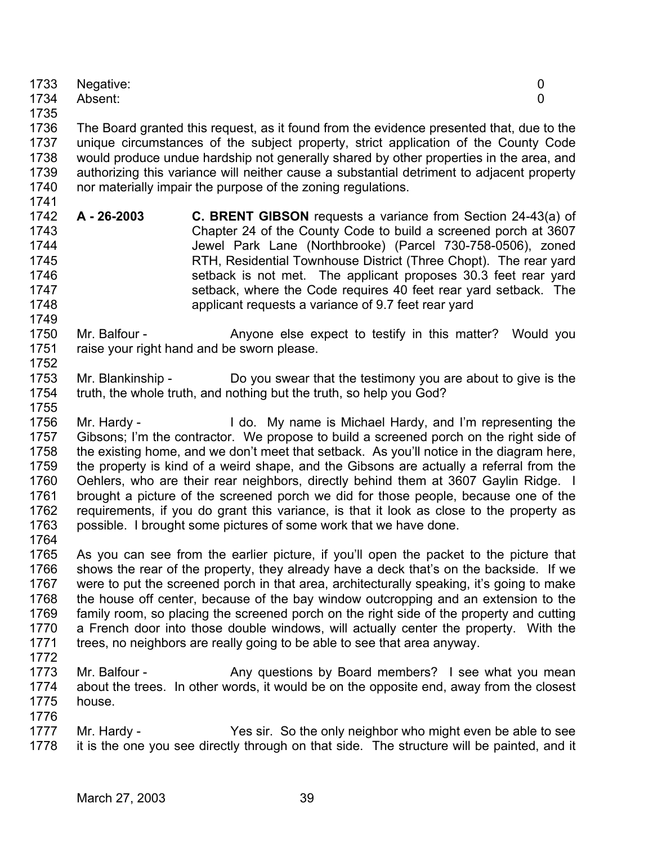|      | 1733 Negative: |  |
|------|----------------|--|
|      | 1734 Absent:   |  |
| 1735 |                |  |

1736 1737 1738 1739 1740 1741 The Board granted this request, as it found from the evidence presented that, due to the unique circumstances of the subject property, strict application of the County Code would produce undue hardship not generally shared by other properties in the area, and authorizing this variance will neither cause a substantial detriment to adjacent property nor materially impair the purpose of the zoning regulations.

- 1742 1743 1744 1745 1746 1747 1748 **A - 26-2003 C. BRENT GIBSON** requests a variance from Section 24-43(a) of Chapter 24 of the County Code to build a screened porch at 3607 Jewel Park Lane (Northbrooke) (Parcel 730-758-0506), zoned RTH, Residential Townhouse District (Three Chopt). The rear yard setback is not met. The applicant proposes 30.3 feet rear yard setback, where the Code requires 40 feet rear yard setback. The applicant requests a variance of 9.7 feet rear yard
- 1750 1751 1752 Mr. Balfour - The Anyone else expect to testify in this matter? Would you raise your right hand and be sworn please.
- 1753 1754 Mr. Blankinship - Do you swear that the testimony you are about to give is the truth, the whole truth, and nothing but the truth, so help you God?
- 1756 1757 1758 1759 1760 1761 1762 1763 Mr. Hardy - I do. My name is Michael Hardy, and I'm representing the Gibsons; I'm the contractor. We propose to build a screened porch on the right side of the existing home, and we don't meet that setback. As you'll notice in the diagram here, the property is kind of a weird shape, and the Gibsons are actually a referral from the Oehlers, who are their rear neighbors, directly behind them at 3607 Gaylin Ridge. I brought a picture of the screened porch we did for those people, because one of the requirements, if you do grant this variance, is that it look as close to the property as possible. I brought some pictures of some work that we have done.
- 1764

1749

- 1765 1766 1767 1768 1769 1770 1771 As you can see from the earlier picture, if you'll open the packet to the picture that shows the rear of the property, they already have a deck that's on the backside. If we were to put the screened porch in that area, architecturally speaking, it's going to make the house off center, because of the bay window outcropping and an extension to the family room, so placing the screened porch on the right side of the property and cutting a French door into those double windows, will actually center the property. With the trees, no neighbors are really going to be able to see that area anyway.
- 1772
- 1773 1774 1775 1776 Mr. Balfour - **Any questions by Board members?** I see what you mean about the trees. In other words, it would be on the opposite end, away from the closest house.
- 1777 1778 Mr. Hardy - Yes sir. So the only neighbor who might even be able to see it is the one you see directly through on that side. The structure will be painted, and it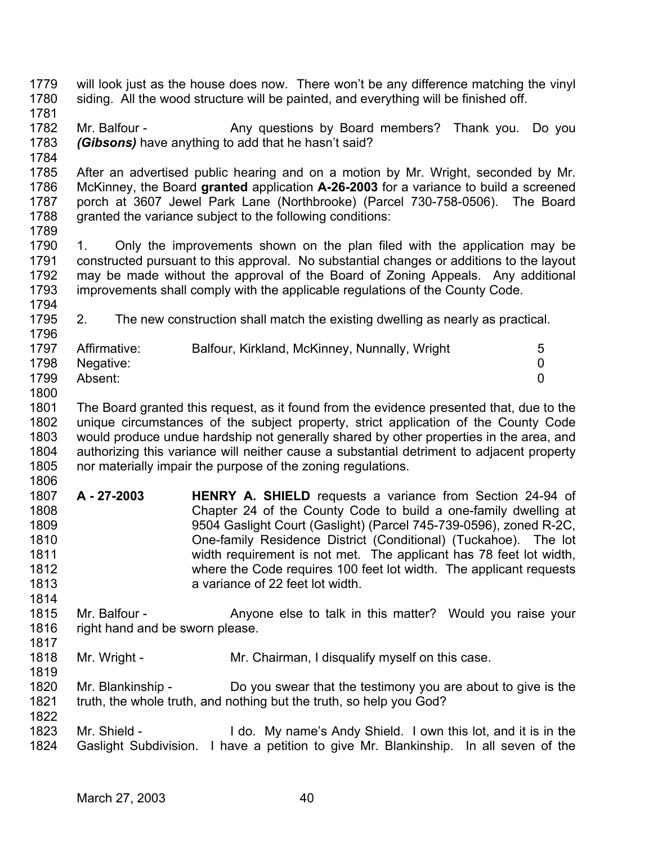- 1779 1780 1781 will look just as the house does now. There won't be any difference matching the vinyl siding. All the wood structure will be painted, and everything will be finished off.
- 1782 1783 Mr. Balfour - Any questions by Board members? Thank you. Do you *(Gibsons)* have anything to add that he hasn't said?
- 1784

1785 1786 1787 1788 After an advertised public hearing and on a motion by Mr. Wright, seconded by Mr. McKinney, the Board **granted** application **A-26-2003** for a variance to build a screened porch at 3607 Jewel Park Lane (Northbrooke) (Parcel 730-758-0506). The Board granted the variance subject to the following conditions:

1789

1814

1819

1790 1791 1792 1793 1794 1. Only the improvements shown on the plan filed with the application may be constructed pursuant to this approval. No substantial changes or additions to the layout may be made without the approval of the Board of Zoning Appeals. Any additional improvements shall comply with the applicable regulations of the County Code.

1795 1796 2. The new construction shall match the existing dwelling as nearly as practical.

| 1797 | Affirmative: | Balfour, Kirkland, McKinney, Nunnally, Wright | 5 |
|------|--------------|-----------------------------------------------|---|
| 1798 | Negative:    |                                               |   |
| 1799 | Absent:      |                                               |   |
| 1800 |              |                                               |   |

- 1801 1802 1803 1804 1805 The Board granted this request, as it found from the evidence presented that, due to the unique circumstances of the subject property, strict application of the County Code would produce undue hardship not generally shared by other properties in the area, and authorizing this variance will neither cause a substantial detriment to adjacent property nor materially impair the purpose of the zoning regulations.
- 1806 1807 1808 1809 1810 1811 1812 1813 **A - 27-2003 HENRY A. SHIELD** requests a variance from Section 24-94 of Chapter 24 of the County Code to build a one-family dwelling at 9504 Gaslight Court (Gaslight) (Parcel 745-739-0596), zoned R-2C, One-family Residence District (Conditional) (Tuckahoe). The lot width requirement is not met. The applicant has 78 feet lot width, where the Code requires 100 feet lot width. The applicant requests a variance of 22 feet lot width.
- 1815 1816 1817 Mr. Balfour - Anyone else to talk in this matter? Would you raise your right hand and be sworn please.
- 1818 Mr. Wright - Mr. Chairman, I disqualify myself on this case.
- 1820 1821 1822 Mr. Blankinship - Do you swear that the testimony you are about to give is the truth, the whole truth, and nothing but the truth, so help you God?
- 1823 1824 Mr. Shield - I do. My name's Andy Shield. I own this lot, and it is in the Gaslight Subdivision. I have a petition to give Mr. Blankinship. In all seven of the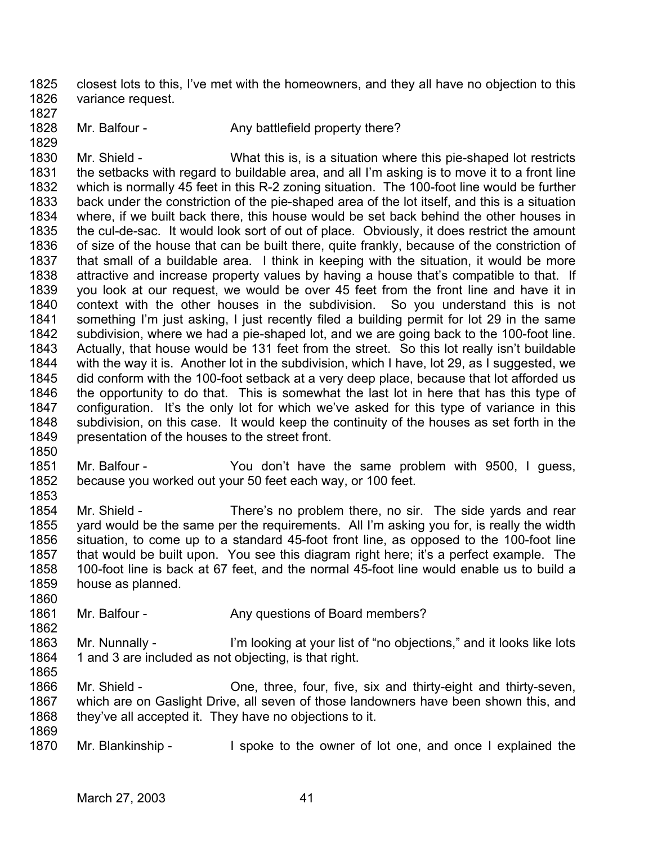1825 1826 closest lots to this, I've met with the homeowners, and they all have no objection to this variance request.

- 1827
- 1828
- 1829
- Mr. Balfour Any battlefield property there?

1830 1831 1832 1833 1834 1835 1836 1837 1838 1839 1840 1841 1842 1843 1844 1845 1846 1847 1848 1849 Mr. Shield - What this is, is a situation where this pie-shaped lot restricts the setbacks with regard to buildable area, and all I'm asking is to move it to a front line which is normally 45 feet in this R-2 zoning situation. The 100-foot line would be further back under the constriction of the pie-shaped area of the lot itself, and this is a situation where, if we built back there, this house would be set back behind the other houses in the cul-de-sac. It would look sort of out of place. Obviously, it does restrict the amount of size of the house that can be built there, quite frankly, because of the constriction of that small of a buildable area. I think in keeping with the situation, it would be more attractive and increase property values by having a house that's compatible to that. If you look at our request, we would be over 45 feet from the front line and have it in context with the other houses in the subdivision. So you understand this is not something I'm just asking, I just recently filed a building permit for lot 29 in the same subdivision, where we had a pie-shaped lot, and we are going back to the 100-foot line. Actually, that house would be 131 feet from the street. So this lot really isn't buildable with the way it is. Another lot in the subdivision, which I have, lot 29, as I suggested, we did conform with the 100-foot setback at a very deep place, because that lot afforded us the opportunity to do that. This is somewhat the last lot in here that has this type of configuration. It's the only lot for which we've asked for this type of variance in this subdivision, on this case. It would keep the continuity of the houses as set forth in the presentation of the houses to the street front.

1850

1853

1860

1862

1865

1851 1852 Mr. Balfour - The You don't have the same problem with 9500, I guess, because you worked out your 50 feet each way, or 100 feet.

1854 1855 1856 1857 1858 1859 Mr. Shield - There's no problem there, no sir. The side vards and rear yard would be the same per the requirements. All I'm asking you for, is really the width situation, to come up to a standard 45-foot front line, as opposed to the 100-foot line that would be built upon. You see this diagram right here; it's a perfect example. The 100-foot line is back at 67 feet, and the normal 45-foot line would enable us to build a house as planned.

1861 Mr. Balfour - Any questions of Board members?

1863 1864 Mr. Nunnally - I'm looking at your list of "no objections," and it looks like lots 1 and 3 are included as not objecting, is that right.

1866 1867 1868 1869 Mr. Shield - Che, three, four, five, six and thirty-eight and thirty-seven, which are on Gaslight Drive, all seven of those landowners have been shown this, and they've all accepted it. They have no objections to it.

1870 Mr. Blankinship - I spoke to the owner of lot one, and once I explained the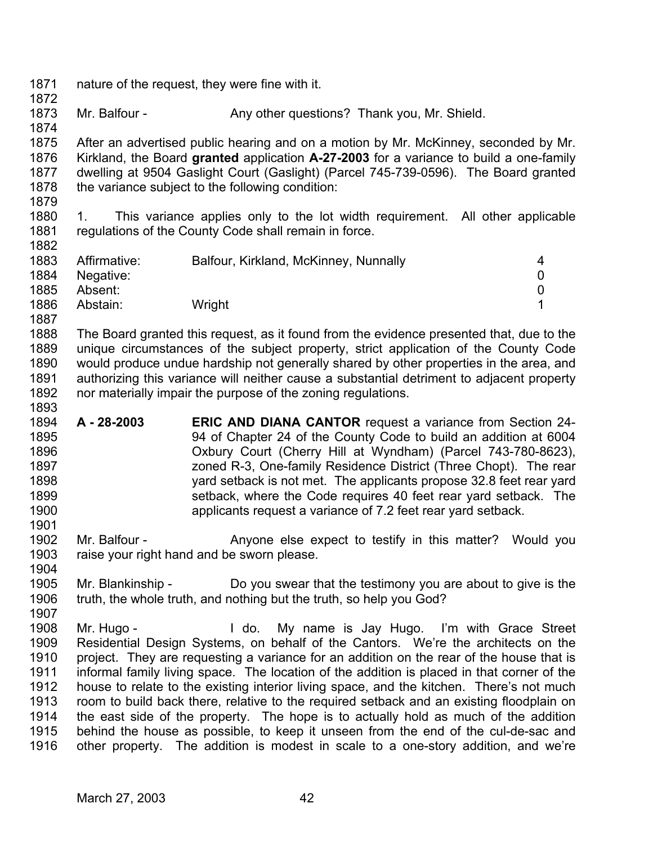- 1871 1872 nature of the request, they were fine with it.
- 1873 Mr. Balfour - Any other questions? Thank you, Mr. Shield.

1875 1876 1877 1878 After an advertised public hearing and on a motion by Mr. McKinney, seconded by Mr. Kirkland, the Board **granted** application **A-27-2003** for a variance to build a one-family dwelling at 9504 Gaslight Court (Gaslight) (Parcel 745-739-0596). The Board granted the variance subject to the following condition:

1879

1901

1904

1907

1874

1880 1881 1882 1. This variance applies only to the lot width requirement. All other applicable regulations of the County Code shall remain in force.

| 1883         | Affirmative: | Balfour, Kirkland, McKinney, Nunnally | 4 |
|--------------|--------------|---------------------------------------|---|
| 1884         | Negative:    |                                       | 0 |
| 1885         | Absent:      |                                       | 0 |
| 1886<br>1887 | Abstain:     | Wright                                |   |

1888 1889 1890 1891 1892 1893 The Board granted this request, as it found from the evidence presented that, due to the unique circumstances of the subject property, strict application of the County Code would produce undue hardship not generally shared by other properties in the area, and authorizing this variance will neither cause a substantial detriment to adjacent property nor materially impair the purpose of the zoning regulations.

1894 1895 1896 1897 1898 1899 1900 **A - 28-2003 ERIC AND DIANA CANTOR** request a variance from Section 24- 94 of Chapter 24 of the County Code to build an addition at 6004 Oxbury Court (Cherry Hill at Wyndham) (Parcel 743-780-8623), zoned R-3, One-family Residence District (Three Chopt). The rear yard setback is not met. The applicants propose 32.8 feet rear yard setback, where the Code requires 40 feet rear yard setback. The applicants request a variance of 7.2 feet rear yard setback.

1902 1903 Mr. Balfour - The Anyone else expect to testify in this matter? Would you raise your right hand and be sworn please.

- 1905 1906 Mr. Blankinship - Do you swear that the testimony you are about to give is the truth, the whole truth, and nothing but the truth, so help you God?
- 1908 1909 1910 1911 1912 1913 1914 1915 1916 Mr. Hugo - The My name is Jay Hugo. I'm with Grace Street Residential Design Systems, on behalf of the Cantors. We're the architects on the project. They are requesting a variance for an addition on the rear of the house that is informal family living space. The location of the addition is placed in that corner of the house to relate to the existing interior living space, and the kitchen. There's not much room to build back there, relative to the required setback and an existing floodplain on the east side of the property. The hope is to actually hold as much of the addition behind the house as possible, to keep it unseen from the end of the cul-de-sac and other property. The addition is modest in scale to a one-story addition, and we're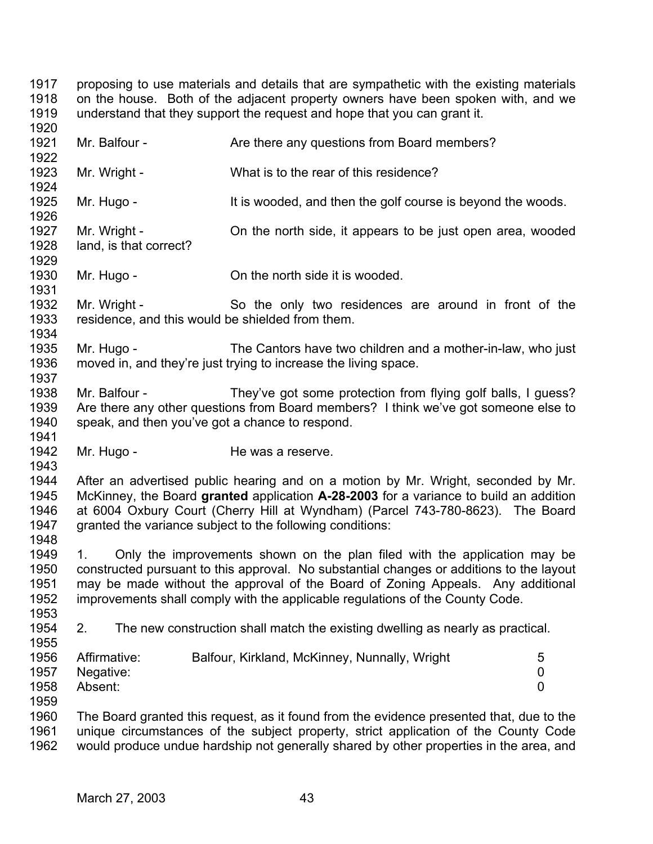1917 1918 1919 1920 1921 1922 1923 1924 1925 1926 1927 1928 1929 1930 1931 1932 1933 1934 1935 1936 1937 1938 1939 1940 1941 1942 1943 1944 1945 1946 1947 1948 1949 1950 1951 1952 1953 1954 1955 1956 1957 1958 1959 1960 1961 1962 proposing to use materials and details that are sympathetic with the existing materials on the house. Both of the adjacent property owners have been spoken with, and we understand that they support the request and hope that you can grant it. Mr. Balfour - The Are there any questions from Board members? Mr. Wright - What is to the rear of this residence? Mr. Hugo - It is wooded, and then the golf course is beyond the woods. Mr. Wright - Con the north side, it appears to be just open area, wooded land, is that correct? Mr. Hugo - Con the north side it is wooded. Mr. Wright - So the only two residences are around in front of the residence, and this would be shielded from them. Mr. Hugo - The Cantors have two children and a mother-in-law, who just moved in, and they're just trying to increase the living space. Mr. Balfour - They've got some protection from flying golf balls, I guess? Are there any other questions from Board members? I think we've got someone else to speak, and then you've got a chance to respond. Mr. Hugo - He was a reserve. After an advertised public hearing and on a motion by Mr. Wright, seconded by Mr. McKinney, the Board **granted** application **A-28-2003** for a variance to build an addition at 6004 Oxbury Court (Cherry Hill at Wyndham) (Parcel 743-780-8623). The Board granted the variance subject to the following conditions: 1. Only the improvements shown on the plan filed with the application may be constructed pursuant to this approval. No substantial changes or additions to the layout may be made without the approval of the Board of Zoning Appeals. Any additional improvements shall comply with the applicable regulations of the County Code. 2. The new construction shall match the existing dwelling as nearly as practical. Affirmative: Balfour, Kirkland, McKinney, Nunnally, Wright 5 Negative: 0 Absent: 0 The Board granted this request, as it found from the evidence presented that, due to the unique circumstances of the subject property, strict application of the County Code would produce undue hardship not generally shared by other properties in the area, and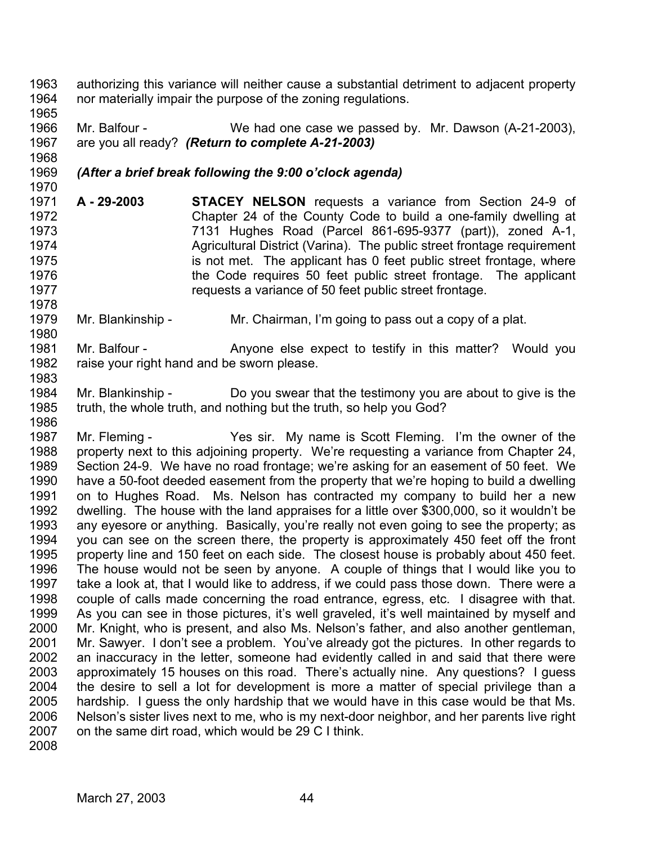1963 1964 authorizing this variance will neither cause a substantial detriment to adjacent property nor materially impair the purpose of the zoning regulations.

1966 1967 Mr. Balfour - We had one case we passed by. Mr. Dawson (A-21-2003), are you all ready? *(Return to complete A-21-2003)* 

## 1969 *(After a brief break following the 9:00 o'clock agenda)*

- 1971 1972 1973 1974 1975 1976 1977 **A - 29-2003 STACEY NELSON** requests a variance from Section 24-9 of Chapter 24 of the County Code to build a one-family dwelling at 7131 Hughes Road (Parcel 861-695-9377 (part)), zoned A-1, Agricultural District (Varina). The public street frontage requirement is not met. The applicant has 0 feet public street frontage, where the Code requires 50 feet public street frontage. The applicant requests a variance of 50 feet public street frontage.
- 1979 1980 Mr. Blankinship - Mr. Chairman, I'm going to pass out a copy of a plat.
- 1981 1982 Mr. Balfour - The Anyone else expect to testify in this matter? Would you raise your right hand and be sworn please.
- 1984 1985 1986 Mr. Blankinship - Do you swear that the testimony you are about to give is the truth, the whole truth, and nothing but the truth, so help you God?
- 1987 1988 1989 1990 1991 1992 1993 1994 1995 1996 1997 1998 1999 2000 2001 2002 2003 2004 2005 2006 2007 Mr. Fleming - Yes sir. My name is Scott Fleming. I'm the owner of the property next to this adjoining property. We're requesting a variance from Chapter 24, Section 24-9. We have no road frontage; we're asking for an easement of 50 feet. We have a 50-foot deeded easement from the property that we're hoping to build a dwelling on to Hughes Road. Ms. Nelson has contracted my company to build her a new dwelling. The house with the land appraises for a little over \$300,000, so it wouldn't be any eyesore or anything. Basically, you're really not even going to see the property; as you can see on the screen there, the property is approximately 450 feet off the front property line and 150 feet on each side. The closest house is probably about 450 feet. The house would not be seen by anyone. A couple of things that I would like you to take a look at, that I would like to address, if we could pass those down. There were a couple of calls made concerning the road entrance, egress, etc. I disagree with that. As you can see in those pictures, it's well graveled, it's well maintained by myself and Mr. Knight, who is present, and also Ms. Nelson's father, and also another gentleman, Mr. Sawyer. I don't see a problem. You've already got the pictures. In other regards to an inaccuracy in the letter, someone had evidently called in and said that there were approximately 15 houses on this road. There's actually nine. Any questions? I guess the desire to sell a lot for development is more a matter of special privilege than a hardship. I guess the only hardship that we would have in this case would be that Ms. Nelson's sister lives next to me, who is my next-door neighbor, and her parents live right on the same dirt road, which would be 29 C I think.
- 2008

1965

1968

1970

1978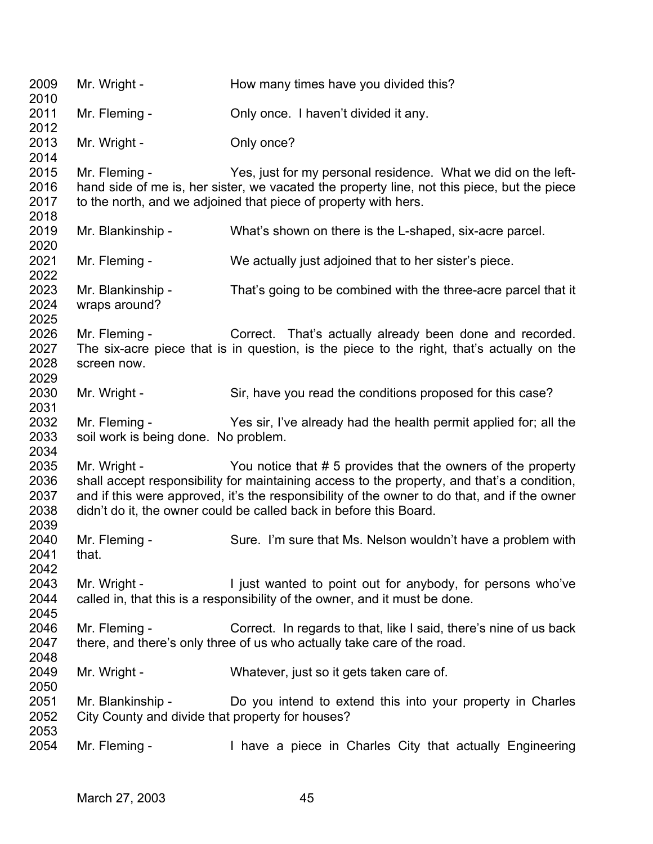| 2009<br>2010                         | Mr. Wright -                                                          | How many times have you divided this?                                                                                                                                                                                                                                                                                            |
|--------------------------------------|-----------------------------------------------------------------------|----------------------------------------------------------------------------------------------------------------------------------------------------------------------------------------------------------------------------------------------------------------------------------------------------------------------------------|
| 2011<br>2012                         | Mr. Fleming -                                                         | Only once. I haven't divided it any.                                                                                                                                                                                                                                                                                             |
| 2013<br>2014                         | Mr. Wright -                                                          | Only once?                                                                                                                                                                                                                                                                                                                       |
| 2015<br>2016<br>2017<br>2018         | Mr. Fleming -                                                         | Yes, just for my personal residence. What we did on the left-<br>hand side of me is, her sister, we vacated the property line, not this piece, but the piece<br>to the north, and we adjoined that piece of property with hers.                                                                                                  |
| 2019<br>2020                         | Mr. Blankinship -                                                     | What's shown on there is the L-shaped, six-acre parcel.                                                                                                                                                                                                                                                                          |
| 2021<br>2022                         | Mr. Fleming -                                                         | We actually just adjoined that to her sister's piece.                                                                                                                                                                                                                                                                            |
| 2023<br>2024<br>2025                 | Mr. Blankinship -<br>wraps around?                                    | That's going to be combined with the three-acre parcel that it                                                                                                                                                                                                                                                                   |
| 2026<br>2027<br>2028<br>2029         | Mr. Fleming -<br>screen now.                                          | Correct. That's actually already been done and recorded.<br>The six-acre piece that is in question, is the piece to the right, that's actually on the                                                                                                                                                                            |
| 2030<br>2031                         | Mr. Wright -                                                          | Sir, have you read the conditions proposed for this case?                                                                                                                                                                                                                                                                        |
| 2032<br>2033<br>2034                 | Mr. Fleming -<br>soil work is being done. No problem.                 | Yes sir, I've already had the health permit applied for; all the                                                                                                                                                                                                                                                                 |
| 2035<br>2036<br>2037<br>2038<br>2039 | Mr. Wright -                                                          | You notice that #5 provides that the owners of the property<br>shall accept responsibility for maintaining access to the property, and that's a condition,<br>and if this were approved, it's the responsibility of the owner to do that, and if the owner<br>didn't do it, the owner could be called back in before this Board. |
| 2040<br>2041<br>2042                 | Mr. Fleming -<br>that.                                                | Sure. I'm sure that Ms. Nelson wouldn't have a problem with                                                                                                                                                                                                                                                                      |
| 2043<br>2044<br>2045                 | Mr. Wright -                                                          | I just wanted to point out for anybody, for persons who've<br>called in, that this is a responsibility of the owner, and it must be done.                                                                                                                                                                                        |
| 2046<br>2047<br>2048                 | Mr. Fleming -                                                         | Correct. In regards to that, like I said, there's nine of us back<br>there, and there's only three of us who actually take care of the road.                                                                                                                                                                                     |
| 2049<br>2050                         | Mr. Wright -                                                          | Whatever, just so it gets taken care of.                                                                                                                                                                                                                                                                                         |
| 2051<br>2052<br>2053                 | Mr. Blankinship -<br>City County and divide that property for houses? | Do you intend to extend this into your property in Charles                                                                                                                                                                                                                                                                       |
| 2054                                 | Mr. Fleming -                                                         | I have a piece in Charles City that actually Engineering                                                                                                                                                                                                                                                                         |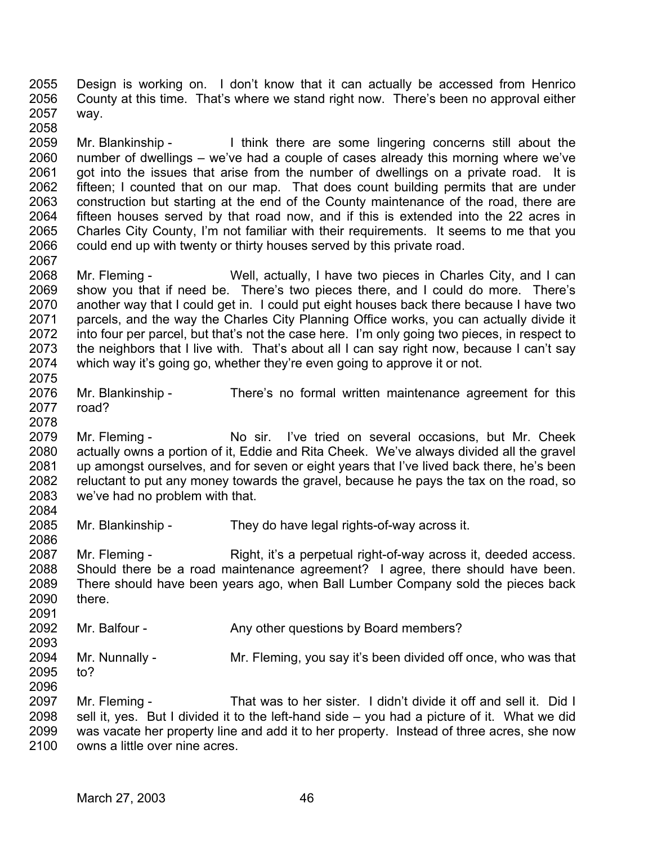2055 2056 2057 2058 Design is working on. I don't know that it can actually be accessed from Henrico County at this time. That's where we stand right now. There's been no approval either way.

2059 2060 2061 2062 2063 2064 2065 2066 Mr. Blankinship - I think there are some lingering concerns still about the number of dwellings – we've had a couple of cases already this morning where we've got into the issues that arise from the number of dwellings on a private road. It is fifteen; I counted that on our map. That does count building permits that are under construction but starting at the end of the County maintenance of the road, there are fifteen houses served by that road now, and if this is extended into the 22 acres in Charles City County, I'm not familiar with their requirements. It seems to me that you could end up with twenty or thirty houses served by this private road.

2068 2069 2070 2071 2072 2073 2074 Mr. Fleming - Well, actually, I have two pieces in Charles City, and I can show you that if need be. There's two pieces there, and I could do more. There's another way that I could get in. I could put eight houses back there because I have two parcels, and the way the Charles City Planning Office works, you can actually divide it into four per parcel, but that's not the case here. I'm only going two pieces, in respect to the neighbors that I live with. That's about all I can say right now, because I can't say which way it's going go, whether they're even going to approve it or not.

2076 2077 Mr. Blankinship - There's no formal written maintenance agreement for this road?

2079 2080 2081 2082 2083 2084 Mr. Fleming - No sir. I've tried on several occasions, but Mr. Cheek actually owns a portion of it, Eddie and Rita Cheek. We've always divided all the gravel up amongst ourselves, and for seven or eight years that I've lived back there, he's been reluctant to put any money towards the gravel, because he pays the tax on the road, so we've had no problem with that.

2085 2086 Mr. Blankinship - They do have legal rights-of-way across it.

2087 2088 2089 2090 2091 Mr. Fleming - Right, it's a perpetual right-of-way across it, deeded access. Should there be a road maintenance agreement? I agree, there should have been. There should have been years ago, when Ball Lumber Company sold the pieces back there.

2092 Mr. Balfour - Any other questions by Board members?

2093 2094 2095 2096 Mr. Nunnally - Mr. Fleming, you say it's been divided off once, who was that to?

2097 2098 2099 2100 Mr. Fleming - That was to her sister. I didn't divide it off and sell it. Did I sell it, yes. But I divided it to the left-hand side – you had a picture of it. What we did was vacate her property line and add it to her property. Instead of three acres, she now owns a little over nine acres.

2067

2075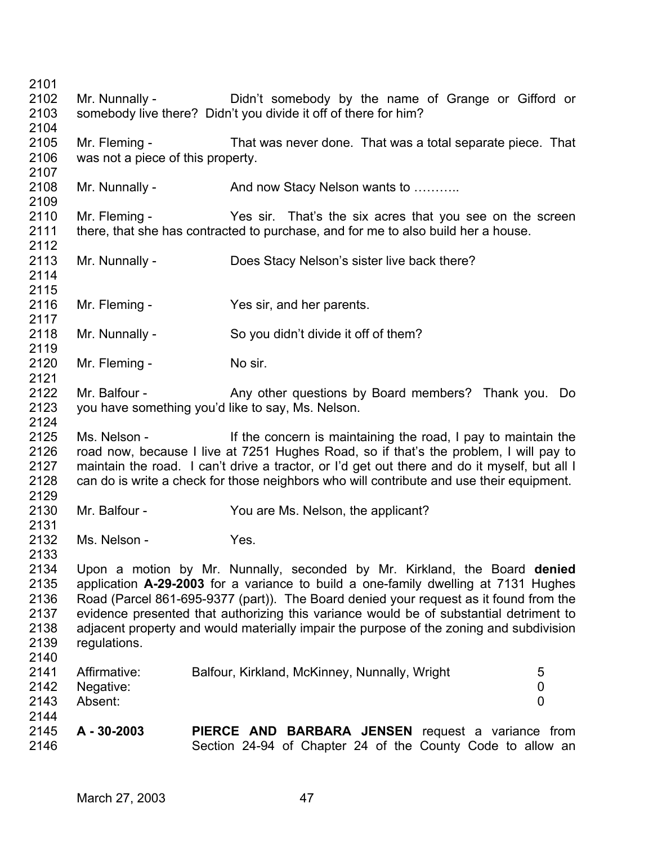2101 2102 2103 2104 2105 2106 2107 2108 2109 2110 2111 2112 2113 2114 2115 2116 2117 2118 2119 2120 2121 2122 2123 2124 2125 2126 2127 2128 2129 2130 2131 2132 2133 2134 2135 2136 2137 2138 2139 2140 2141 2142 2143 2144 2145 2146 Mr. Nunnally - Didn't somebody by the name of Grange or Gifford or somebody live there? Didn't you divide it off of there for him? Mr. Fleming - That was never done. That was a total separate piece. That was not a piece of this property. Mr. Nunnally - And now Stacy Nelson wants to ........... Mr. Fleming - Yes sir. That's the six acres that you see on the screen there, that she has contracted to purchase, and for me to also build her a house. Mr. Nunnally - Does Stacy Nelson's sister live back there? Mr. Fleming - Yes sir, and her parents. Mr. Nunnally - So you didn't divide it off of them? Mr. Fleming - No sir. Mr. Balfour - Any other questions by Board members? Thank you. Do you have something you'd like to say, Ms. Nelson. Ms. Nelson - If the concern is maintaining the road, I pay to maintain the road now, because I live at 7251 Hughes Road, so if that's the problem, I will pay to maintain the road. I can't drive a tractor, or I'd get out there and do it myself, but all I can do is write a check for those neighbors who will contribute and use their equipment. Mr. Balfour - You are Ms. Nelson, the applicant? Ms. Nelson - Yes. Upon a motion by Mr. Nunnally, seconded by Mr. Kirkland, the Board **denied** application **A-29-2003** for a variance to build a one-family dwelling at 7131 Hughes Road (Parcel 861-695-9377 (part)). The Board denied your request as it found from the evidence presented that authorizing this variance would be of substantial detriment to adjacent property and would materially impair the purpose of the zoning and subdivision regulations. Affirmative: Balfour, Kirkland, McKinney, Nunnally, Wright 5 Negative: 0 Absent: 0 **A - 30-2003 PIERCE AND BARBARA JENSEN** request a variance from Section 24-94 of Chapter 24 of the County Code to allow an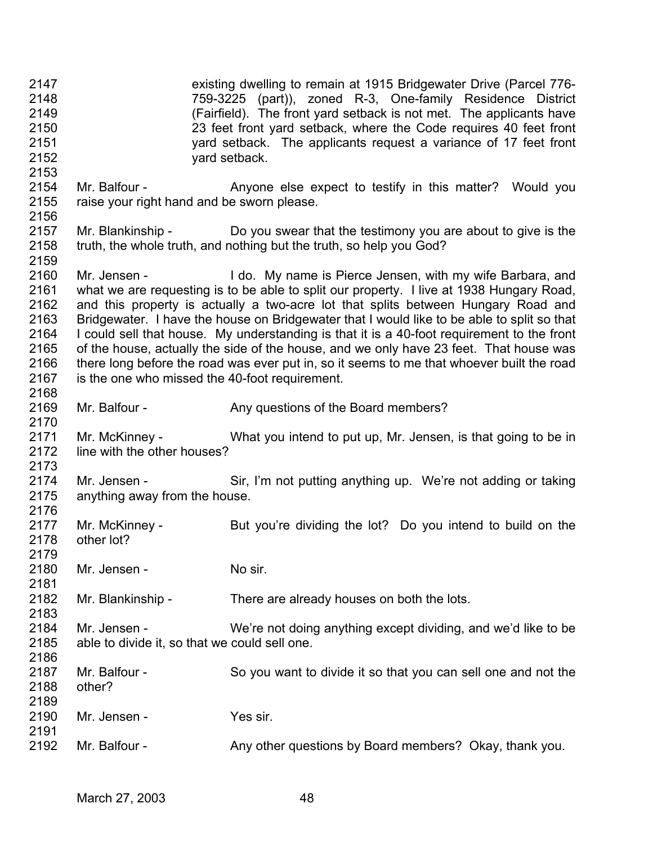2147 2148 2149 2150 2151 2152 2153 2154 2155 2156 2157 2158 2159 2160 2161 2162 2163 2164 2165 2166 2167 2168 2169 2170 2171 2172 2173 2174 2175 2176 2177 2178 2179 2180 2181 2182 2183 2184 2185 2186 2187 2188 2189 2190 2191 2192 existing dwelling to remain at 1915 Bridgewater Drive (Parcel 776- 759-3225 (part)), zoned R-3, One-family Residence District (Fairfield). The front yard setback is not met. The applicants have 23 feet front yard setback, where the Code requires 40 feet front yard setback. The applicants request a variance of 17 feet front yard setback. Mr. Balfour - The Anyone else expect to testify in this matter? Would you raise your right hand and be sworn please. Mr. Blankinship - Do you swear that the testimony you are about to give is the truth, the whole truth, and nothing but the truth, so help you God? Mr. Jensen - I do. My name is Pierce Jensen, with my wife Barbara, and what we are requesting is to be able to split our property. I live at 1938 Hungary Road, and this property is actually a two-acre lot that splits between Hungary Road and Bridgewater. I have the house on Bridgewater that I would like to be able to split so that I could sell that house. My understanding is that it is a 40-foot requirement to the front of the house, actually the side of the house, and we only have 23 feet. That house was there long before the road was ever put in, so it seems to me that whoever built the road is the one who missed the 40-foot requirement. Mr. Balfour - Any questions of the Board members? Mr. McKinney - What you intend to put up, Mr. Jensen, is that going to be in line with the other houses? Mr. Jensen - Sir, I'm not putting anything up. We're not adding or taking anything away from the house. Mr. McKinney - But you're dividing the lot? Do you intend to build on the other lot? Mr. Jensen - No sir. Mr. Blankinship - There are already houses on both the lots. Mr. Jensen - We're not doing anything except dividing, and we'd like to be able to divide it, so that we could sell one. Mr. Balfour - So you want to divide it so that you can sell one and not the other? Mr. Jensen - Yes sir. Mr. Balfour - Any other questions by Board members? Okay, thank you.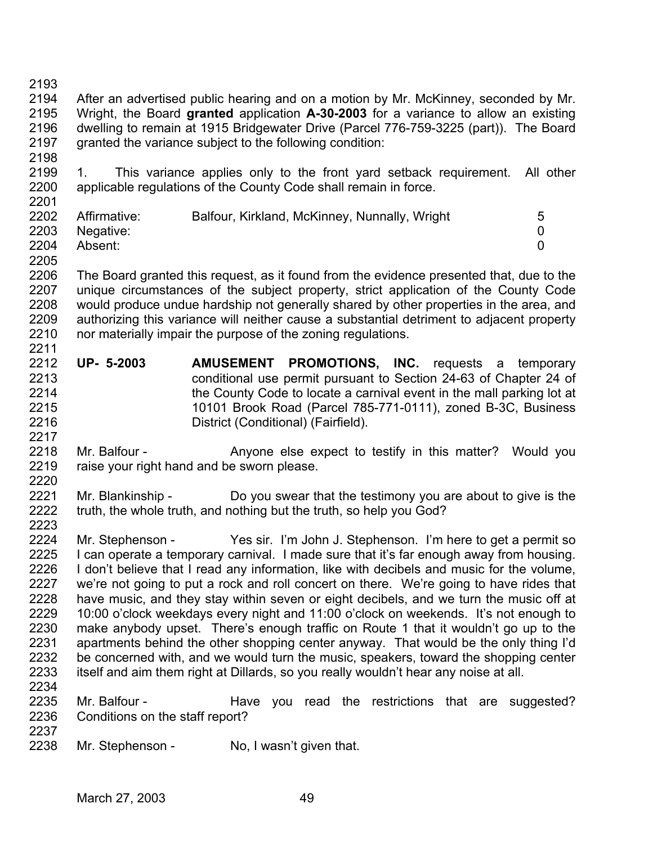2193

2198

2194 2195 2196 2197 After an advertised public hearing and on a motion by Mr. McKinney, seconded by Mr. Wright, the Board **granted** application **A-30-2003** for a variance to allow an existing dwelling to remain at 1915 Bridgewater Drive (Parcel 776-759-3225 (part)). The Board granted the variance subject to the following condition:

2199 2200 2201 1. This variance applies only to the front yard setback requirement. All other applicable regulations of the County Code shall remain in force.

| Affirmative: | Balfour, Kirkland, McKinney, Nunnally, Wright |  |
|--------------|-----------------------------------------------|--|
| Negative:    |                                               |  |
| Absent:      |                                               |  |
|              |                                               |  |

2205

2206 2207 2208 2209 2210 2211 The Board granted this request, as it found from the evidence presented that, due to the unique circumstances of the subject property, strict application of the County Code would produce undue hardship not generally shared by other properties in the area, and authorizing this variance will neither cause a substantial detriment to adjacent property nor materially impair the purpose of the zoning regulations.

2212 2213 2214 2215 2216 2217 **UP- 5-2003 AMUSEMENT PROMOTIONS, INC.** requests a temporary conditional use permit pursuant to Section 24-63 of Chapter 24 of the County Code to locate a carnival event in the mall parking lot at 10101 Brook Road (Parcel 785-771-0111), zoned B-3C, Business District (Conditional) (Fairfield).

2218 2219 2220 Mr. Balfour - The Anyone else expect to testify in this matter? Would you raise your right hand and be sworn please.

2221 2222 2223 Mr. Blankinship - Do you swear that the testimony you are about to give is the truth, the whole truth, and nothing but the truth, so help you God?

2224 2225 2226 2227 2228 2229 2230 2231 2232 2233 2234 Mr. Stephenson - Yes sir. I'm John J. Stephenson. I'm here to get a permit so I can operate a temporary carnival. I made sure that it's far enough away from housing. I don't believe that I read any information, like with decibels and music for the volume, we're not going to put a rock and roll concert on there. We're going to have rides that have music, and they stay within seven or eight decibels, and we turn the music off at 10:00 o'clock weekdays every night and 11:00 o'clock on weekends. It's not enough to make anybody upset. There's enough traffic on Route 1 that it wouldn't go up to the apartments behind the other shopping center anyway. That would be the only thing I'd be concerned with, and we would turn the music, speakers, toward the shopping center itself and aim them right at Dillards, so you really wouldn't hear any noise at all.

2235 2236 2237 Mr. Balfour - The Have you read the restrictions that are suggested? Conditions on the staff report?

2238 Mr. Stephenson - No, I wasn't given that.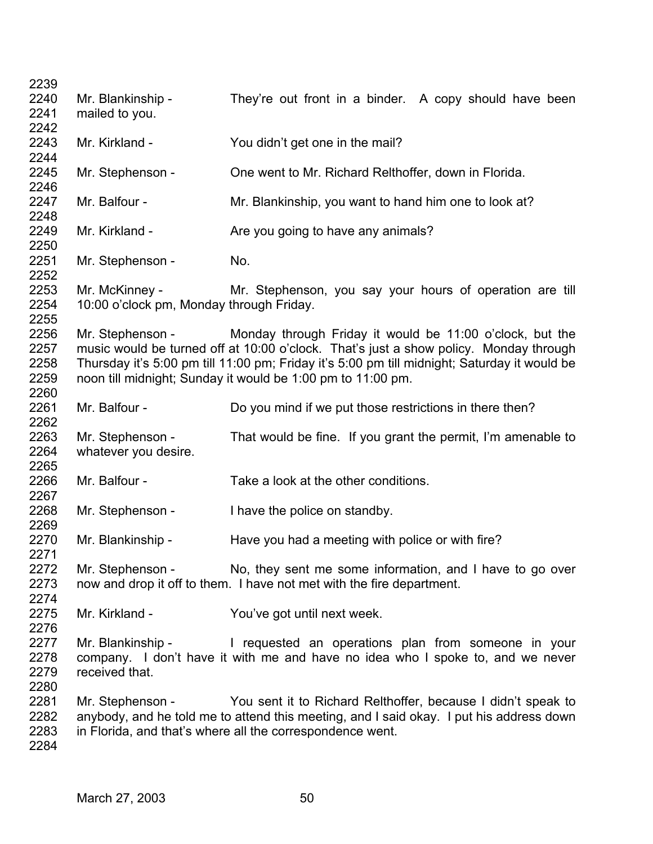| 2239<br>2240<br>2241<br>2242 | Mr. Blankinship -<br>mailed to you.                        | They're out front in a binder. A copy should have been                                                                                                                                                                                |
|------------------------------|------------------------------------------------------------|---------------------------------------------------------------------------------------------------------------------------------------------------------------------------------------------------------------------------------------|
| 2243<br>2244                 | Mr. Kirkland -                                             | You didn't get one in the mail?                                                                                                                                                                                                       |
| 2245<br>2246                 | Mr. Stephenson -                                           | One went to Mr. Richard Relthoffer, down in Florida.                                                                                                                                                                                  |
| 2247<br>2248                 | Mr. Balfour -                                              | Mr. Blankinship, you want to hand him one to look at?                                                                                                                                                                                 |
| 2249<br>2250                 | Mr. Kirkland -                                             | Are you going to have any animals?                                                                                                                                                                                                    |
| 2251<br>2252                 | Mr. Stephenson -                                           | No.                                                                                                                                                                                                                                   |
| 2253<br>2254<br>2255         | Mr. McKinney -<br>10:00 o'clock pm, Monday through Friday. | Mr. Stephenson, you say your hours of operation are till                                                                                                                                                                              |
| 2256<br>2257                 |                                                            | Mr. Stephenson - Monday through Friday it would be 11:00 o'clock, but the<br>music would be turned off at 10:00 o'clock. That's just a show policy. Monday through                                                                    |
| 2258<br>2259<br>2260         |                                                            | Thursday it's 5:00 pm till 11:00 pm; Friday it's 5:00 pm till midnight; Saturday it would be<br>noon till midnight; Sunday it would be 1:00 pm to 11:00 pm.                                                                           |
| 2261<br>2262                 | Mr. Balfour -                                              | Do you mind if we put those restrictions in there then?                                                                                                                                                                               |
| 2263<br>2264<br>2265         | Mr. Stephenson -<br>whatever you desire.                   | That would be fine. If you grant the permit, I'm amenable to                                                                                                                                                                          |
| 2266<br>2267                 | Mr. Balfour -                                              | Take a look at the other conditions.                                                                                                                                                                                                  |
| 2268<br>2269                 | Mr. Stephenson -                                           | I have the police on standby.                                                                                                                                                                                                         |
| 2270<br>2271                 | Mr. Blankinship -                                          | Have you had a meeting with police or with fire?                                                                                                                                                                                      |
| 2272<br>2273<br>2274         |                                                            | Mr. Stephenson - No, they sent me some information, and I have to go over<br>now and drop it off to them. I have not met with the fire department.                                                                                    |
| 2275<br>2276                 | Mr. Kirkland -                                             | You've got until next week.                                                                                                                                                                                                           |
| 2277<br>2278<br>2279<br>2280 | received that.                                             | Mr. Blankinship - The requested an operations plan from someone in your<br>company. I don't have it with me and have no idea who I spoke to, and we never                                                                             |
| 2281<br>2282<br>2283<br>2284 |                                                            | Mr. Stephenson - You sent it to Richard Relthoffer, because I didn't speak to<br>anybody, and he told me to attend this meeting, and I said okay. I put his address down<br>in Florida, and that's where all the correspondence went. |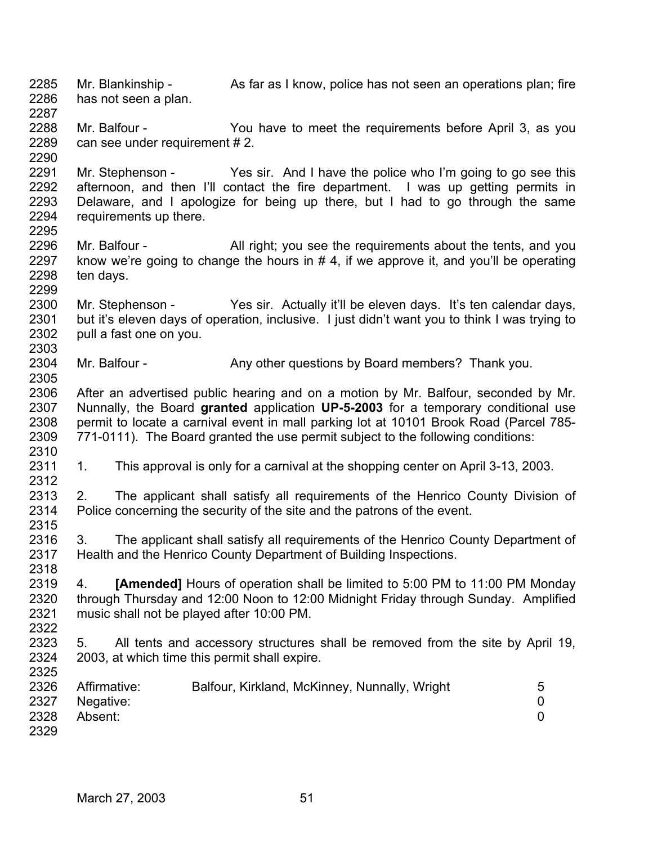- 2285 2286 2287 Mr. Blankinship - As far as I know, police has not seen an operations plan; fire has not seen a plan.
- 2288 2289 Mr. Balfour - The You have to meet the requirements before April 3, as you can see under requirement # 2.
- 2291 2292 2293 2294 2295 Mr. Stephenson - Yes sir. And I have the police who I'm going to go see this afternoon, and then I'll contact the fire department. I was up getting permits in Delaware, and I apologize for being up there, but I had to go through the same requirements up there.
- 2296 2297 2298 2299 Mr. Balfour - All right; you see the requirements about the tents, and you know we're going to change the hours in  $# 4$ , if we approve it, and you'll be operating ten days.
- 2300 2301 2302 2303 Mr. Stephenson - Yes sir. Actually it'll be eleven days. It's ten calendar days, but it's eleven days of operation, inclusive. I just didn't want you to think I was trying to pull a fast one on you.
- 2304 Mr. Balfour - Any other questions by Board members? Thank you.
- 2306 2307 2308 2309 2310 After an advertised public hearing and on a motion by Mr. Balfour, seconded by Mr. Nunnally, the Board **granted** application **UP-5-2003** for a temporary conditional use permit to locate a carnival event in mall parking lot at 10101 Brook Road (Parcel 785- 771-0111). The Board granted the use permit subject to the following conditions:
- 2311 1. This approval is only for a carnival at the shopping center on April 3-13, 2003.
- 2313 2314 2315 2. The applicant shall satisfy all requirements of the Henrico County Division of Police concerning the security of the site and the patrons of the event.
- 2316 2317 3. The applicant shall satisfy all requirements of the Henrico County Department of Health and the Henrico County Department of Building Inspections.
- 2319 2320 2321 4. **[Amended]** Hours of operation shall be limited to 5:00 PM to 11:00 PM Monday through Thursday and 12:00 Noon to 12:00 Midnight Friday through Sunday. Amplified music shall not be played after 10:00 PM.
- 2322 2323 2324 5. All tents and accessory structures shall be removed from the site by April 19, 2003, at which time this permit shall expire.
	- 2326 2327 2328 2329 Affirmative: Balfour, Kirkland, McKinney, Nunnally, Wright 5 Negative: 0 Absent: 0

2290

2305

2312

2318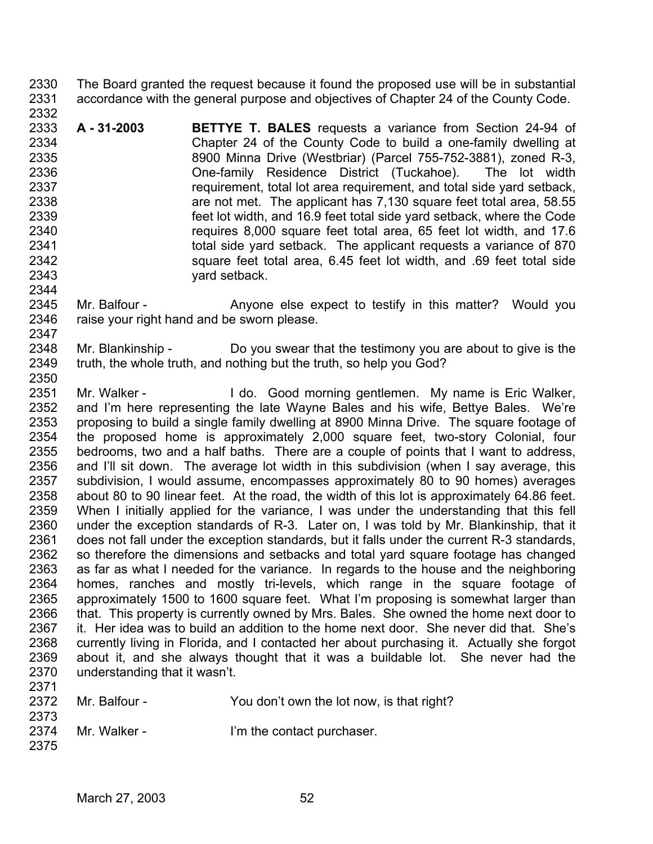2330 2331 2332 The Board granted the request because it found the proposed use will be in substantial accordance with the general purpose and objectives of Chapter 24 of the County Code.

2333 2334 2335 2336 2337 2338 2339 2340 2341 2342 2343 2344 **A - 31-2003 BETTYE T. BALES** requests a variance from Section 24-94 of Chapter 24 of the County Code to build a one-family dwelling at 8900 Minna Drive (Westbriar) (Parcel 755-752-3881), zoned R-3, One-family Residence District (Tuckahoe). The lot width requirement, total lot area requirement, and total side yard setback, are not met. The applicant has 7,130 square feet total area, 58.55 feet lot width, and 16.9 feet total side yard setback, where the Code requires 8,000 square feet total area, 65 feet lot width, and 17.6 total side yard setback. The applicant requests a variance of 870 square feet total area, 6.45 feet lot width, and .69 feet total side yard setback.

2345 2346 2347 Mr. Balfour - The Anyone else expect to testify in this matter? Would you raise your right hand and be sworn please.

2348 2349 2350 Mr. Blankinship - Do you swear that the testimony you are about to give is the truth, the whole truth, and nothing but the truth, so help you God?

2351 2352 2353 2354 2355 2356 2357 2358 2359 2360 2361 2362 2363 2364 2365 2366 2367 2368 2369 2370 2371 Mr. Walker - The Music Cood morning gentlemen. My name is Eric Walker, and I'm here representing the late Wayne Bales and his wife, Bettye Bales. We're proposing to build a single family dwelling at 8900 Minna Drive. The square footage of the proposed home is approximately 2,000 square feet, two-story Colonial, four bedrooms, two and a half baths. There are a couple of points that I want to address, and I'll sit down. The average lot width in this subdivision (when I say average, this subdivision, I would assume, encompasses approximately 80 to 90 homes) averages about 80 to 90 linear feet. At the road, the width of this lot is approximately 64.86 feet. When I initially applied for the variance, I was under the understanding that this fell under the exception standards of R-3. Later on, I was told by Mr. Blankinship, that it does not fall under the exception standards, but it falls under the current R-3 standards, so therefore the dimensions and setbacks and total yard square footage has changed as far as what I needed for the variance. In regards to the house and the neighboring homes, ranches and mostly tri-levels, which range in the square footage of approximately 1500 to 1600 square feet. What I'm proposing is somewhat larger than that. This property is currently owned by Mrs. Bales. She owned the home next door to it. Her idea was to build an addition to the home next door. She never did that. She's currently living in Florida, and I contacted her about purchasing it. Actually she forgot about it, and she always thought that it was a buildable lot. She never had the understanding that it wasn't.

| ---  |               |                                           |
|------|---------------|-------------------------------------------|
| 2372 | Mr. Balfour - | You don't own the lot now, is that right? |
| 2373 |               |                                           |
| 2374 | Mr. Walker -  | I'm the contact purchaser.                |
| 2375 |               |                                           |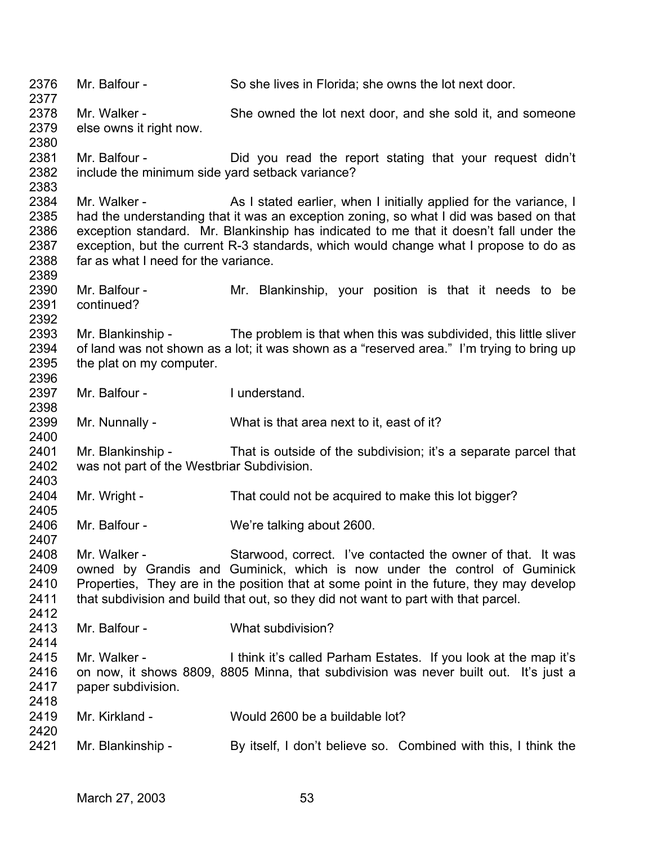2376 2377 2378 2379 2380 2381 2382 2383 2384 2385 2386 2387 2388 2389 2390 2391 2392 2393 2394 2395 2396 2397 2398 2399 2400 2401 2402 2403 2404 2405 2406 2407 2408 2409 2410 2411 2412 2413 2414 2415 2416 2417 2418 2419 2420 2421 Mr. Balfour - So she lives in Florida; she owns the lot next door. Mr. Walker - She owned the lot next door, and she sold it, and someone else owns it right now. Mr. Balfour - The Did you read the report stating that your request didn't include the minimum side yard setback variance? Mr. Walker - As I stated earlier, when I initially applied for the variance, I had the understanding that it was an exception zoning, so what I did was based on that exception standard. Mr. Blankinship has indicated to me that it doesn't fall under the exception, but the current R-3 standards, which would change what I propose to do as far as what I need for the variance. Mr. Balfour - The Mr. Blankinship, your position is that it needs to be continued? Mr. Blankinship - The problem is that when this was subdivided, this little sliver of land was not shown as a lot; it was shown as a "reserved area." I'm trying to bring up the plat on my computer. Mr. Balfour - I understand. Mr. Nunnally - What is that area next to it, east of it? Mr. Blankinship - That is outside of the subdivision; it's a separate parcel that was not part of the Westbriar Subdivision. Mr. Wright - That could not be acquired to make this lot bigger? Mr. Balfour - We're talking about 2600. Mr. Walker - Starwood, correct. I've contacted the owner of that. It was owned by Grandis and Guminick, which is now under the control of Guminick Properties, They are in the position that at some point in the future, they may develop that subdivision and build that out, so they did not want to part with that parcel. Mr. Balfour - What subdivision? Mr. Walker - I think it's called Parham Estates. If you look at the map it's on now, it shows 8809, 8805 Minna, that subdivision was never built out. It's just a paper subdivision. Mr. Kirkland - Would 2600 be a buildable lot? Mr. Blankinship - By itself, I don't believe so. Combined with this, I think the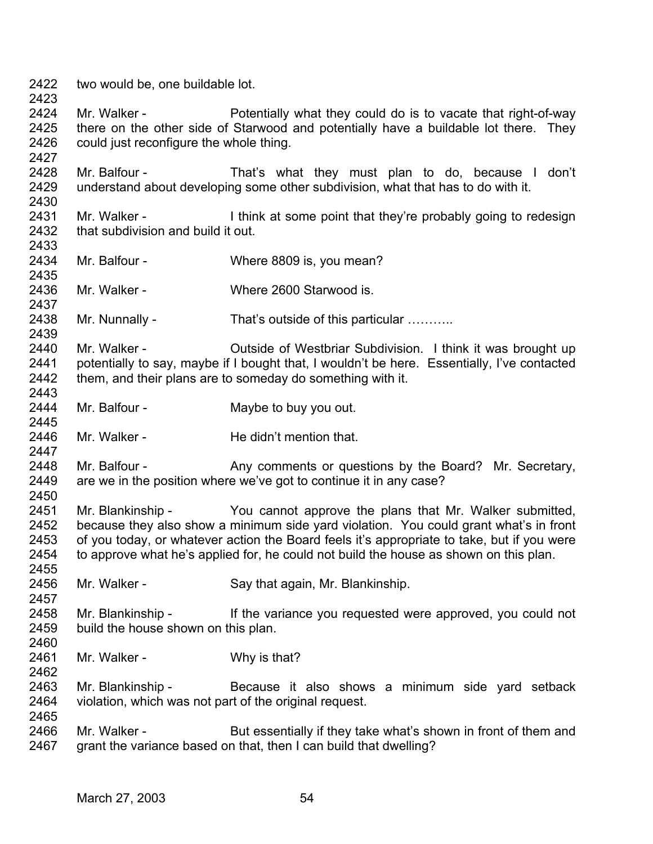2422 two would be, one buildable lot.

2423

2427

2430

2437

2439

2447

2450

2457

2462

2424 2425 2426 Mr. Walker - Potentially what they could do is to vacate that right-of-way there on the other side of Starwood and potentially have a buildable lot there. They could just reconfigure the whole thing.

2428 2429 Mr. Balfour - That's what they must plan to do, because I don't understand about developing some other subdivision, what that has to do with it.

2431 2432 2433 Mr. Walker - I think at some point that they're probably going to redesign that subdivision and build it out.

2434 2435 Mr. Balfour - Where 8809 is, you mean?

2436 Mr. Walker - Where 2600 Starwood is

2438 Mr. Nunnally - That's outside of this particular ..........

2440 2441 2442 2443 Mr. Walker - Cutside of Westbriar Subdivision. I think it was brought up potentially to say, maybe if I bought that, I wouldn't be here. Essentially, I've contacted them, and their plans are to someday do something with it.

2444 2445 Mr. Balfour - **Maybe to buy you out.** 

2446 Mr. Walker - He didn't mention that.

2448 2449 Mr. Balfour - Any comments or questions by the Board? Mr. Secretary, are we in the position where we've got to continue it in any case?

2451 2452 2453 2454 2455 Mr. Blankinship - You cannot approve the plans that Mr. Walker submitted, because they also show a minimum side yard violation. You could grant what's in front of you today, or whatever action the Board feels it's appropriate to take, but if you were to approve what he's applied for, he could not build the house as shown on this plan.

- 2456 Mr. Walker - Say that again, Mr. Blankinship.
- 2458 2459 2460 Mr. Blankinship - If the variance you requested were approved, you could not build the house shown on this plan.
- 2461 Mr. Walker - Why is that?

2463 2464 2465 Mr. Blankinship - Because it also shows a minimum side yard setback violation, which was not part of the original request.

2466 2467 Mr. Walker - But essentially if they take what's shown in front of them and grant the variance based on that, then I can build that dwelling?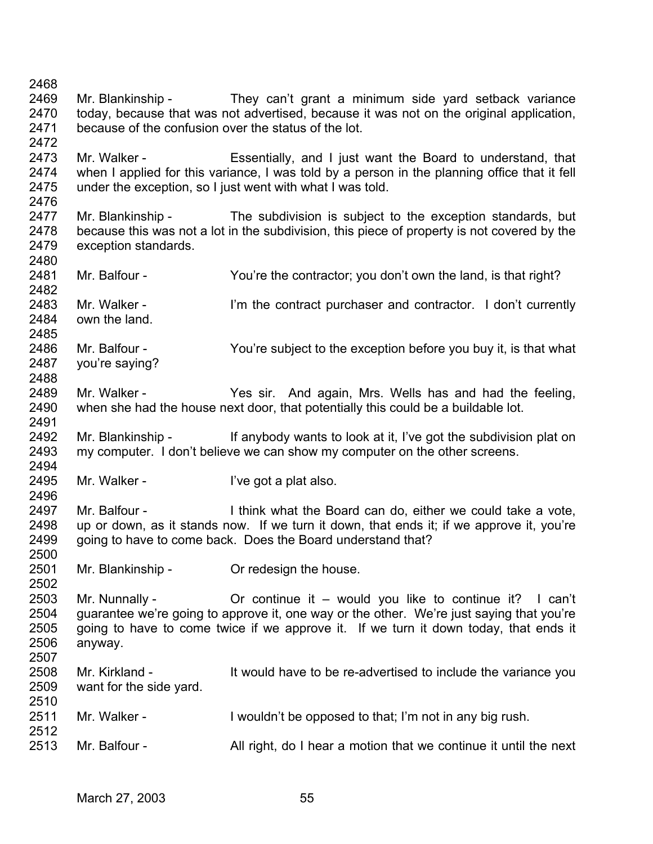2468 2469 2470 2471 2472 2473 2474 2475 2476 2477 2478 2479 2480 2481 2482 2483 2484 2485 2486 2487 2488 2489 2490 2491 2492 2493 2494 2495 2496 2497 2498 2499 2500 2501 2502 2503 2504 2505 2506 2507 2508 2509 2510 2511 2512 2513 Mr. Blankinship - They can't grant a minimum side yard setback variance today, because that was not advertised, because it was not on the original application, because of the confusion over the status of the lot. Mr. Walker - Essentially, and I just want the Board to understand, that when I applied for this variance, I was told by a person in the planning office that it fell under the exception, so I just went with what I was told. Mr. Blankinship - The subdivision is subject to the exception standards, but because this was not a lot in the subdivision, this piece of property is not covered by the exception standards. Mr. Balfour - You're the contractor; you don't own the land, is that right? Mr. Walker - I'm the contract purchaser and contractor. I don't currently own the land. Mr. Balfour - You're subject to the exception before you buy it, is that what you're saying? Mr. Walker - The Yes sir. And again, Mrs. Wells has and had the feeling, when she had the house next door, that potentially this could be a buildable lot. Mr. Blankinship - If anybody wants to look at it, I've got the subdivision plat on my computer. I don't believe we can show my computer on the other screens. Mr. Walker - The Unit of Pregot a plat also. Mr. Balfour - Think what the Board can do, either we could take a vote, up or down, as it stands now. If we turn it down, that ends it; if we approve it, you're going to have to come back. Does the Board understand that? Mr. Blankinship - Criclesign the house. Mr. Nunnally - Cr continue it – would you like to continue it? I can't guarantee we're going to approve it, one way or the other. We're just saying that you're going to have to come twice if we approve it. If we turn it down today, that ends it anyway. Mr. Kirkland - It would have to be re-advertised to include the variance you want for the side yard. Mr. Walker - I wouldn't be opposed to that; I'm not in any big rush. Mr. Balfour - All right, do I hear a motion that we continue it until the next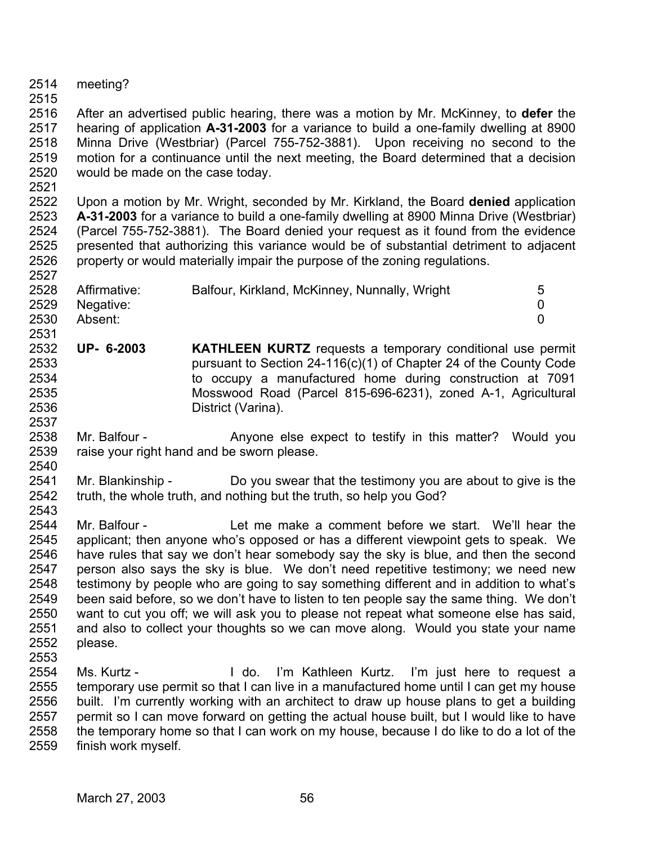- 2514 meeting?
- 2515

2516 2517 2518 2519 2520 After an advertised public hearing, there was a motion by Mr. McKinney, to **defer** the hearing of application **A-31-2003** for a variance to build a one-family dwelling at 8900 Minna Drive (Westbriar) (Parcel 755-752-3881). Upon receiving no second to the motion for a continuance until the next meeting, the Board determined that a decision would be made on the case today.

2521

2527

2522 2523 2524 2525 2526 Upon a motion by Mr. Wright, seconded by Mr. Kirkland, the Board **denied** application **A-31-2003** for a variance to build a one-family dwelling at 8900 Minna Drive (Westbriar) (Parcel 755-752-3881). The Board denied your request as it found from the evidence presented that authorizing this variance would be of substantial detriment to adjacent property or would materially impair the purpose of the zoning regulations.

| 2528 | Affirmative:   | Balfour, Kirkland, McKinney, Nunnally, Wright | 5 |
|------|----------------|-----------------------------------------------|---|
|      | 2529 Negative: |                                               |   |
| 2530 | Absent:        |                                               |   |
| 2531 |                |                                               |   |

- 2532 2533 2534 2535 2536 2537 **UP- 6-2003 KATHLEEN KURTZ** requests a temporary conditional use permit pursuant to Section 24-116(c)(1) of Chapter 24 of the County Code to occupy a manufactured home during construction at 7091 Mosswood Road (Parcel 815-696-6231), zoned A-1, Agricultural District (Varina).
- 2538 2539 2540 Mr. Balfour - The Anyone else expect to testify in this matter? Would you raise your right hand and be sworn please.
- 2541 2542 2543 Mr. Blankinship - Do you swear that the testimony you are about to give is the truth, the whole truth, and nothing but the truth, so help you God?

2544 2545 2546 2547 2548 2549 2550 2551 2552 2553 Mr. Balfour - Let me make a comment before we start. We'll hear the applicant; then anyone who's opposed or has a different viewpoint gets to speak. We have rules that say we don't hear somebody say the sky is blue, and then the second person also says the sky is blue. We don't need repetitive testimony; we need new testimony by people who are going to say something different and in addition to what's been said before, so we don't have to listen to ten people say the same thing. We don't want to cut you off; we will ask you to please not repeat what someone else has said, and also to collect your thoughts so we can move along. Would you state your name please.

2554 2555 2556 2557 2558 2559 Ms. Kurtz - I do. I'm Kathleen Kurtz. I'm just here to request a temporary use permit so that I can live in a manufactured home until I can get my house built. I'm currently working with an architect to draw up house plans to get a building permit so I can move forward on getting the actual house built, but I would like to have the temporary home so that I can work on my house, because I do like to do a lot of the finish work myself.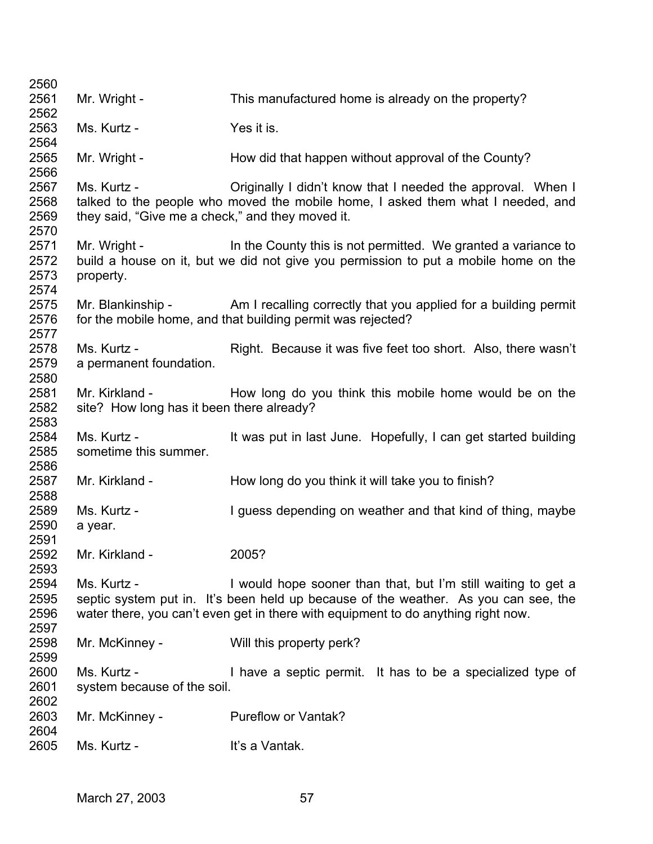| 2560                                 |                                                                 |                                                                                                                                                                                                                                           |
|--------------------------------------|-----------------------------------------------------------------|-------------------------------------------------------------------------------------------------------------------------------------------------------------------------------------------------------------------------------------------|
| 2561                                 | Mr. Wright -                                                    | This manufactured home is already on the property?                                                                                                                                                                                        |
| 2562                                 |                                                                 |                                                                                                                                                                                                                                           |
| 2563<br>2564                         | Ms. Kurtz -                                                     | Yes it is.                                                                                                                                                                                                                                |
| 2565                                 | Mr. Wright -                                                    | How did that happen without approval of the County?                                                                                                                                                                                       |
| 2566<br>2567<br>2568<br>2569         | Ms. Kurtz -<br>they said, "Give me a check," and they moved it. | Originally I didn't know that I needed the approval. When I<br>talked to the people who moved the mobile home, I asked them what I needed, and                                                                                            |
| 2570<br>2571<br>2572<br>2573<br>2574 | Mr. Wright -<br>property.                                       | In the County this is not permitted. We granted a variance to<br>build a house on it, but we did not give you permission to put a mobile home on the                                                                                      |
| 2575<br>2576<br>2577                 |                                                                 | Mr. Blankinship - Am I recalling correctly that you applied for a building permit<br>for the mobile home, and that building permit was rejected?                                                                                          |
| 2578<br>2579<br>2580                 | Ms. Kurtz -<br>a permanent foundation.                          | Right. Because it was five feet too short. Also, there wasn't                                                                                                                                                                             |
| 2581<br>2582<br>2583                 | Mr. Kirkland -<br>site? How long has it been there already?     | How long do you think this mobile home would be on the                                                                                                                                                                                    |
| 2584<br>2585<br>2586                 | Ms. Kurtz -<br>sometime this summer.                            | It was put in last June. Hopefully, I can get started building                                                                                                                                                                            |
| 2587<br>2588                         | Mr. Kirkland -                                                  | How long do you think it will take you to finish?                                                                                                                                                                                         |
| 2589<br>2590<br>2591                 | Ms. Kurtz -<br>a year.                                          | I guess depending on weather and that kind of thing, maybe                                                                                                                                                                                |
| 2592<br>2593                         | Mr. Kirkland -                                                  | 2005?                                                                                                                                                                                                                                     |
| 2594<br>2595<br>2596<br>2597         | Ms. Kurtz -                                                     | I would hope sooner than that, but I'm still waiting to get a<br>septic system put in. It's been held up because of the weather. As you can see, the<br>water there, you can't even get in there with equipment to do anything right now. |
| 2598<br>2599                         | Mr. McKinney -                                                  | Will this property perk?                                                                                                                                                                                                                  |
| 2600<br>2601<br>2602                 | Ms. Kurtz -<br>system because of the soil.                      | I have a septic permit. It has to be a specialized type of                                                                                                                                                                                |
| 2603<br>2604                         | Mr. McKinney -                                                  | Pureflow or Vantak?                                                                                                                                                                                                                       |
| 2605                                 | Ms. Kurtz -                                                     | It's a Vantak.                                                                                                                                                                                                                            |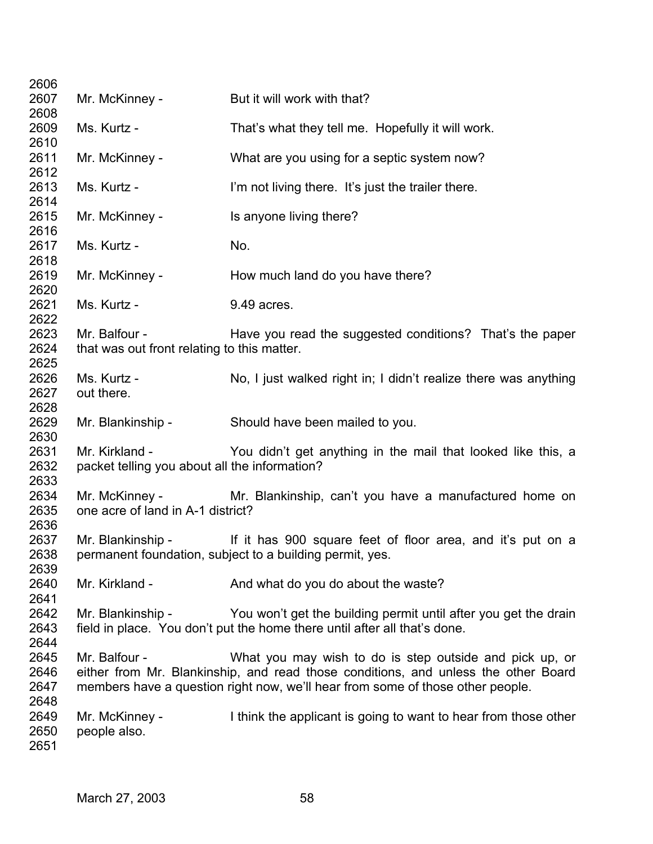| 2606         |                                               |                                                                                    |
|--------------|-----------------------------------------------|------------------------------------------------------------------------------------|
| 2607         | Mr. McKinney -                                | But it will work with that?                                                        |
| 2608         |                                               |                                                                                    |
| 2609         | Ms. Kurtz -                                   | That's what they tell me. Hopefully it will work.                                  |
| 2610         |                                               |                                                                                    |
| 2611         | Mr. McKinney -                                | What are you using for a septic system now?                                        |
| 2612         |                                               |                                                                                    |
| 2613         | Ms. Kurtz -                                   | I'm not living there. It's just the trailer there.                                 |
| 2614         |                                               |                                                                                    |
| 2615         | Mr. McKinney -                                | Is anyone living there?                                                            |
| 2616<br>2617 | Ms. Kurtz -                                   | No.                                                                                |
| 2618         |                                               |                                                                                    |
| 2619         | Mr. McKinney -                                | How much land do you have there?                                                   |
| 2620         |                                               |                                                                                    |
| 2621         | Ms. Kurtz -                                   | 9.49 acres.                                                                        |
| 2622         |                                               |                                                                                    |
| 2623         | Mr. Balfour -                                 | Have you read the suggested conditions? That's the paper                           |
| 2624         | that was out front relating to this matter.   |                                                                                    |
| 2625         |                                               |                                                                                    |
| 2626         | Ms. Kurtz -                                   | No, I just walked right in; I didn't realize there was anything                    |
| 2627         | out there.                                    |                                                                                    |
| 2628         |                                               |                                                                                    |
| 2629         | Mr. Blankinship -                             | Should have been mailed to you.                                                    |
| 2630         |                                               |                                                                                    |
| 2631         | Mr. Kirkland -                                | You didn't get anything in the mail that looked like this, a                       |
| 2632         | packet telling you about all the information? |                                                                                    |
| 2633         |                                               |                                                                                    |
| 2634         | Mr. McKinney -                                | Mr. Blankinship, can't you have a manufactured home on                             |
| 2635<br>2636 | one acre of land in A-1 district?             |                                                                                    |
| 2637         | Mr. Blankinship -                             | If it has 900 square feet of floor area, and it's put on a                         |
| 2638         |                                               | permanent foundation, subject to a building permit, yes                            |
| 2639         |                                               |                                                                                    |
| 2640         | Mr. Kirkland -                                | And what do you do about the waste?                                                |
| 2641         |                                               |                                                                                    |
| 2642         | Mr. Blankinship -                             | You won't get the building permit until after you get the drain                    |
| 2643         |                                               | field in place. You don't put the home there until after all that's done.          |
| 2644         |                                               |                                                                                    |
| 2645         | Mr. Balfour -                                 | What you may wish to do is step outside and pick up, or                            |
| 2646         |                                               | either from Mr. Blankinship, and read those conditions, and unless the other Board |
| 2647         |                                               | members have a question right now, we'll hear from some of those other people.     |
| 2648         |                                               |                                                                                    |
| 2649         | Mr. McKinney -                                | I think the applicant is going to want to hear from those other                    |
| 2650         | people also.                                  |                                                                                    |
| 2651         |                                               |                                                                                    |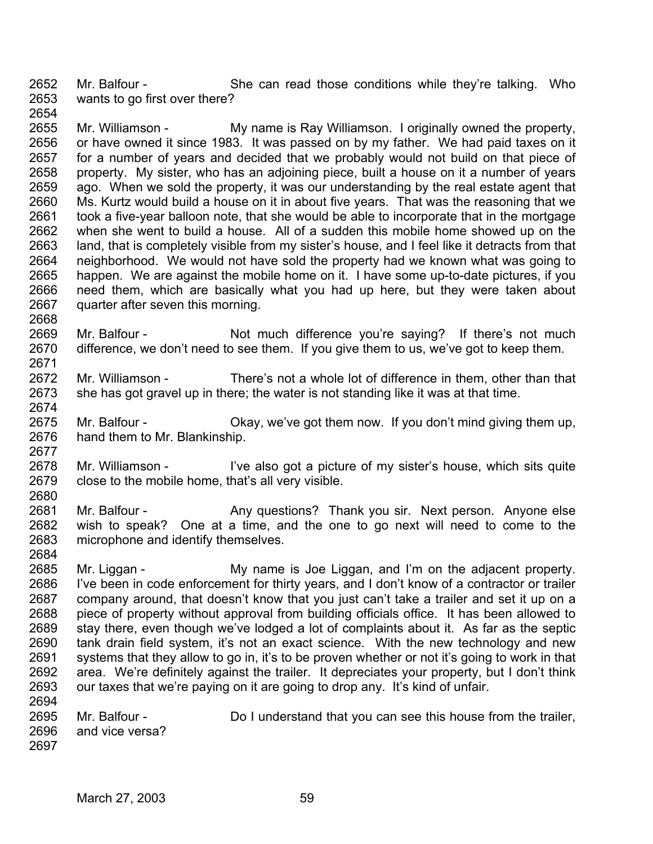2652 2653 2654 Mr. Balfour - She can read those conditions while they're talking. Who wants to go first over there?

2655 2656 2657 2658 2659 2660 2661 2662 2663 2664 2665 2666 2667 Mr. Williamson - My name is Ray Williamson. I originally owned the property, or have owned it since 1983. It was passed on by my father. We had paid taxes on it for a number of years and decided that we probably would not build on that piece of property. My sister, who has an adjoining piece, built a house on it a number of years ago. When we sold the property, it was our understanding by the real estate agent that Ms. Kurtz would build a house on it in about five years. That was the reasoning that we took a five-year balloon note, that she would be able to incorporate that in the mortgage when she went to build a house. All of a sudden this mobile home showed up on the land, that is completely visible from my sister's house, and I feel like it detracts from that neighborhood. We would not have sold the property had we known what was going to happen. We are against the mobile home on it. I have some up-to-date pictures, if you need them, which are basically what you had up here, but they were taken about quarter after seven this morning.

- 2669 2670 2671 Mr. Balfour - Not much difference you're saying? If there's not much difference, we don't need to see them. If you give them to us, we've got to keep them.
- 2672 2673 Mr. Williamson - There's not a whole lot of difference in them, other than that she has got gravel up in there; the water is not standing like it was at that time.
- 2675 2676 Mr. Balfour - Chay, we've got them now. If you don't mind giving them up, hand them to Mr. Blankinship.
- 2678 2679 2680 Mr. Williamson - I've also got a picture of my sister's house, which sits quite close to the mobile home, that's all very visible.
- 2681 2682 2683 Mr. Balfour - Any questions? Thank you sir. Next person. Anyone else wish to speak? One at a time, and the one to go next will need to come to the microphone and identify themselves.
- 2684 2685 2686 2687 2688 2689 2690 2691 2692 2693 2694 Mr. Liggan - My name is Joe Liggan, and I'm on the adjacent property. I've been in code enforcement for thirty years, and I don't know of a contractor or trailer company around, that doesn't know that you just can't take a trailer and set it up on a piece of property without approval from building officials office. It has been allowed to stay there, even though we've lodged a lot of complaints about it. As far as the septic tank drain field system, it's not an exact science. With the new technology and new systems that they allow to go in, it's to be proven whether or not it's going to work in that area. We're definitely against the trailer. It depreciates your property, but I don't think our taxes that we're paying on it are going to drop any. It's kind of unfair.
- 2695 2696 2697 Mr. Balfour - Do I understand that you can see this house from the trailer, and vice versa?

2668

2674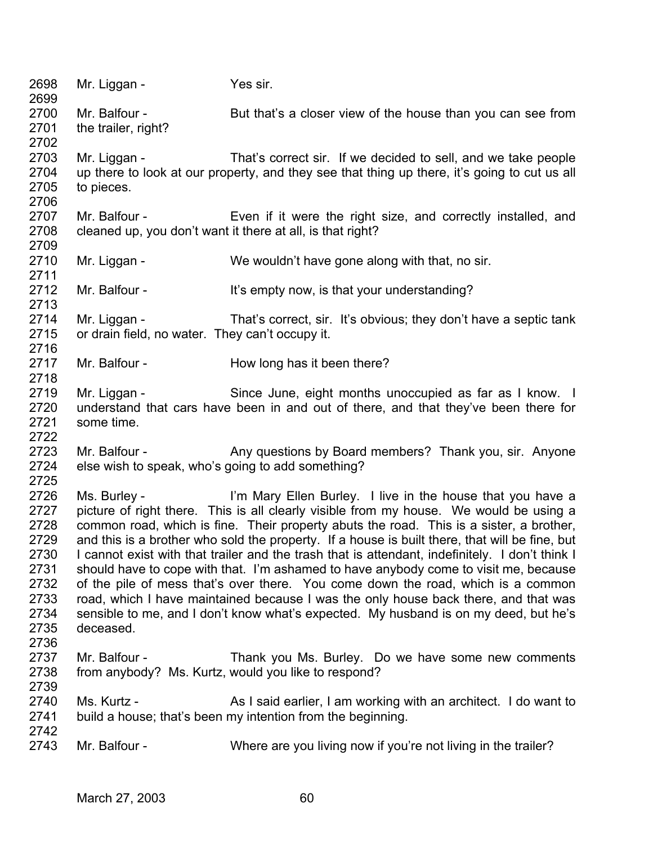| 2698<br>2699                                                                         | Mr. Liggan -                                                       | Yes sir.                                                                                                                                                                                                                                                                                                                                                                                                                                                                                                                                                                                                                                                                                                                                                                                                        |
|--------------------------------------------------------------------------------------|--------------------------------------------------------------------|-----------------------------------------------------------------------------------------------------------------------------------------------------------------------------------------------------------------------------------------------------------------------------------------------------------------------------------------------------------------------------------------------------------------------------------------------------------------------------------------------------------------------------------------------------------------------------------------------------------------------------------------------------------------------------------------------------------------------------------------------------------------------------------------------------------------|
| 2700<br>2701                                                                         | Mr. Balfour -<br>the trailer, right?                               | But that's a closer view of the house than you can see from                                                                                                                                                                                                                                                                                                                                                                                                                                                                                                                                                                                                                                                                                                                                                     |
| 2702<br>2703<br>2704<br>2705<br>2706                                                 | Mr. Liggan -<br>to pieces.                                         | That's correct sir. If we decided to sell, and we take people<br>up there to look at our property, and they see that thing up there, it's going to cut us all                                                                                                                                                                                                                                                                                                                                                                                                                                                                                                                                                                                                                                                   |
| 2707<br>2708<br>2709                                                                 | Mr. Balfour -                                                      | Even if it were the right size, and correctly installed, and<br>cleaned up, you don't want it there at all, is that right?                                                                                                                                                                                                                                                                                                                                                                                                                                                                                                                                                                                                                                                                                      |
| 2710<br>2711                                                                         | Mr. Liggan -                                                       | We wouldn't have gone along with that, no sir.                                                                                                                                                                                                                                                                                                                                                                                                                                                                                                                                                                                                                                                                                                                                                                  |
| 2712<br>2713                                                                         | Mr. Balfour -                                                      | It's empty now, is that your understanding?                                                                                                                                                                                                                                                                                                                                                                                                                                                                                                                                                                                                                                                                                                                                                                     |
| 2714<br>2715<br>2716                                                                 | Mr. Liggan -<br>or drain field, no water. They can't occupy it.    | That's correct, sir. It's obvious; they don't have a septic tank                                                                                                                                                                                                                                                                                                                                                                                                                                                                                                                                                                                                                                                                                                                                                |
| 2717<br>2718                                                                         | Mr. Balfour -                                                      | How long has it been there?                                                                                                                                                                                                                                                                                                                                                                                                                                                                                                                                                                                                                                                                                                                                                                                     |
| 2719<br>2720<br>2721<br>2722                                                         | Mr. Liggan -<br>some time.                                         | Since June, eight months unoccupied as far as I know. I<br>understand that cars have been in and out of there, and that they've been there for                                                                                                                                                                                                                                                                                                                                                                                                                                                                                                                                                                                                                                                                  |
| 2723<br>2724<br>2725                                                                 | Mr. Balfour -<br>else wish to speak, who's going to add something? | Any questions by Board members? Thank you, sir. Anyone                                                                                                                                                                                                                                                                                                                                                                                                                                                                                                                                                                                                                                                                                                                                                          |
| 2726<br>2727<br>2728<br>2729<br>2730<br>2731<br>2732<br>2733<br>2734<br>2735<br>2736 | Ms. Burley -<br>deceased.                                          | I'm Mary Ellen Burley. I live in the house that you have a<br>picture of right there. This is all clearly visible from my house. We would be using a<br>common road, which is fine. Their property abuts the road. This is a sister, a brother,<br>and this is a brother who sold the property. If a house is built there, that will be fine, but<br>I cannot exist with that trailer and the trash that is attendant, indefinitely. I don't think I<br>should have to cope with that. I'm ashamed to have anybody come to visit me, because<br>of the pile of mess that's over there. You come down the road, which is a common<br>road, which I have maintained because I was the only house back there, and that was<br>sensible to me, and I don't know what's expected. My husband is on my deed, but he's |
| 2737<br>2738<br>2739                                                                 | Mr. Balfour -                                                      | Thank you Ms. Burley. Do we have some new comments<br>from anybody? Ms. Kurtz, would you like to respond?                                                                                                                                                                                                                                                                                                                                                                                                                                                                                                                                                                                                                                                                                                       |
| 2740<br>2741                                                                         | Ms. Kurtz -                                                        | As I said earlier, I am working with an architect. I do want to<br>build a house; that's been my intention from the beginning.                                                                                                                                                                                                                                                                                                                                                                                                                                                                                                                                                                                                                                                                                  |
| 2742<br>2743                                                                         | Mr. Balfour -                                                      | Where are you living now if you're not living in the trailer?                                                                                                                                                                                                                                                                                                                                                                                                                                                                                                                                                                                                                                                                                                                                                   |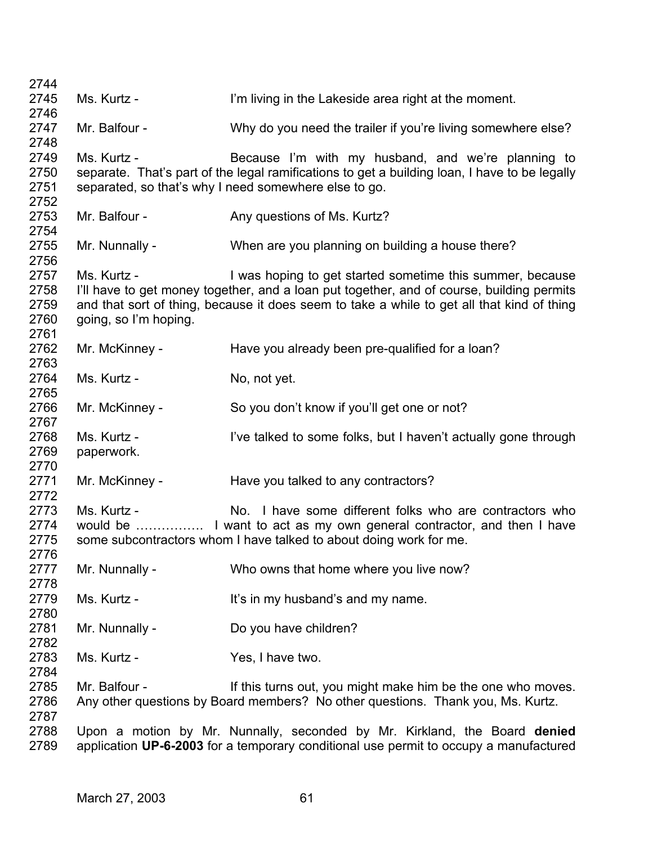| 2744                                 |                                      |                                                                                                                                                                                                                                                      |
|--------------------------------------|--------------------------------------|------------------------------------------------------------------------------------------------------------------------------------------------------------------------------------------------------------------------------------------------------|
| 2745                                 | Ms. Kurtz -                          | I'm living in the Lakeside area right at the moment.                                                                                                                                                                                                 |
| 2746                                 |                                      |                                                                                                                                                                                                                                                      |
| 2747<br>2748                         | Mr. Balfour -                        | Why do you need the trailer if you're living somewhere else?                                                                                                                                                                                         |
| 2749<br>2750<br>2751<br>2752         | Ms. Kurtz -                          | Because I'm with my husband, and we're planning to<br>separate. That's part of the legal ramifications to get a building loan, I have to be legally<br>separated, so that's why I need somewhere else to go.                                         |
| 2753<br>2754                         | Mr. Balfour -                        | Any questions of Ms. Kurtz?                                                                                                                                                                                                                          |
| 2755<br>2756                         | Mr. Nunnally -                       | When are you planning on building a house there?                                                                                                                                                                                                     |
| 2757<br>2758<br>2759<br>2760<br>2761 | Ms. Kurtz -<br>going, so I'm hoping. | I was hoping to get started sometime this summer, because<br>I'll have to get money together, and a loan put together, and of course, building permits<br>and that sort of thing, because it does seem to take a while to get all that kind of thing |
| 2762<br>2763                         | Mr. McKinney -                       | Have you already been pre-qualified for a loan?                                                                                                                                                                                                      |
| 2764<br>2765                         | Ms. Kurtz -                          | No, not yet.                                                                                                                                                                                                                                         |
| 2766<br>2767                         | Mr. McKinney -                       | So you don't know if you'll get one or not?                                                                                                                                                                                                          |
| 2768<br>2769<br>2770                 | Ms. Kurtz -<br>paperwork.            | I've talked to some folks, but I haven't actually gone through                                                                                                                                                                                       |
| 2771<br>2772                         | Mr. McKinney -                       | Have you talked to any contractors?                                                                                                                                                                                                                  |
| 2773<br>2774<br>2775<br>2776         | Ms. Kurtz -                          | No. I have some different folks who are contractors who<br>some subcontractors whom I have talked to about doing work for me.                                                                                                                        |
| 2777<br>2778                         | Mr. Nunnally -                       | Who owns that home where you live now?                                                                                                                                                                                                               |
| 2779<br>2780                         | Ms. Kurtz -                          | It's in my husband's and my name.                                                                                                                                                                                                                    |
| 2781<br>2782                         | Mr. Nunnally -                       | Do you have children?                                                                                                                                                                                                                                |
| 2783<br>2784                         | Ms. Kurtz -                          | Yes, I have two.                                                                                                                                                                                                                                     |
| 2785<br>2786<br>2787                 | Mr. Balfour -                        | If this turns out, you might make him be the one who moves.<br>Any other questions by Board members? No other questions. Thank you, Ms. Kurtz.                                                                                                       |
| 2788<br>2789                         |                                      | Upon a motion by Mr. Nunnally, seconded by Mr. Kirkland, the Board denied<br>application UP-6-2003 for a temporary conditional use permit to occupy a manufactured                                                                                   |